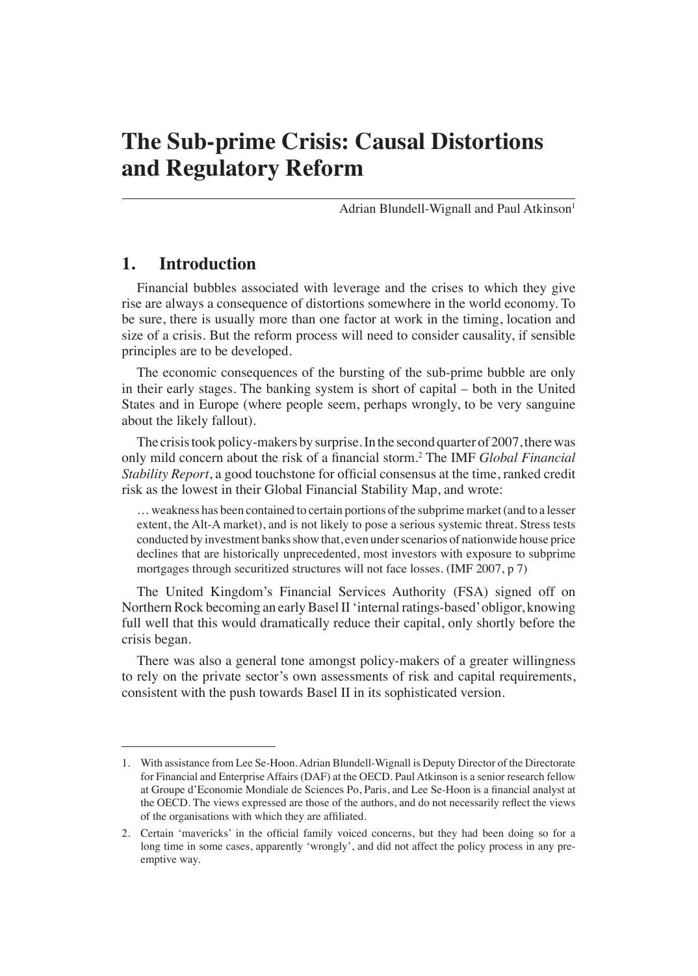Adrian Blundell-Wignall and Paul Atkinson<sup>1</sup>

## **1. Introduction**

Financial bubbles associated with leverage and the crises to which they give rise are always a consequence of distortions somewhere in the world economy. To be sure, there is usually more than one factor at work in the timing, location and size of a crisis. But the reform process will need to consider causality, if sensible principles are to be developed.

The economic consequences of the bursting of the sub-prime bubble are only in their early stages. The banking system is short of capital – both in the United States and in Europe (where people seem, perhaps wrongly, to be very sanguine about the likely fallout).

The crisis took policy-makers by surprise. In the second quarter of 2007, there was only mild concern about the risk of a financial storm.<sup>2</sup> The IMF *Global Financial Stability Report*, a good touchstone for official consensus at the time, ranked credit risk as the lowest in their Global Financial Stability Map, and wrote:

… weakness has been contained to certain portions of the subprime market (and to a lesser extent, the Alt-A market), and is not likely to pose a serious systemic threat. Stress tests conducted by investment banks show that, even under scenarios of nationwide house price declines that are historically unprecedented, most investors with exposure to subprime mortgages through securitized structures will not face losses. (IMF 2007, p 7)

The United Kingdom's Financial Services Authority (FSA) signed off on Northern Rock becoming an early Basel II 'internal ratings-based' obligor, knowing full well that this would dramatically reduce their capital, only shortly before the crisis began.

There was also a general tone amongst policy-makers of a greater willingness to rely on the private sector's own assessments of risk and capital requirements, consistent with the push towards Basel II in its sophisticated version.

<sup>1.</sup> With assistance from Lee Se-Hoon. Adrian Blundell-Wignall is Deputy Director of the Directorate for Financial and Enterprise Affairs (DAF) at the OECD. Paul Atkinson is a senior research fellow at Groupe d'Economie Mondiale de Sciences Po, Paris, and Lee Se-Hoon is a financial analyst at the OECD. The views expressed are those of the authors, and do not necessarily reflect the views of the organisations with which they are affiliated.

<sup>2.</sup> Certain 'mavericks' in the official family voiced concerns, but they had been doing so for a long time in some cases, apparently 'wrongly', and did not affect the policy process in any preemptive way.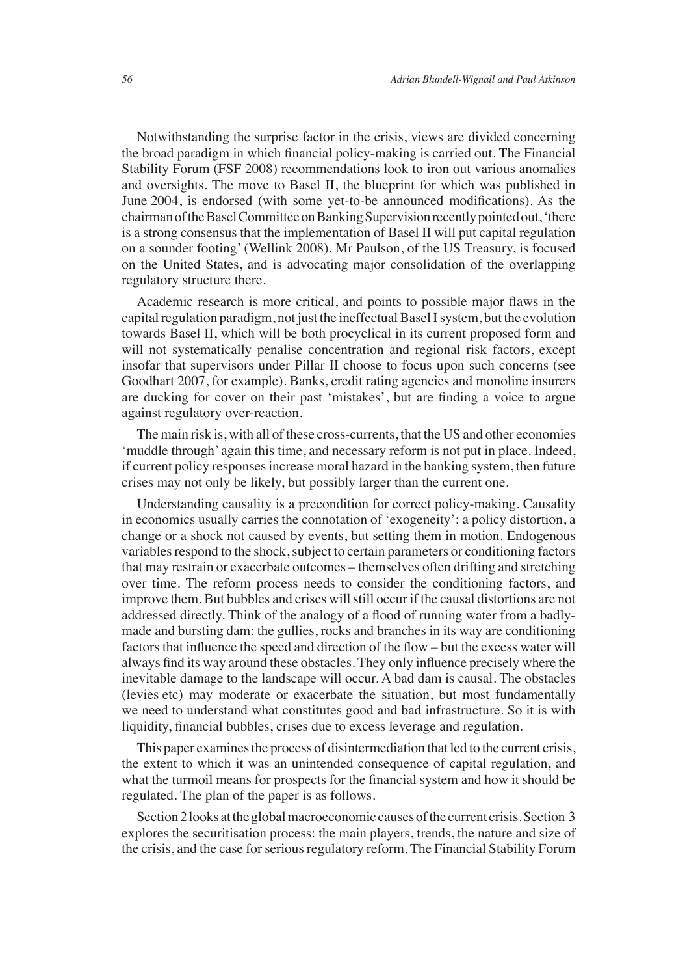Notwithstanding the surprise factor in the crisis, views are divided concerning the broad paradigm in which financial policy-making is carried out. The Financial Stability Forum (FSF 2008) recommendations look to iron out various anomalies and oversights. The move to Basel II, the blueprint for which was published in June 2004, is endorsed (with some yet-to-be announced modifications). As the chairman of the Basel Committee on Banking Supervision recently pointed out, 'there is a strong consensus that the implementation of Basel II will put capital regulation on a sounder footing' (Wellink 2008). Mr Paulson, of the US Treasury, is focused on the United States, and is advocating major consolidation of the overlapping regulatory structure there.

Academic research is more critical, and points to possible major flaws in the capital regulation paradigm, not just the ineffectual Basel I system, but the evolution towards Basel II, which will be both procyclical in its current proposed form and will not systematically penalise concentration and regional risk factors, except insofar that supervisors under Pillar II choose to focus upon such concerns (see Goodhart 2007, for example). Banks, credit rating agencies and monoline insurers are ducking for cover on their past 'mistakes', but are finding a voice to argue against regulatory over-reaction.

The main risk is, with all of these cross-currents, that the US and other economies 'muddle through' again this time, and necessary reform is not put in place. Indeed, if current policy responses increase moral hazard in the banking system, then future crises may not only be likely, but possibly larger than the current one.

Understanding causality is a precondition for correct policy-making. Causality in economics usually carries the connotation of 'exogeneity': a policy distortion, a change or a shock not caused by events, but setting them in motion. Endogenous variables respond to the shock, subject to certain parameters or conditioning factors that may restrain or exacerbate outcomes – themselves often drifting and stretching over time. The reform process needs to consider the conditioning factors, and improve them. But bubbles and crises will still occur if the causal distortions are not addressed directly. Think of the analogy of a flood of running water from a badlymade and bursting dam: the gullies, rocks and branches in its way are conditioning factors that influence the speed and direction of the flow – but the excess water will always find its way around these obstacles. They only influence precisely where the inevitable damage to the landscape will occur. A bad dam is causal. The obstacles (levies etc) may moderate or exacerbate the situation, but most fundamentally we need to understand what constitutes good and bad infrastructure. So it is with liquidity, financial bubbles, crises due to excess leverage and regulation.

This paper examines the process of disintermediation that led to the current crisis, the extent to which it was an unintended consequence of capital regulation, and what the turmoil means for prospects for the financial system and how it should be regulated. The plan of the paper is as follows.

Section 2 looks at the global macroeconomic causes of the current crisis. Section 3 explores the securitisation process: the main players, trends, the nature and size of the crisis, and the case for serious regulatory reform. The Financial Stability Forum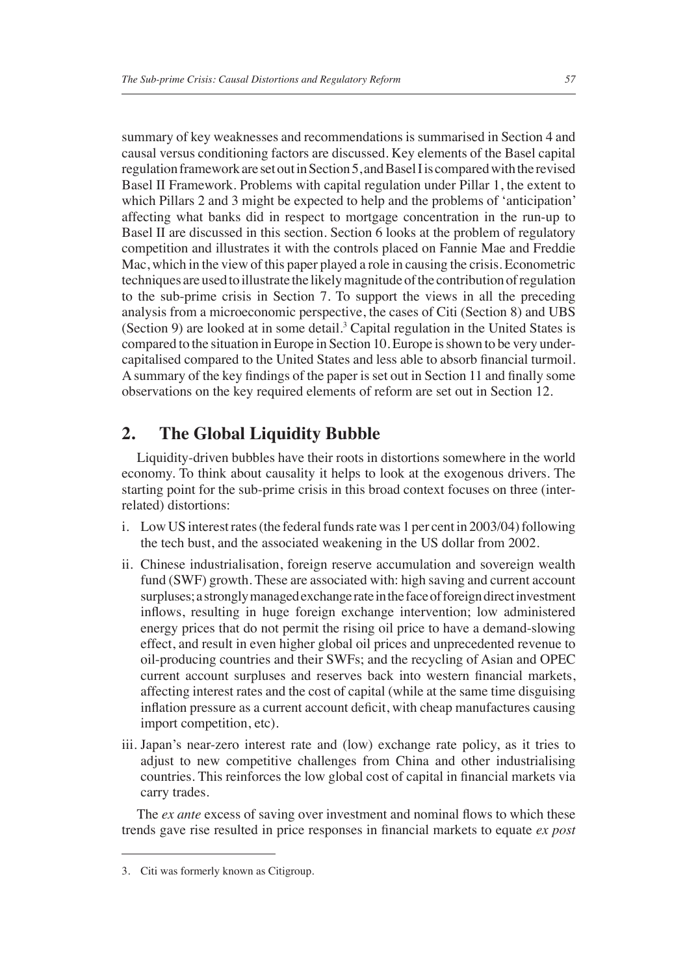summary of key weaknesses and recommendations is summarised in Section 4 and causal versus conditioning factors are discussed. Key elements of the Basel capital regulation framework are set out in Section 5, and Basel I is compared with the revised Basel II Framework. Problems with capital regulation under Pillar 1, the extent to which Pillars 2 and 3 might be expected to help and the problems of 'anticipation' affecting what banks did in respect to mortgage concentration in the run-up to Basel II are discussed in this section. Section 6 looks at the problem of regulatory competition and illustrates it with the controls placed on Fannie Mae and Freddie Mac, which in the view of this paper played a role in causing the crisis. Econometric techniques are used to illustrate the likely magnitude of the contribution of regulation to the sub-prime crisis in Section 7. To support the views in all the preceding analysis from a microeconomic perspective, the cases of Citi (Section 8) and UBS (Section 9) are looked at in some detail.<sup>3</sup> Capital regulation in the United States is compared to the situation in Europe in Section 10. Europe is shown to be very undercapitalised compared to the United States and less able to absorb financial turmoil. A summary of the key findings of the paper is set out in Section 11 and finally some observations on the key required elements of reform are set out in Section 12.

#### **2. The Global Liquidity Bubble**

Liquidity-driven bubbles have their roots in distortions somewhere in the world economy. To think about causality it helps to look at the exogenous drivers. The starting point for the sub-prime crisis in this broad context focuses on three (interrelated) distortions:

- i. Low US interest rates (the federal funds rate was 1 per cent in 2003/04) following the tech bust, and the associated weakening in the US dollar from 2002.
- ii. Chinese industrialisation, foreign reserve accumulation and sovereign wealth fund (SWF) growth. These are associated with: high saving and current account surpluses; a strongly managed exchange rate in the face of foreign direct investment inflows, resulting in huge foreign exchange intervention; low administered energy prices that do not permit the rising oil price to have a demand-slowing effect, and result in even higher global oil prices and unprecedented revenue to oil-producing countries and their SWFs; and the recycling of Asian and OPEC current account surpluses and reserves back into western financial markets, affecting interest rates and the cost of capital (while at the same time disguising inflation pressure as a current account deficit, with cheap manufactures causing import competition, etc).
- iii. Japan's near-zero interest rate and (low) exchange rate policy, as it tries to adjust to new competitive challenges from China and other industrialising countries. This reinforces the low global cost of capital in financial markets via carry trades.

The *ex ante* excess of saving over investment and nominal flows to which these trends gave rise resulted in price responses in financial markets to equate *ex post* 

<sup>3.</sup> Citi was formerly known as Citigroup.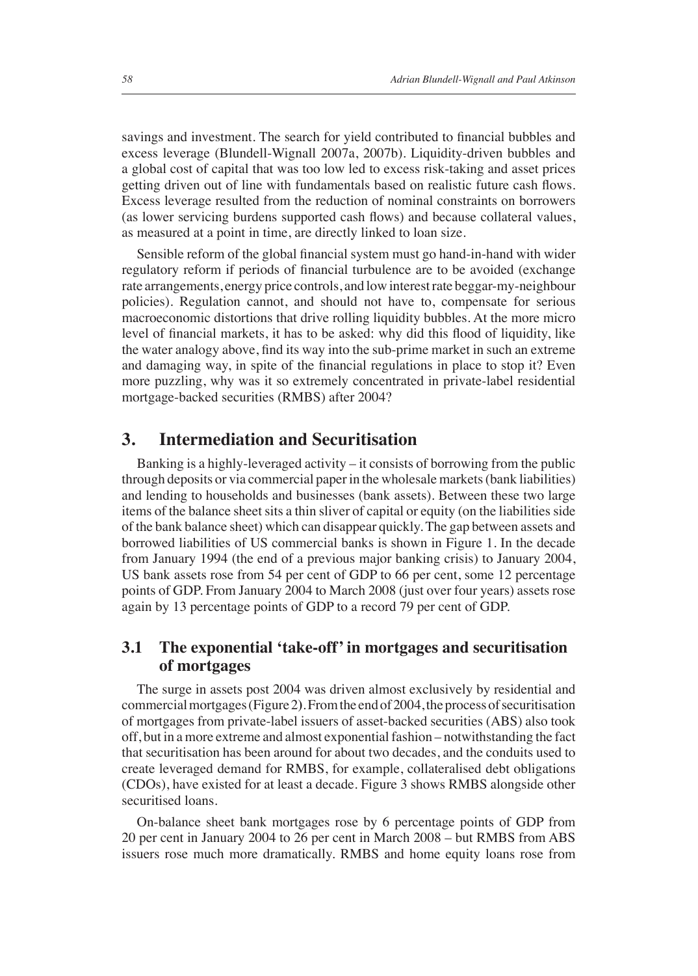savings and investment. The search for yield contributed to financial bubbles and excess leverage (Blundell-Wignall 2007a, 2007b). Liquidity-driven bubbles and a global cost of capital that was too low led to excess risk-taking and asset prices getting driven out of line with fundamentals based on realistic future cash flows. Excess leverage resulted from the reduction of nominal constraints on borrowers (as lower servicing burdens supported cash flows) and because collateral values, as measured at a point in time, are directly linked to loan size.

Sensible reform of the global financial system must go hand-in-hand with wider regulatory reform if periods of financial turbulence are to be avoided (exchange rate arrangements, energy price controls, and low interest rate beggar-my-neighbour policies). Regulation cannot, and should not have to, compensate for serious macroeconomic distortions that drive rolling liquidity bubbles. At the more micro level of financial markets, it has to be asked: why did this flood of liquidity, like the water analogy above, find its way into the sub-prime market in such an extreme and damaging way, in spite of the financial regulations in place to stop it? Even more puzzling, why was it so extremely concentrated in private-label residential mortgage-backed securities (RMBS) after 2004?

#### **3. Intermediation and Securitisation**

Banking is a highly-leveraged activity – it consists of borrowing from the public through deposits or via commercial paper in the wholesale markets (bank liabilities) and lending to households and businesses (bank assets). Between these two large items of the balance sheet sits a thin sliver of capital or equity (on the liabilities side of the bank balance sheet) which can disappear quickly. The gap between assets and borrowed liabilities of US commercial banks is shown in Figure 1. In the decade from January 1994 (the end of a previous major banking crisis) to January 2004, US bank assets rose from 54 per cent of GDP to 66 per cent, some 12 percentage points of GDP. From January 2004 to March 2008 (just over four years) assets rose again by 13 percentage points of GDP to a record 79 per cent of GDP.

#### **3.1 The exponential 'take-off' in mortgages and securitisation of mortgages**

The surge in assets post 2004 was driven almost exclusively by residential and commercial mortgages (Figure 2**)**.From the end of 2004, the process of securitisation of mortgages from private-label issuers of asset-backed securities (ABS) also took off, but in a more extreme and almost exponential fashion – notwithstanding the fact that securitisation has been around for about two decades, and the conduits used to create leveraged demand for RMBS, for example, collateralised debt obligations (CDOs), have existed for at least a decade. Figure 3 shows RMBS alongside other securitised loans.

On-balance sheet bank mortgages rose by 6 percentage points of GDP from 20 per cent in January 2004 to 26 per cent in March 2008 – but RMBS from ABS issuers rose much more dramatically. RMBS and home equity loans rose from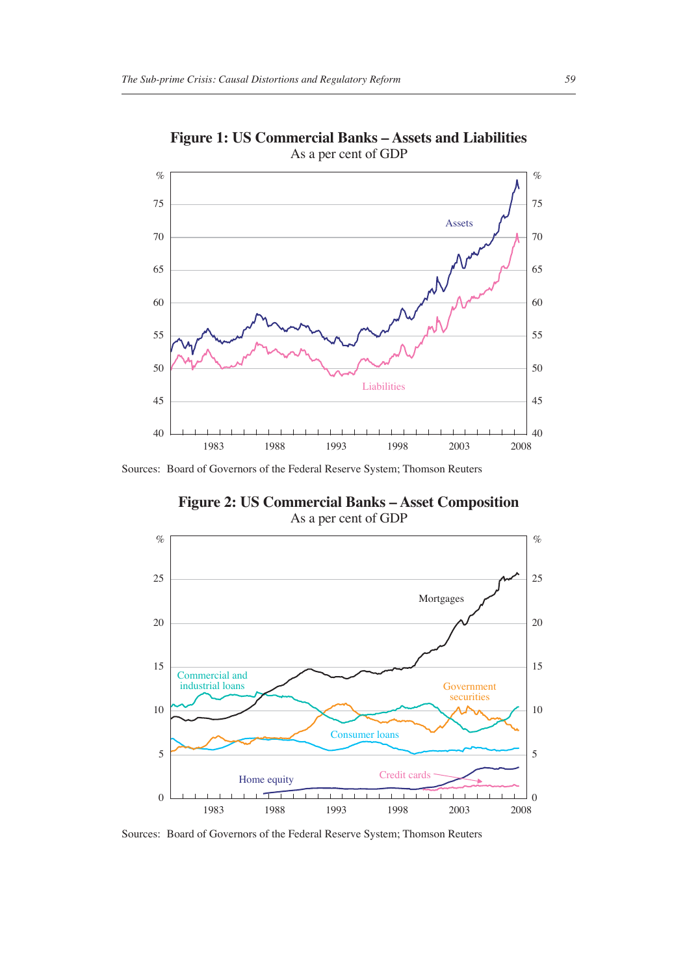

**Figure 1: US Commercial Banks – Assets and Liabilities** As a per cent of GDP

Sources: Board of Governors of the Federal Reserve System; Thomson Reuters

**Figure 2: US Commercial Banks – Asset Composition** As a per cent of GDP



Sources: Board of Governors of the Federal Reserve System; Thomson Reuters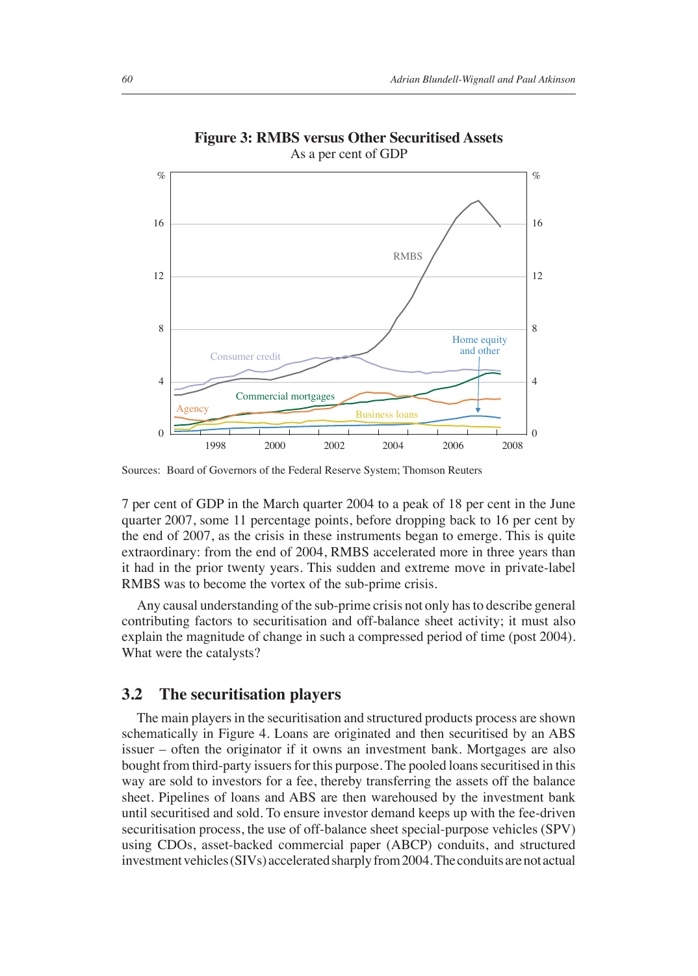

**Figure 3: RMBS versus Other Securitised Assets** As a per cent of GDP

Sources: Board of Governors of the Federal Reserve System; Thomson Reuters

7 per cent of GDP in the March quarter 2004 to a peak of 18 per cent in the June quarter 2007, some 11 percentage points, before dropping back to 16 per cent by the end of 2007, as the crisis in these instruments began to emerge. This is quite extraordinary: from the end of 2004, RMBS accelerated more in three years than it had in the prior twenty years. This sudden and extreme move in private-label RMBS was to become the vortex of the sub-prime crisis.

Any causal understanding of the sub-prime crisis not only has to describe general contributing factors to securitisation and off-balance sheet activity; it must also explain the magnitude of change in such a compressed period of time (post 2004). What were the catalysts?

#### **3.2 The securitisation players**

The main players in the securitisation and structured products process are shown schematically in Figure 4. Loans are originated and then securitised by an ABS issuer – often the originator if it owns an investment bank. Mortgages are also bought from third-party issuers for this purpose. The pooled loans securitised in this way are sold to investors for a fee, thereby transferring the assets off the balance sheet. Pipelines of loans and ABS are then warehoused by the investment bank until securitised and sold. To ensure investor demand keeps up with the fee-driven securitisation process, the use of off-balance sheet special-purpose vehicles (SPV) using CDOs, asset-backed commercial paper (ABCP) conduits, and structured investment vehicles (SIVs) accelerated sharply from 2004. The conduits are not actual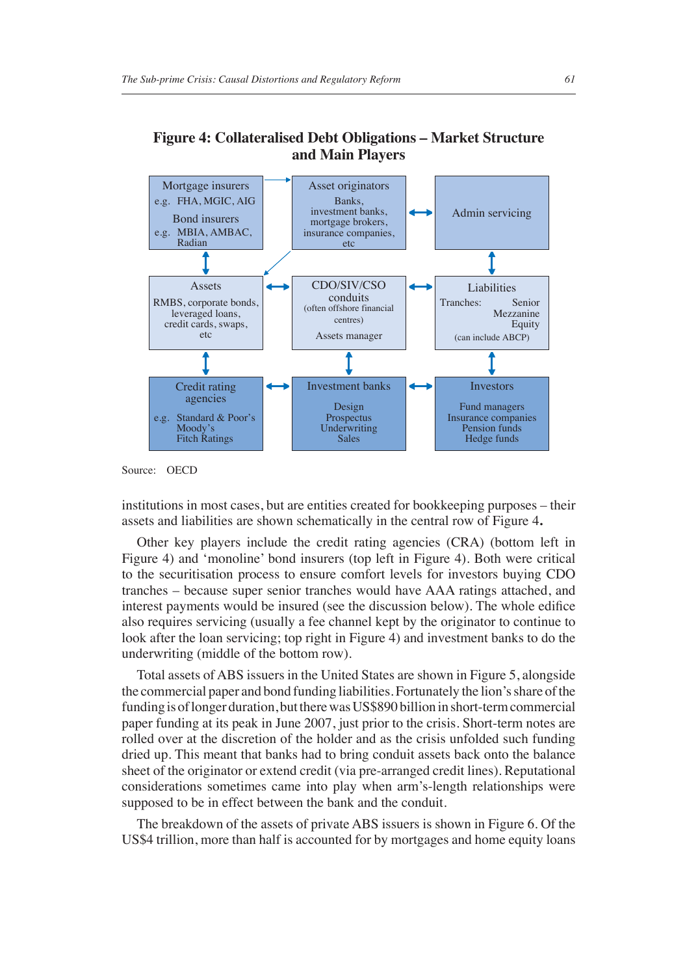

#### **Figure 4: Collateralised Debt Obligations – Market Structure and Main Players**

Source: OECD

institutions in most cases, but are entities created for bookkeeping purposes – their assets and liabilities are shown schematically in the central row of Figure 4**.**

Other key players include the credit rating agencies (CRA) (bottom left in Figure 4) and 'monoline' bond insurers (top left in Figure 4). Both were critical to the securitisation process to ensure comfort levels for investors buying CDO tranches – because super senior tranches would have AAA ratings attached, and interest payments would be insured (see the discussion below). The whole edifice also requires servicing (usually a fee channel kept by the originator to continue to look after the loan servicing; top right in Figure 4) and investment banks to do the underwriting (middle of the bottom row).

Total assets of ABS issuers in the United States are shown in Figure 5, alongside the commercial paper and bond funding liabilities. Fortunately the lion's share of the funding is of longer duration, but there was US\$890 billion in short-term commercial paper funding at its peak in June 2007, just prior to the crisis. Short-term notes are rolled over at the discretion of the holder and as the crisis unfolded such funding dried up. This meant that banks had to bring conduit assets back onto the balance sheet of the originator or extend credit (via pre-arranged credit lines). Reputational considerations sometimes came into play when arm's-length relationships were supposed to be in effect between the bank and the conduit.

The breakdown of the assets of private ABS issuers is shown in Figure 6. Of the US\$4 trillion, more than half is accounted for by mortgages and home equity loans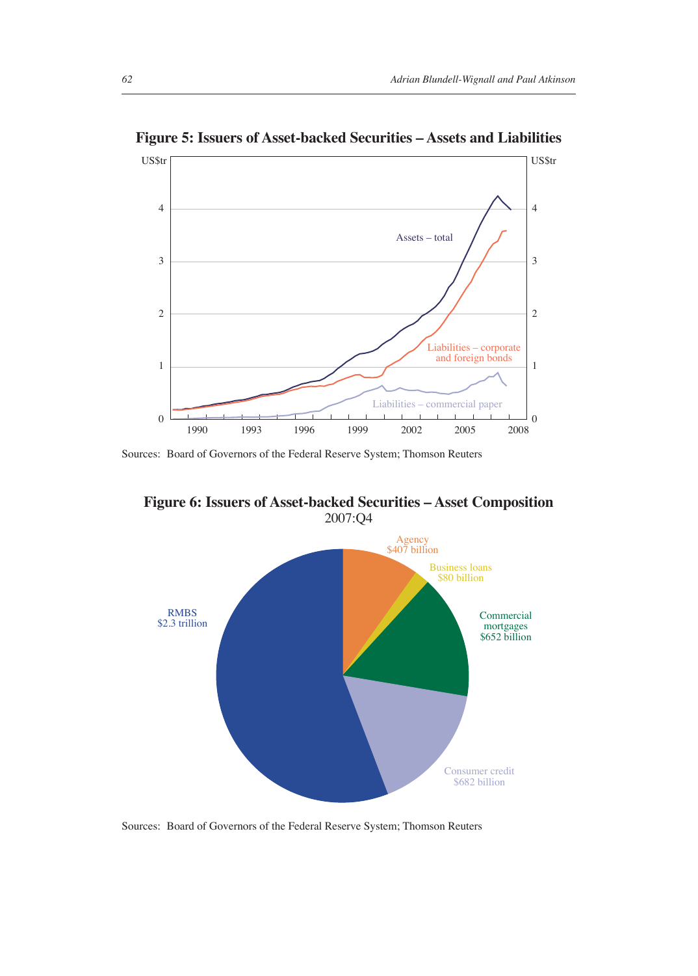

**Figure 5: Issuers of Asset-backed Securities – Assets and Liabilities**

**Figure 6: Issuers of Asset-backed Securities – Asset Composition** 2007:Q4



Sources: Board of Governors of the Federal Reserve System; Thomson Reuters

Sources: Board of Governors of the Federal Reserve System; Thomson Reuters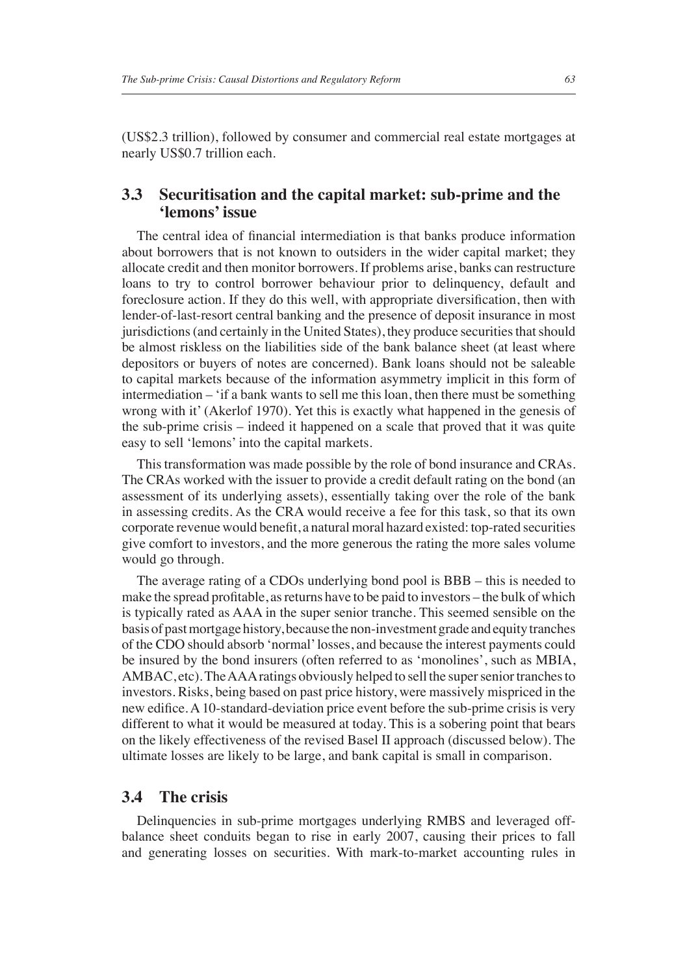(US\$2.3 trillion), followed by consumer and commercial real estate mortgages at nearly US\$0.7 trillion each.

#### **3.3 Securitisation and the capital market: sub-prime and the 'lemons' issue**

The central idea of financial intermediation is that banks produce information about borrowers that is not known to outsiders in the wider capital market; they allocate credit and then monitor borrowers. If problems arise, banks can restructure loans to try to control borrower behaviour prior to delinquency, default and foreclosure action. If they do this well, with appropriate diversification, then with lender-of-last-resort central banking and the presence of deposit insurance in most jurisdictions (and certainly in the United States), they produce securities that should be almost riskless on the liabilities side of the bank balance sheet (at least where depositors or buyers of notes are concerned). Bank loans should not be saleable to capital markets because of the information asymmetry implicit in this form of intermediation – 'if a bank wants to sell me this loan, then there must be something wrong with it' (Akerlof 1970). Yet this is exactly what happened in the genesis of the sub-prime crisis – indeed it happened on a scale that proved that it was quite easy to sell 'lemons' into the capital markets.

This transformation was made possible by the role of bond insurance and CRAs. The CRAs worked with the issuer to provide a credit default rating on the bond (an assessment of its underlying assets), essentially taking over the role of the bank in assessing credits. As the CRA would receive a fee for this task, so that its own corporate revenue would benefit, a natural moral hazard existed: top-rated securities give comfort to investors, and the more generous the rating the more sales volume would go through.

The average rating of a CDOs underlying bond pool is BBB – this is needed to make the spread profitable, as returns have to be paid to investors – the bulk of which is typically rated as AAA in the super senior tranche. This seemed sensible on the basis of past mortgage history, because the non-investment grade and equity tranches of the CDO should absorb 'normal' losses, and because the interest payments could be insured by the bond insurers (often referred to as 'monolines', such as MBIA, AMBAC, etc). The AAA ratings obviously helped to sell the super senior tranches to investors. Risks, being based on past price history, were massively mispriced in the new edifice. A 10-standard-deviation price event before the sub-prime crisis is very different to what it would be measured at today. This is a sobering point that bears on the likely effectiveness of the revised Basel II approach (discussed below). The ultimate losses are likely to be large, and bank capital is small in comparison.

#### **3.4 The crisis**

Delinquencies in sub-prime mortgages underlying RMBS and leveraged offbalance sheet conduits began to rise in early 2007, causing their prices to fall and generating losses on securities. With mark-to-market accounting rules in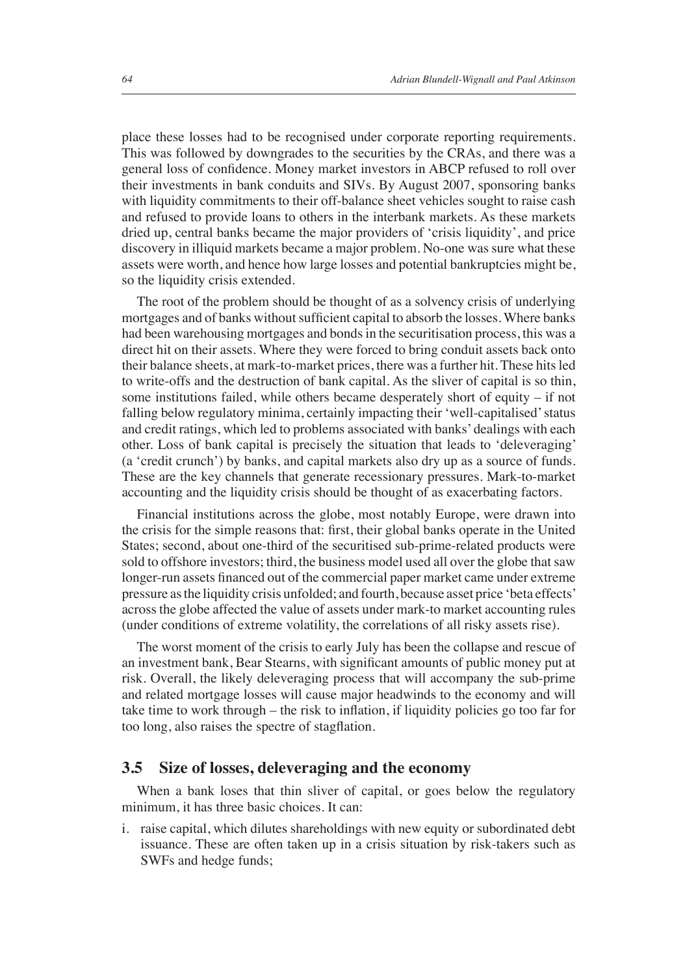place these losses had to be recognised under corporate reporting requirements. This was followed by downgrades to the securities by the CRAs, and there was a general loss of confidence. Money market investors in ABCP refused to roll over their investments in bank conduits and SIVs. By August 2007, sponsoring banks with liquidity commitments to their off-balance sheet vehicles sought to raise cash and refused to provide loans to others in the interbank markets. As these markets dried up, central banks became the major providers of 'crisis liquidity', and price discovery in illiquid markets became a major problem. No-one was sure what these assets were worth, and hence how large losses and potential bankruptcies might be, so the liquidity crisis extended.

The root of the problem should be thought of as a solvency crisis of underlying mortgages and of banks without sufficient capital to absorb the losses. Where banks had been warehousing mortgages and bonds in the securitisation process, this was a direct hit on their assets. Where they were forced to bring conduit assets back onto their balance sheets, at mark-to-market prices, there was a further hit. These hits led to write-offs and the destruction of bank capital. As the sliver of capital is so thin, some institutions failed, while others became desperately short of equity – if not falling below regulatory minima, certainly impacting their 'well-capitalised' status and credit ratings, which led to problems associated with banks' dealings with each other. Loss of bank capital is precisely the situation that leads to 'deleveraging' (a 'credit crunch') by banks, and capital markets also dry up as a source of funds. These are the key channels that generate recessionary pressures. Mark-to-market accounting and the liquidity crisis should be thought of as exacerbating factors.

Financial institutions across the globe, most notably Europe, were drawn into the crisis for the simple reasons that: first, their global banks operate in the United States; second, about one-third of the securitised sub-prime-related products were sold to offshore investors; third, the business model used all over the globe that saw longer-run assets financed out of the commercial paper market came under extreme pressure as the liquidity crisis unfolded; and fourth, because asset price 'beta effects' across the globe affected the value of assets under mark-to market accounting rules (under conditions of extreme volatility, the correlations of all risky assets rise).

The worst moment of the crisis to early July has been the collapse and rescue of an investment bank, Bear Stearns, with significant amounts of public money put at risk. Overall, the likely deleveraging process that will accompany the sub-prime and related mortgage losses will cause major headwinds to the economy and will take time to work through – the risk to inflation, if liquidity policies go too far for too long, also raises the spectre of stagflation.

#### **3.5 Size of losses, deleveraging and the economy**

When a bank loses that thin sliver of capital, or goes below the regulatory minimum, it has three basic choices. It can:

i. raise capital, which dilutes shareholdings with new equity or subordinated debt issuance. These are often taken up in a crisis situation by risk-takers such as SWFs and hedge funds;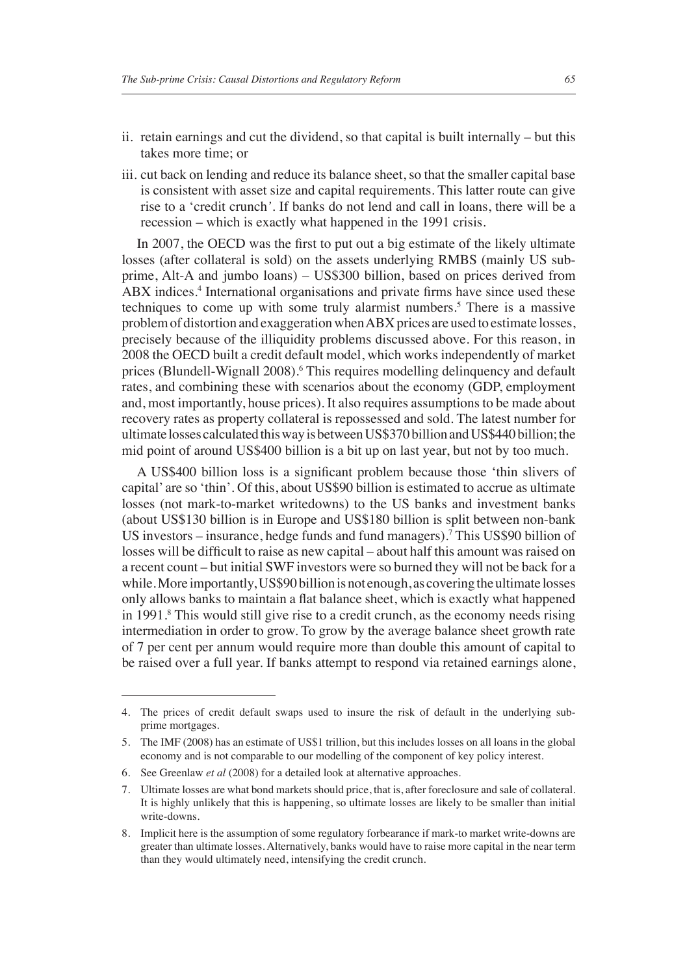- ii. retain earnings and cut the dividend, so that capital is built internally but this takes more time; or
- iii. cut back on lending and reduce its balance sheet, so that the smaller capital base is consistent with asset size and capital requirements. This latter route can give rise to a 'credit crunch*'*. If banks do not lend and call in loans, there will be a recession – which is exactly what happened in the 1991 crisis.

In 2007, the OECD was the first to put out a big estimate of the likely ultimate losses (after collateral is sold) on the assets underlying RMBS (mainly US subprime, Alt-A and jumbo loans) – US\$300 billion, based on prices derived from ABX indices.<sup>4</sup> International organisations and private firms have since used these techniques to come up with some truly alarmist numbers.<sup>5</sup> There is a massive problem of distortion and exaggeration when ABX prices are used to estimate losses, precisely because of the illiquidity problems discussed above. For this reason, in 2008 the OECD built a credit default model, which works independently of market prices (Blundell-Wignall 2008).<sup>6</sup> This requires modelling delinquency and default rates, and combining these with scenarios about the economy (GDP, employment and, most importantly, house prices). It also requires assumptions to be made about recovery rates as property collateral is repossessed and sold. The latest number for ultimate losses calculated this way is between US\$370 billion and US\$440 billion; the mid point of around US\$400 billion is a bit up on last year, but not by too much.

A US\$400 billion loss is a significant problem because those 'thin slivers of capital' are so 'thin'. Of this, about US\$90 billion is estimated to accrue as ultimate losses (not mark-to-market writedowns) to the US banks and investment banks (about US\$130 billion is in Europe and US\$180 billion is split between non-bank US investors – insurance, hedge funds and fund managers).7 This US\$90 billion of losses will be difficult to raise as new capital – about half this amount was raised on a recent count – but initial SWF investors were so burned they will not be back for a while. More importantly, US\$90 billion is not enough, as covering the ultimate losses only allows banks to maintain a flat balance sheet, which is exactly what happened in 1991.8 This would still give rise to a credit crunch, as the economy needs rising intermediation in order to grow. To grow by the average balance sheet growth rate of 7 per cent per annum would require more than double this amount of capital to be raised over a full year. If banks attempt to respond via retained earnings alone,

<sup>4.</sup> The prices of credit default swaps used to insure the risk of default in the underlying subprime mortgages.

<sup>5.</sup> The IMF (2008) has an estimate of US\$1 trillion, but this includes losses on all loans in the global economy and is not comparable to our modelling of the component of key policy interest.

<sup>6.</sup> See Greenlaw *et al* (2008) for a detailed look at alternative approaches.

<sup>7.</sup> Ultimate losses are what bond markets should price, that is, after foreclosure and sale of collateral. It is highly unlikely that this is happening, so ultimate losses are likely to be smaller than initial write-downs.

<sup>8.</sup> Implicit here is the assumption of some regulatory forbearance if mark-to market write-downs are greater than ultimate losses. Alternatively, banks would have to raise more capital in the near term than they would ultimately need, intensifying the credit crunch.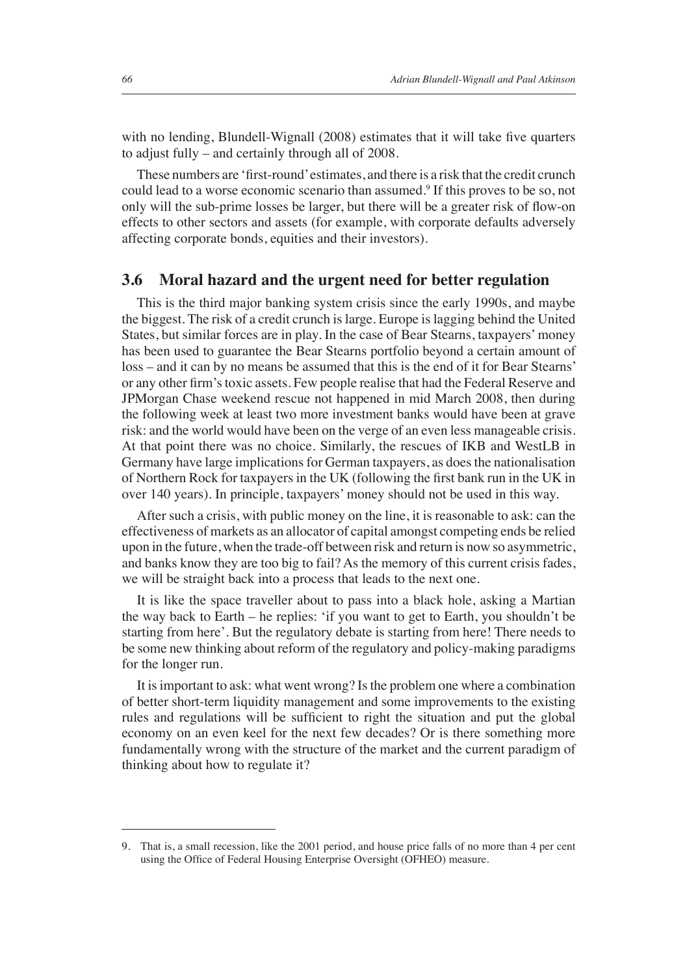with no lending, Blundell-Wignall  $(2008)$  estimates that it will take five quarters to adjust fully – and certainly through all of 2008.

These numbers are 'first-round' estimates, and there is a risk that the credit crunch could lead to a worse economic scenario than assumed.<sup>9</sup> If this proves to be so, not only will the sub-prime losses be larger, but there will be a greater risk of flow-on effects to other sectors and assets (for example, with corporate defaults adversely affecting corporate bonds, equities and their investors).

#### **3.6 Moral hazard and the urgent need for better regulation**

This is the third major banking system crisis since the early 1990s, and maybe the biggest. The risk of a credit crunch is large. Europe is lagging behind the United States, but similar forces are in play. In the case of Bear Stearns, taxpayers' money has been used to guarantee the Bear Stearns portfolio beyond a certain amount of loss – and it can by no means be assumed that this is the end of it for Bear Stearns' or any other firm's toxic assets. Few people realise that had the Federal Reserve and JPMorgan Chase weekend rescue not happened in mid March 2008, then during the following week at least two more investment banks would have been at grave risk: and the world would have been on the verge of an even less manageable crisis. At that point there was no choice. Similarly, the rescues of IKB and WestLB in Germany have large implications for German taxpayers, as does the nationalisation of Northern Rock for taxpayers in the UK (following the first bank run in the UK in over 140 years). In principle, taxpayers' money should not be used in this way.

After such a crisis, with public money on the line, it is reasonable to ask: can the effectiveness of markets as an allocator of capital amongst competing ends be relied upon in the future, when the trade-off between risk and return is now so asymmetric, and banks know they are too big to fail? As the memory of this current crisis fades, we will be straight back into a process that leads to the next one.

It is like the space traveller about to pass into a black hole, asking a Martian the way back to Earth – he replies: 'if you want to get to Earth, you shouldn't be starting from here'. But the regulatory debate is starting from here! There needs to be some new thinking about reform of the regulatory and policy-making paradigms for the longer run.

It is important to ask: what went wrong? Is the problem one where a combination of better short-term liquidity management and some improvements to the existing rules and regulations will be sufficient to right the situation and put the global economy on an even keel for the next few decades? Or is there something more fundamentally wrong with the structure of the market and the current paradigm of thinking about how to regulate it?

<sup>9.</sup> That is, a small recession, like the 2001 period, and house price falls of no more than 4 per cent using the Office of Federal Housing Enterprise Oversight (OFHEO) measure.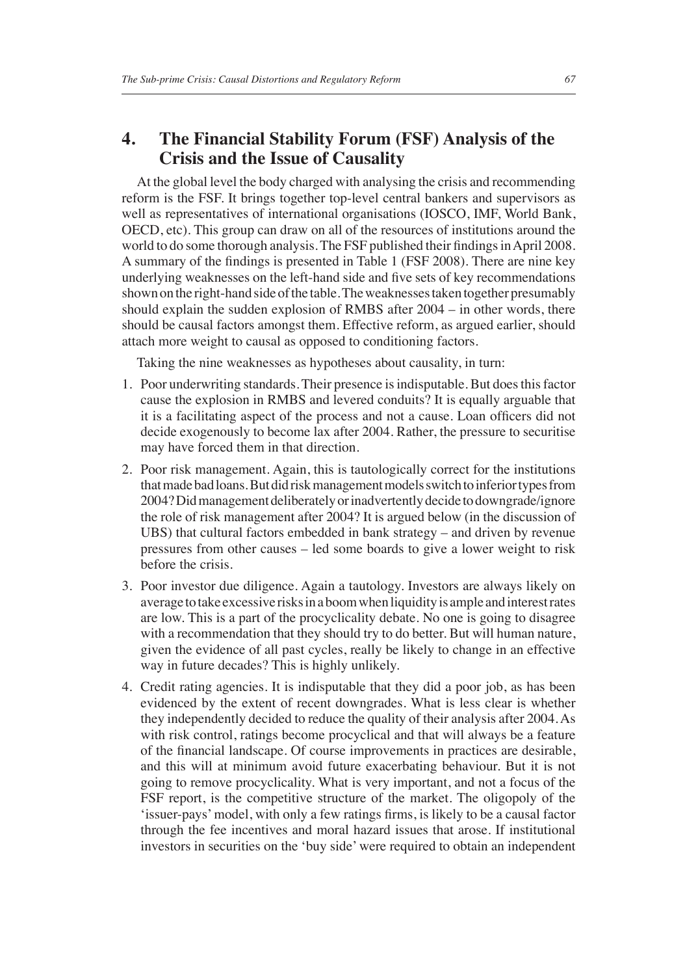#### **4. The Financial Stability Forum (FSF) Analysis of the Crisis and the Issue of Causality**

At the global level the body charged with analysing the crisis and recommending reform is the FSF. It brings together top-level central bankers and supervisors as well as representatives of international organisations (IOSCO, IMF, World Bank, OECD, etc). This group can draw on all of the resources of institutions around the world to do some thorough analysis. The FSF published their findings in April 2008. A summary of the findings is presented in Table 1 (FSF 2008). There are nine key underlying weaknesses on the left-hand side and five sets of key recommendations shown on the right-hand side of the table. The weaknesses taken together presumably should explain the sudden explosion of RMBS after 2004 – in other words, there should be causal factors amongst them. Effective reform, as argued earlier, should attach more weight to causal as opposed to conditioning factors.

Taking the nine weaknesses as hypotheses about causality, in turn:

- 1. Poor underwriting standards. Their presence is indisputable. But does this factor cause the explosion in RMBS and levered conduits? It is equally arguable that it is a facilitating aspect of the process and not a cause. Loan officers did not decide exogenously to become lax after 2004. Rather, the pressure to securitise may have forced them in that direction.
- 2. Poor risk management. Again, this is tautologically correct for the institutions that made bad loans. But did risk management models switch to inferior types from 2004? Did management deliberately or inadvertently decide to downgrade/ignore the role of risk management after 2004? It is argued below (in the discussion of UBS) that cultural factors embedded in bank strategy – and driven by revenue pressures from other causes – led some boards to give a lower weight to risk before the crisis.
- 3. Poor investor due diligence. Again a tautology. Investors are always likely on average to take excessive risks in a boom when liquidity is ample and interest rates are low. This is a part of the procyclicality debate. No one is going to disagree with a recommendation that they should try to do better. But will human nature, given the evidence of all past cycles, really be likely to change in an effective way in future decades? This is highly unlikely.
- 4. Credit rating agencies. It is indisputable that they did a poor job, as has been evidenced by the extent of recent downgrades. What is less clear is whether they independently decided to reduce the quality of their analysis after 2004. As with risk control, ratings become procyclical and that will always be a feature of the financial landscape. Of course improvements in practices are desirable, and this will at minimum avoid future exacerbating behaviour. But it is not going to remove procyclicality. What is very important, and not a focus of the FSF report, is the competitive structure of the market. The oligopoly of the 'issuer-pays' model, with only a few ratings firms, is likely to be a causal factor through the fee incentives and moral hazard issues that arose. If institutional investors in securities on the 'buy side' were required to obtain an independent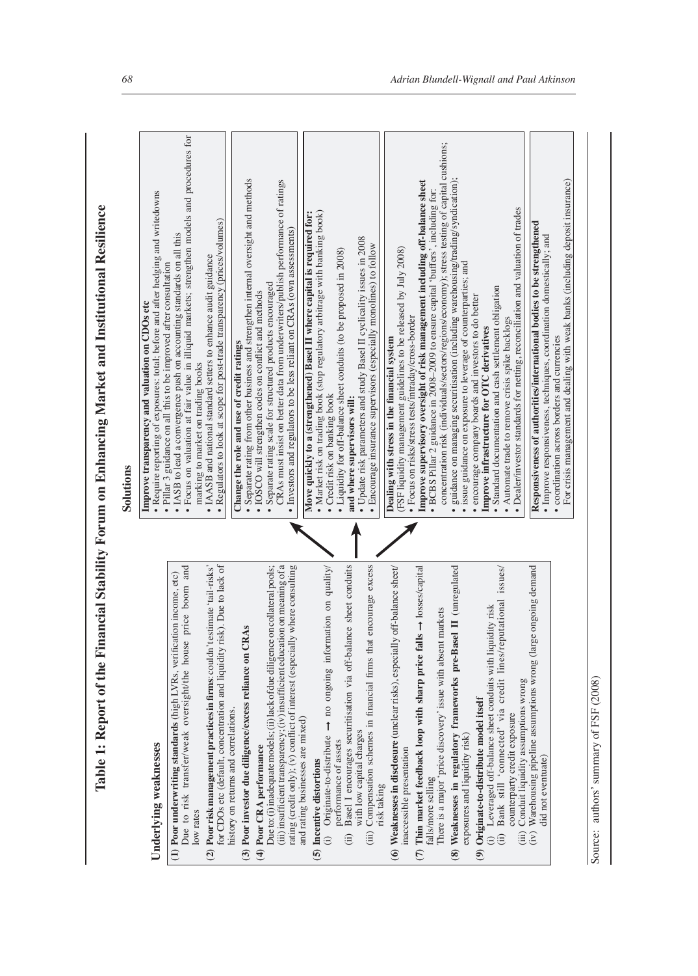| $\ddot{ }$                    |
|-------------------------------|
|                               |
|                               |
|                               |
|                               |
|                               |
|                               |
|                               |
|                               |
|                               |
|                               |
|                               |
|                               |
|                               |
|                               |
| J                             |
|                               |
|                               |
|                               |
| I                             |
|                               |
|                               |
|                               |
|                               |
| ļ<br>$\overline{\phantom{a}}$ |
|                               |
|                               |
| $\ddot{\phantom{a}}$          |
| ļ<br>ŗ                        |
|                               |
|                               |
|                               |
|                               |
| i<br>֕                        |
|                               |
|                               |
|                               |
|                               |
| l                             |
| Í<br>ļ                        |
| 1                             |
|                               |
|                               |
| i<br>$\overline{\mathcal{L}}$ |

- 
- 
- 

**Underlying weaknesses**<br> **Underlying weaknesses**<br>
(1) **Poor underwriting standards** (high LVRs, verification income, etc)<br>
Due to risk transfer/weak oversight/the house price boom and<br>
low rates<br>
for CDOs etc (default, co

- (ii) Basel I encourages securitisation via off-balance sheet conduits ➞ no ongoing information on quality/ Basel I encourages securitisation via off-balance sheet performance of assets performance of assets  $\widehat{a}$ 
	- (iii) Compensation schemes in financial firms that encourage excess (iii) Compensation schemes in financial firms that encourage with low capital charges with low capital charges
- **(6) Weaknesses in disclosure** (unclear risks), especially off-balance sheet/ (6) Weaknesses in disclosure (unclear risks), especially off-balar inaccessible presentation inaccessible presentation risk taking risk taking
- ➞ losses/capital (7) Thin market feedback loop with sharp price falls  $\rightarrow$  loss **(7) Thin market feedback loop with sharp price falls** falls/more selling falls/more selling
	- There is a major 'price discovery' issue with absent markets There is a major 'price discovery' issue with absent markets
- **(8) Weaknesses in regulatory frameworks pre-Basel II** (unregulated (8) Weaknesses in regulatory frameworks pre-Basel II (un exposures and liquidity risk) exposures and liquidity risk)

# (9) Originate-to-distribute model itself **(9) Originate-to-distribute model itsel**f

- (ii) Bank still 'connected' via credit lines/reputational issues/ Bank still 'connected' via credit lines/reputational Leveraged off-balance sheet conduits with liquidity risk (i) Leveraged off-balance sheet conduits with liquidity risk ,<br>อิฮิ
	- Conduit liquidity assumptions wrong counterparty credit exposure counterparty credit exposure
- Warehousing pipeline assumptions wrong (large ongoing (iii) Conduit liquidity assumptions wrong  $\lim_{(i,j)\in\mathbb{R}}$
- (iv) Warehousing pipeline assumptions wrong (large ongoing demand  $\lim_{t \to \infty} \frac{F + F}{F}$ did not eventuate)

For crisis management and dealing with weak banks (including deposit insurance)

## authors' summary of FSF (2008) Source: authors' summary of FSF (2008) Source:

|                                       | Solutions                                                                                                                                                                                                                                                                                                                                                                                                          |
|---------------------------------------|--------------------------------------------------------------------------------------------------------------------------------------------------------------------------------------------------------------------------------------------------------------------------------------------------------------------------------------------------------------------------------------------------------------------|
|                                       | · Require reporting of exposures: total; before and after hedging and writedowns<br>Improve transparency and valuation on CDOs etc                                                                                                                                                                                                                                                                                 |
| bom and<br>ne, etc)                   | · Focus on valuation at fair value in illiquid markets; strengthen models and procedures for<br>• IASB to lead a convergence push on accounting standards on all this<br>· Pillar 3 guidance on all this to be improved after consultation                                                                                                                                                                         |
| o lack of<br>ail-risks'               | • Regulators to look at scope for post-trade transparency (prices/volumes)<br>• IAASB and national standard setters to enhance audit guidance<br>marking to market on trading books                                                                                                                                                                                                                                |
| ral pools;<br>aning of a<br>onsulting | Separate rating from other business and strengthen internal oversight and methods<br>CRAs must insist on better data from underwriters/publish performance of ratings<br>· Investors and regulators to be less reliant on CRAs (own assessments)<br>Separate rating scale for structured products encouraged<br>• IOSCO will strengthen codes on conflict and methods<br>Change the role and use of credit ratings |
| quality/                              | • Market risk on trading book (stop regulatory arbitrage with banking book)<br>Move quickly to a (strengthened) Basel II where capital is required for:<br>• Credit risk on banking book                                                                                                                                                                                                                           |
| conduits                              | • Liquidity for off-balance sheet conduits (to be proposed in 2008)<br>and where supervisors will:                                                                                                                                                                                                                                                                                                                 |
| e excess                              | • Update risk parameters and study Basel II cyclicality issues in 2008<br>• Encourage insurance supervisors (especially monolines) to follow                                                                                                                                                                                                                                                                       |
| ace sheet/                            | (FSF liquidity management guidelines to be released by July 2008)<br>Dealing with stress in the financial system                                                                                                                                                                                                                                                                                                   |
| s/capital                             | Improve supervisory oversight of risk management including off-balance sheet<br>· BCBS Pillar 2 guidance in 2008-2009 to ensure capital 'buffers', including for:<br>· Focus on risks/stress tests/intraday/cross-border                                                                                                                                                                                           |
| regulated                             | concentration risk (individuals/sectors/regions/economy); stress testing of capital cushions;<br>guidance on managing securitisation (including warehousing/trading/syndication);<br>• issue guidance on exposure to leverage of counterparties; and<br>· encourage company boards and investors to do better                                                                                                      |
| issues/                               | Dealer/investor standards for netting, reconciliation and valuation of trades<br>· Standard documentation and cash settlement obligation<br>• Automate trade to remove crisis spike backlogs<br>Improve infrastructure for OTC derivatives                                                                                                                                                                         |
| g demand                              | Responsiveness of authorities/international bodies to be strengthened<br>· Improve responsiveness, techniques, coordination domestically; and                                                                                                                                                                                                                                                                      |
|                                       | For crisis management and dealing with weak banks (including deposit insurance)<br>• coordination across borders and currencies                                                                                                                                                                                                                                                                                    |

nce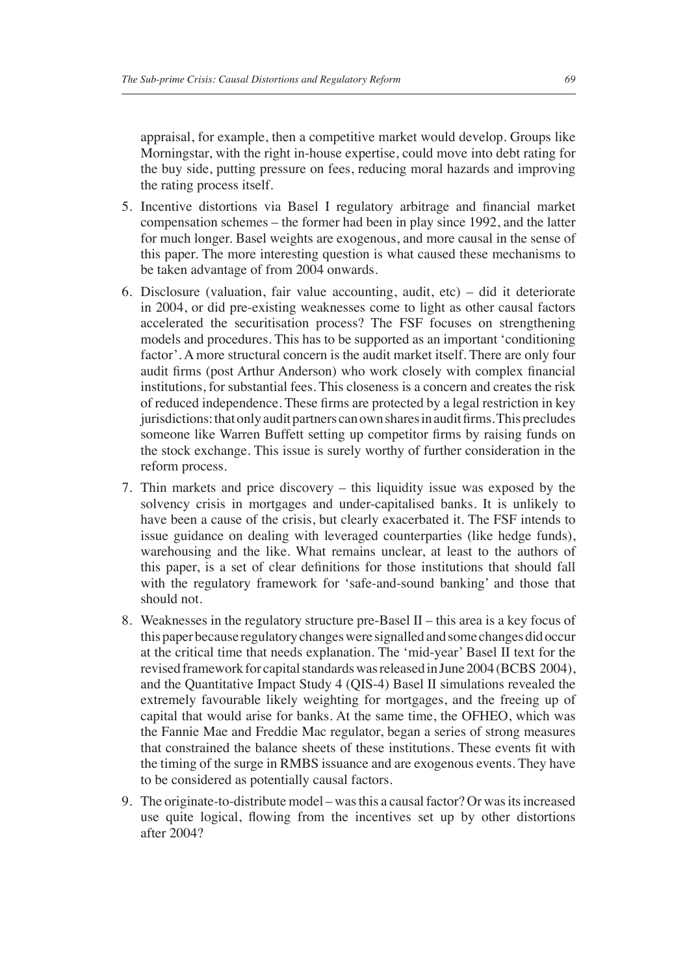appraisal, for example, then a competitive market would develop. Groups like Morningstar, with the right in-house expertise, could move into debt rating for the buy side, putting pressure on fees, reducing moral hazards and improving the rating process itself.

- 5. Incentive distortions via Basel I regulatory arbitrage and financial market compensation schemes – the former had been in play since 1992, and the latter for much longer. Basel weights are exogenous, and more causal in the sense of this paper. The more interesting question is what caused these mechanisms to be taken advantage of from 2004 onwards.
- 6. Disclosure (valuation, fair value accounting, audit, etc) did it deteriorate in 2004, or did pre-existing weaknesses come to light as other causal factors accelerated the securitisation process? The FSF focuses on strengthening models and procedures. This has to be supported as an important 'conditioning factor'. A more structural concern is the audit market itself. There are only four audit firms (post Arthur Anderson) who work closely with complex financial institutions, for substantial fees. This closeness is a concern and creates the risk of reduced independence. These firms are protected by a legal restriction in key jurisdictions: that only audit partners can own shares in audit firms. This precludes someone like Warren Buffett setting up competitor firms by raising funds on the stock exchange. This issue is surely worthy of further consideration in the reform process.
- 7. Thin markets and price discovery this liquidity issue was exposed by the solvency crisis in mortgages and under-capitalised banks. It is unlikely to have been a cause of the crisis, but clearly exacerbated it. The FSF intends to issue guidance on dealing with leveraged counterparties (like hedge funds), warehousing and the like. What remains unclear, at least to the authors of this paper, is a set of clear definitions for those institutions that should fall with the regulatory framework for 'safe-and-sound banking' and those that should not.
- 8. Weaknesses in the regulatory structure pre-Basel II this area is a key focus of this paper because regulatory changes were signalled and some changes did occur at the critical time that needs explanation. The 'mid-year' Basel II text for the revised framework for capital standards was released in June 2004 (BCBS 2004), and the Quantitative Impact Study 4 (QIS-4) Basel II simulations revealed the extremely favourable likely weighting for mortgages, and the freeing up of capital that would arise for banks. At the same time, the OFHEO, which was the Fannie Mae and Freddie Mac regulator, began a series of strong measures that constrained the balance sheets of these institutions. These events fit with the timing of the surge in RMBS issuance and are exogenous events. They have to be considered as potentially causal factors.
- 9. The originate-to-distribute model was this a causal factor? Or was its increased use quite logical, flowing from the incentives set up by other distortions after 2004?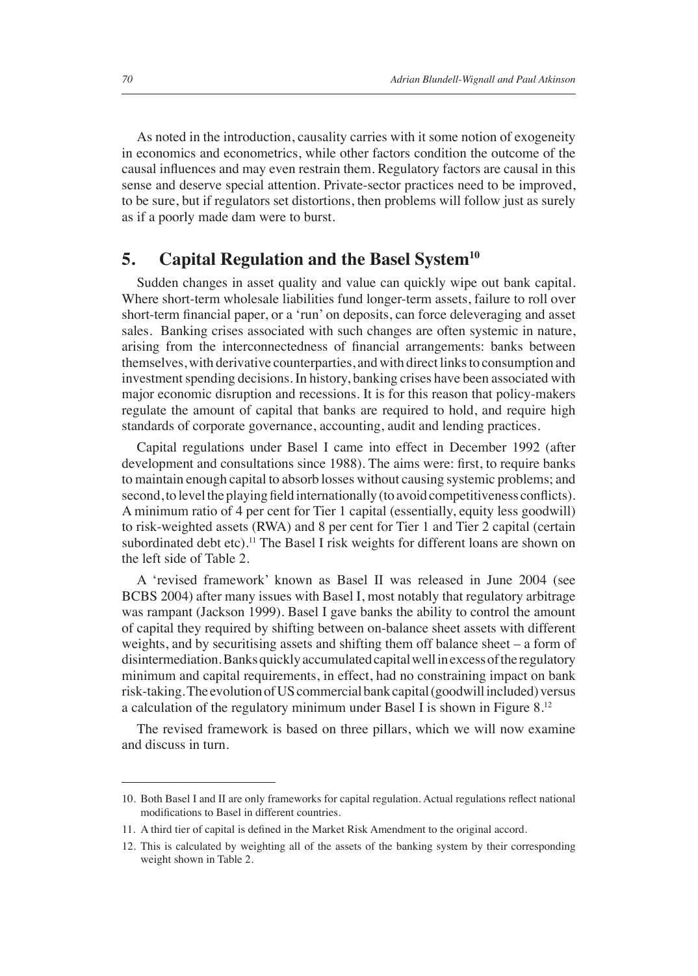As noted in the introduction, causality carries with it some notion of exogeneity in economics and econometrics, while other factors condition the outcome of the causal influences and may even restrain them. Regulatory factors are causal in this sense and deserve special attention. Private-sector practices need to be improved, to be sure, but if regulators set distortions, then problems will follow just as surely as if a poorly made dam were to burst.

#### **5. Capital Regulation and the Basel System10**

Sudden changes in asset quality and value can quickly wipe out bank capital. Where short-term wholesale liabilities fund longer-term assets, failure to roll over short-term financial paper, or a 'run' on deposits, can force deleveraging and asset sales. Banking crises associated with such changes are often systemic in nature, arising from the interconnectedness of financial arrangements: banks between themselves, with derivative counterparties, and with direct links to consumption and investment spending decisions. In history, banking crises have been associated with major economic disruption and recessions. It is for this reason that policy-makers regulate the amount of capital that banks are required to hold, and require high standards of corporate governance, accounting, audit and lending practices.

Capital regulations under Basel I came into effect in December 1992 (after development and consultations since 1988). The aims were: first, to require banks to maintain enough capital to absorb losses without causing systemic problems; and second, to level the playing field internationally (to avoid competitiveness conflicts). A minimum ratio of 4 per cent for Tier 1 capital (essentially, equity less goodwill) to risk-weighted assets (RWA) and 8 per cent for Tier 1 and Tier 2 capital (certain subordinated debt etc).<sup>11</sup> The Basel I risk weights for different loans are shown on the left side of Table 2.

A 'revised framework' known as Basel II was released in June 2004 (see BCBS 2004) after many issues with Basel I, most notably that regulatory arbitrage was rampant (Jackson 1999). Basel I gave banks the ability to control the amount of capital they required by shifting between on-balance sheet assets with different weights, and by securitising assets and shifting them off balance sheet – a form of disintermediation. Banks quickly accumulated capital well in excess of the regulatory minimum and capital requirements, in effect, had no constraining impact on bank risk-taking. The evolution of US commercial bank capital (goodwill included) versus a calculation of the regulatory minimum under Basel I is shown in Figure 8.12

The revised framework is based on three pillars, which we will now examine and discuss in turn.

<sup>10.</sup> Both Basel I and II are only frameworks for capital regulation. Actual regulations reflect national modifications to Basel in different countries.

<sup>11.</sup> A third tier of capital is defined in the Market Risk Amendment to the original accord.

<sup>12.</sup> This is calculated by weighting all of the assets of the banking system by their corresponding weight shown in Table 2.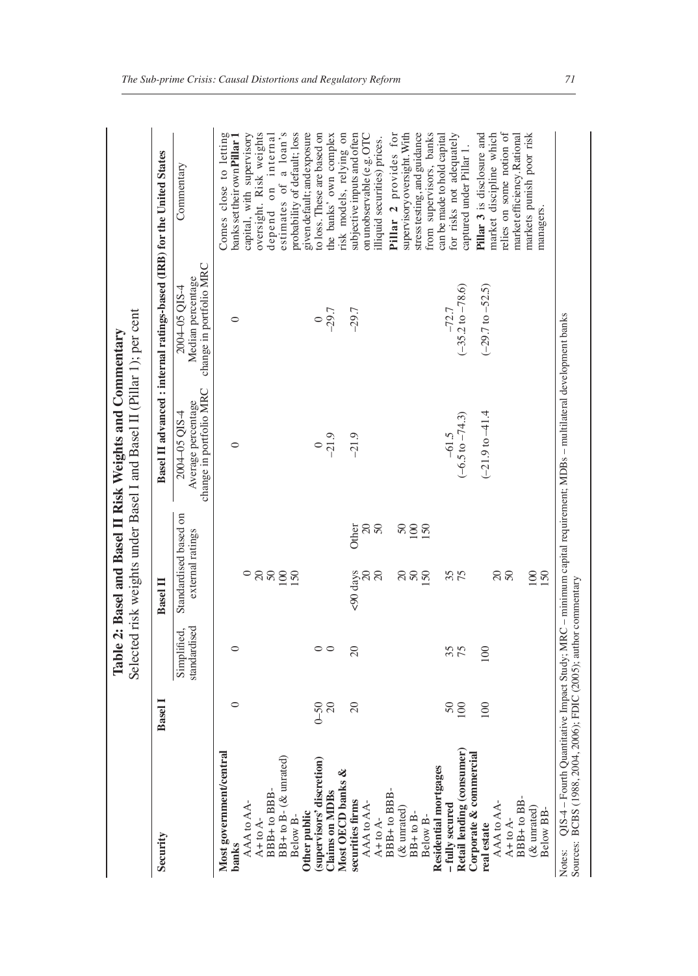| Security                                                                                                                                                                                                                                                                                                                                                                                                                                                           | <b>Basel</b> I   |                            | <b>Basel II</b>                           |                                                                | Basel II advanced : internal ratings-based (IRB) for the United States |                                                             |
|--------------------------------------------------------------------------------------------------------------------------------------------------------------------------------------------------------------------------------------------------------------------------------------------------------------------------------------------------------------------------------------------------------------------------------------------------------------------|------------------|----------------------------|-------------------------------------------|----------------------------------------------------------------|------------------------------------------------------------------------|-------------------------------------------------------------|
|                                                                                                                                                                                                                                                                                                                                                                                                                                                                    |                  | standardised<br>Simplified | Standardised based on<br>external ratings | change in portfolio MRC<br>Average percentage<br>2004-05 QIS-4 | change in portfolio MRC<br>Median percentage<br>2004-05 OIS-4          | Commentary                                                  |
| Most government/central<br>banks                                                                                                                                                                                                                                                                                                                                                                                                                                   | $\circ$          | $\circ$                    |                                           | $\circ$                                                        | $\circ$                                                                | Comes close to letting<br>banks set their own Pillar 1      |
|                                                                                                                                                                                                                                                                                                                                                                                                                                                                    |                  |                            |                                           |                                                                |                                                                        | capital, with supervisory                                   |
| $\begin{array}{l} \mathsf{AAA}\,\mathsf{to}\,\mathsf{AA}\ \mathsf{A}\ \mathsf{A}\ \mathsf{A}\ \mathsf{A}\ \mathsf{A}\ \mathsf{A}\ \mathsf{B}\ \mathsf{B}\ \mathsf{B}\ \mathsf{B}\ \mathsf{B}\ \mathsf{B}\ \mathsf{B}\ \mathsf{B}\ \mathsf{B}\ \mathsf{B}\ \mathsf{B}\ \mathsf{B}\ \mathsf{B}\ \mathsf{B}\ \mathsf{B}\ \mathsf{B}\ \mathsf{B}\ \mathsf{B}\ \mathsf{B}\ \mathsf{B}\ \mathsf{B}\ \mathsf{B}\ \mathsf{B}\ \mathsf{B}\ \mathsf{B}\ \mathsf{B}\ \mathsf$ |                  |                            |                                           |                                                                |                                                                        | oversight. Risk weights                                     |
|                                                                                                                                                                                                                                                                                                                                                                                                                                                                    |                  |                            |                                           |                                                                |                                                                        | depend on internal                                          |
| $BB + to B - (&$ unrated                                                                                                                                                                                                                                                                                                                                                                                                                                           |                  |                            | ុននទ្ទុជ                                  |                                                                |                                                                        | estimates of a loan's                                       |
| Other public<br>Below B-                                                                                                                                                                                                                                                                                                                                                                                                                                           |                  |                            |                                           |                                                                |                                                                        | probability of default; loss<br>given default; and exposure |
| (supervisors' discretion)                                                                                                                                                                                                                                                                                                                                                                                                                                          |                  |                            |                                           |                                                                |                                                                        | to loss. These are based on                                 |
| <b>Claims on MDBs</b>                                                                                                                                                                                                                                                                                                                                                                                                                                              | $0 - 50$<br>20   | $\circ$ $\circ$            |                                           | $^{0}$<br>$^{0}$                                               | $-29.7$                                                                | the banks' own complex                                      |
| Most OECD banks &                                                                                                                                                                                                                                                                                                                                                                                                                                                  |                  |                            |                                           |                                                                |                                                                        | risk models, relying on                                     |
| securities firms                                                                                                                                                                                                                                                                                                                                                                                                                                                   | $\overline{20}$  | $\infty$                   | Other<br><90 days                         | $-21.9$                                                        | $-29.7$                                                                | subjective inputs and often                                 |
| $AAA$ to $A-A$<br>A+ to $A-A$                                                                                                                                                                                                                                                                                                                                                                                                                                      |                  |                            | $\frac{20}{50}$<br>ສ ສ                    |                                                                |                                                                        | on unobservable (e.g. OTC                                   |
|                                                                                                                                                                                                                                                                                                                                                                                                                                                                    |                  |                            |                                           |                                                                |                                                                        | lliquid securities) prices.                                 |
| BBB+to BBB                                                                                                                                                                                                                                                                                                                                                                                                                                                         |                  |                            |                                           |                                                                |                                                                        | provides for<br>Pillar <sub>2</sub>                         |
| (& unrated)                                                                                                                                                                                                                                                                                                                                                                                                                                                        |                  |                            |                                           |                                                                |                                                                        | supervisory oversight. With                                 |
| $BB+toB$<br>Below B-                                                                                                                                                                                                                                                                                                                                                                                                                                               |                  |                            | 880<br>$888$                              |                                                                |                                                                        | stress testing, and guidance                                |
| Residential mortgages                                                                                                                                                                                                                                                                                                                                                                                                                                              |                  |                            |                                           |                                                                |                                                                        | from supervisors, banks                                     |
| -fully secured                                                                                                                                                                                                                                                                                                                                                                                                                                                     |                  |                            |                                           |                                                                | $-72.7$                                                                | for risks not adequately<br>can be made to hold capital     |
| Retail lending (consumer)                                                                                                                                                                                                                                                                                                                                                                                                                                          | $\frac{50}{100}$ | 35                         | 35                                        | $-61.5$<br>$(-6.5 \text{ to } -74.3)$                          | $(-35.2$ to $-78.6)$                                                   | captured under Pillar 1.                                    |
| Corporate & commercial                                                                                                                                                                                                                                                                                                                                                                                                                                             |                  |                            |                                           |                                                                |                                                                        | Pillar 3 is disclosure and                                  |
| real estate                                                                                                                                                                                                                                                                                                                                                                                                                                                        | 100              | 100                        |                                           | $(-21.9 \text{ to } -41.4)$                                    | $(-29.7$ to $-52.5)$                                                   | market discipline which                                     |
| AAA to AA-                                                                                                                                                                                                                                                                                                                                                                                                                                                         |                  |                            | $\frac{20}{50}$                           |                                                                |                                                                        | relies on some notion of                                    |
| $A + to A -$                                                                                                                                                                                                                                                                                                                                                                                                                                                       |                  |                            |                                           |                                                                |                                                                        | narket efficiency.Rational                                  |
| BBB+ to BB-                                                                                                                                                                                                                                                                                                                                                                                                                                                        |                  |                            |                                           |                                                                |                                                                        | markets punish poor risk                                    |
| $(x$ unrated<br>Below BB                                                                                                                                                                                                                                                                                                                                                                                                                                           |                  |                            | 100                                       |                                                                |                                                                        | managers.                                                   |

Table 2: Basel and Basel II Risk Weights and Commentary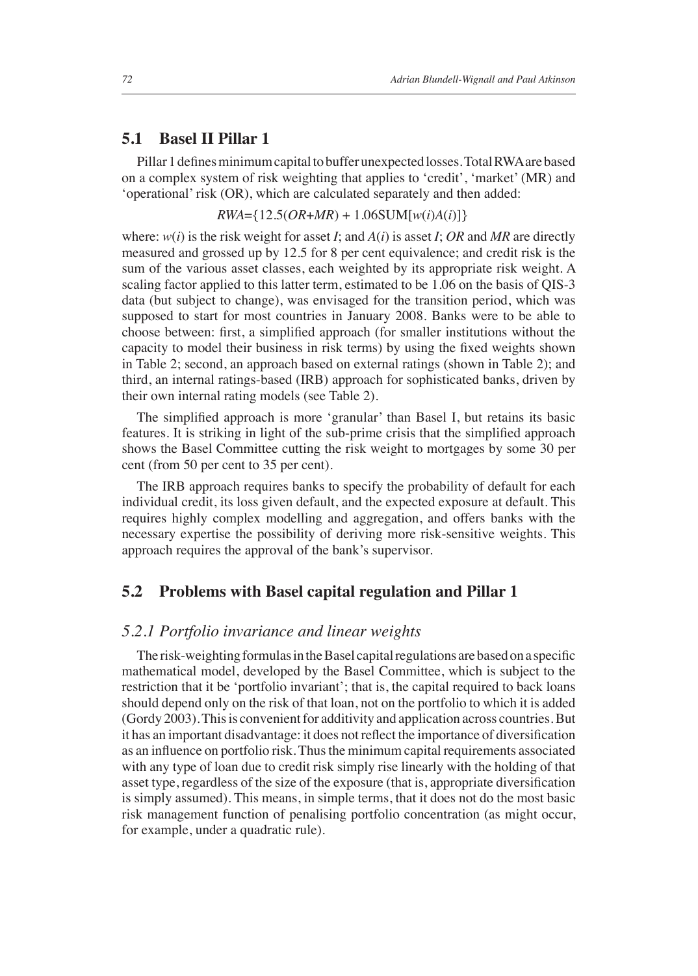#### **5.1 Basel II Pillar 1**

Pillar 1 defines minimum capital to buffer unexpected losses. Total RWA are based on a complex system of risk weighting that applies to 'credit', 'market' (MR) and 'operational' risk (OR), which are calculated separately and then added:

 $RWA = \{12.5(OR+MR) + 1.06$ SUM[ $w(i)A(i)$ ]}

where:  $w(i)$  is the risk weight for asset *I*; and  $A(i)$  is asset *I*; OR and MR are directly measured and grossed up by 12.5 for 8 per cent equivalence; and credit risk is the sum of the various asset classes, each weighted by its appropriate risk weight. A scaling factor applied to this latter term, estimated to be 1.06 on the basis of QIS-3 data (but subject to change), was envisaged for the transition period, which was supposed to start for most countries in January 2008. Banks were to be able to choose between: first, a simplified approach (for smaller institutions without the capacity to model their business in risk terms) by using the fixed weights shown in Table 2; second, an approach based on external ratings (shown in Table 2); and third, an internal ratings-based (IRB) approach for sophisticated banks, driven by their own internal rating models (see Table 2).

The simplified approach is more 'granular' than Basel I, but retains its basic features. It is striking in light of the sub-prime crisis that the simplified approach shows the Basel Committee cutting the risk weight to mortgages by some 30 per cent (from 50 per cent to 35 per cent).

The IRB approach requires banks to specify the probability of default for each individual credit, its loss given default, and the expected exposure at default. This requires highly complex modelling and aggregation, and offers banks with the necessary expertise the possibility of deriving more risk-sensitive weights. This approach requires the approval of the bank's supervisor.

#### **5.2 Problems with Basel capital regulation and Pillar 1**

#### *5.2.1 Portfolio invariance and linear weights*

The risk-weighting formulas in the Basel capital regulations are based on a specific mathematical model, developed by the Basel Committee, which is subject to the restriction that it be 'portfolio invariant'; that is, the capital required to back loans should depend only on the risk of that loan, not on the portfolio to which it is added (Gordy 2003). This is convenient for additivity and application across countries. But it has an important disadvantage: it does not reflect the importance of diversification as an influence on portfolio risk. Thus the minimum capital requirements associated with any type of loan due to credit risk simply rise linearly with the holding of that asset type, regardless of the size of the exposure (that is, appropriate diversification is simply assumed). This means, in simple terms, that it does not do the most basic risk management function of penalising portfolio concentration (as might occur, for example, under a quadratic rule).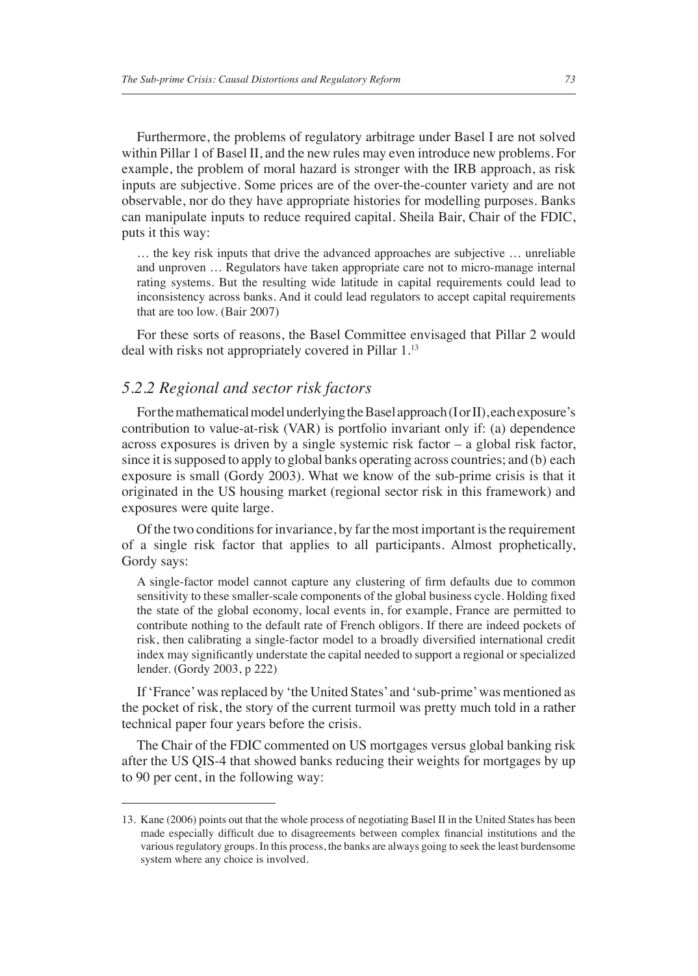Furthermore, the problems of regulatory arbitrage under Basel I are not solved within Pillar 1 of Basel II, and the new rules may even introduce new problems. For example, the problem of moral hazard is stronger with the IRB approach, as risk inputs are subjective. Some prices are of the over-the-counter variety and are not observable, nor do they have appropriate histories for modelling purposes. Banks can manipulate inputs to reduce required capital. Sheila Bair, Chair of the FDIC, puts it this way:

… the key risk inputs that drive the advanced approaches are subjective … unreliable and unproven … Regulators have taken appropriate care not to micro-manage internal rating systems. But the resulting wide latitude in capital requirements could lead to inconsistency across banks. And it could lead regulators to accept capital requirements that are too low. (Bair 2007)

For these sorts of reasons, the Basel Committee envisaged that Pillar 2 would deal with risks not appropriately covered in Pillar 1.13

#### *5.2.2 Regional and sector risk factors*

For the mathematical model underlying the Basel approach (I or II), each exposure's contribution to value-at-risk (VAR) is portfolio invariant only if: (a) dependence across exposures is driven by a single systemic risk factor – a global risk factor, since it is supposed to apply to global banks operating across countries; and (b) each exposure is small (Gordy 2003). What we know of the sub-prime crisis is that it originated in the US housing market (regional sector risk in this framework) and exposures were quite large.

Of the two conditions for invariance, by far the most important is the requirement of a single risk factor that applies to all participants. Almost prophetically, Gordy says:

A single-factor model cannot capture any clustering of firm defaults due to common sensitivity to these smaller-scale components of the global business cycle. Holding fixed the state of the global economy, local events in, for example, France are permitted to contribute nothing to the default rate of French obligors. If there are indeed pockets of risk, then calibrating a single-factor model to a broadly diversified international credit index may significantly understate the capital needed to support a regional or specialized lender. (Gordy 2003, p 222)

If 'France' was replaced by 'the United States' and 'sub-prime' was mentioned as the pocket of risk, the story of the current turmoil was pretty much told in a rather technical paper four years before the crisis.

The Chair of the FDIC commented on US mortgages versus global banking risk after the US QIS-4 that showed banks reducing their weights for mortgages by up to 90 per cent, in the following way:

<sup>13.</sup> Kane (2006) points out that the whole process of negotiating Basel II in the United States has been made especially difficult due to disagreements between complex financial institutions and the various regulatory groups. In this process, the banks are always going to seek the least burdensome system where any choice is involved.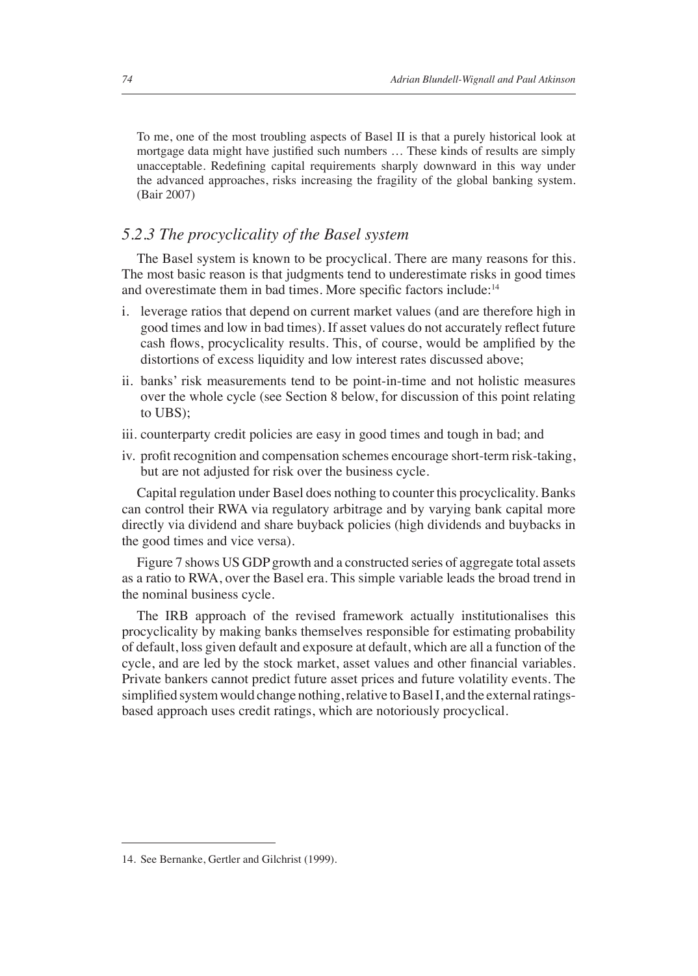To me, one of the most troubling aspects of Basel II is that a purely historical look at mortgage data might have justified such numbers ... These kinds of results are simply unacceptable. Redefining capital requirements sharply downward in this way under the advanced approaches, risks increasing the fragility of the global banking system. (Bair 2007)

#### *5.2.3 The procyclicality of the Basel system*

The Basel system is known to be procyclical. There are many reasons for this. The most basic reason is that judgments tend to underestimate risks in good times and overestimate them in bad times. More specific factors include:<sup>14</sup>

- i. leverage ratios that depend on current market values (and are therefore high in good times and low in bad times). If asset values do not accurately reflect future cash flows, procyclicality results. This, of course, would be amplified by the distortions of excess liquidity and low interest rates discussed above;
- ii. banks' risk measurements tend to be point-in-time and not holistic measures over the whole cycle (see Section 8 below, for discussion of this point relating to UBS);
- iii. counterparty credit policies are easy in good times and tough in bad; and
- iv. profit recognition and compensation schemes encourage short-term risk-taking, but are not adjusted for risk over the business cycle.

Capital regulation under Basel does nothing to counter this procyclicality. Banks can control their RWA via regulatory arbitrage and by varying bank capital more directly via dividend and share buyback policies (high dividends and buybacks in the good times and vice versa).

Figure 7 shows US GDP growth and a constructed series of aggregate total assets as a ratio to RWA, over the Basel era. This simple variable leads the broad trend in the nominal business cycle.

The IRB approach of the revised framework actually institutionalises this procyclicality by making banks themselves responsible for estimating probability of default, loss given default and exposure at default, which are all a function of the cycle, and are led by the stock market, asset values and other financial variables. Private bankers cannot predict future asset prices and future volatility events. The simplified system would change nothing, relative to Basel I, and the external ratingsbased approach uses credit ratings, which are notoriously procyclical.

<sup>14.</sup> See Bernanke, Gertler and Gilchrist (1999).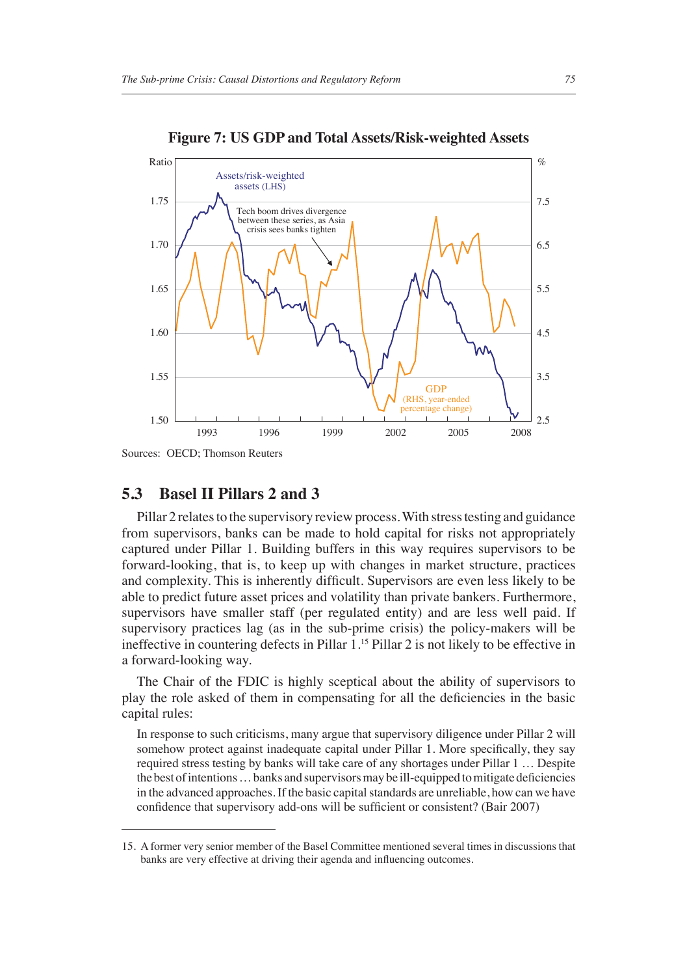

**Figure 7: US GDP and Total Assets/Risk-weighted Assets**

#### **5.3 Basel II Pillars 2 and 3**

Pillar 2 relates to the supervisory review process. With stress testing and guidance from supervisors, banks can be made to hold capital for risks not appropriately captured under Pillar 1. Building buffers in this way requires supervisors to be forward-looking, that is, to keep up with changes in market structure, practices and complexity. This is inherently difficult. Supervisors are even less likely to be able to predict future asset prices and volatility than private bankers. Furthermore, supervisors have smaller staff (per regulated entity) and are less well paid. If supervisory practices lag (as in the sub-prime crisis) the policy-makers will be ineffective in countering defects in Pillar 1.15 Pillar 2 is not likely to be effective in a forward-looking way.

The Chair of the FDIC is highly sceptical about the ability of supervisors to play the role asked of them in compensating for all the deficiencies in the basic capital rules:

In response to such criticisms, many argue that supervisory diligence under Pillar 2 will somehow protect against inadequate capital under Pillar 1. More specifically, they say required stress testing by banks will take care of any shortages under Pillar 1 … Despite the best of intentions ... banks and supervisors may be ill-equipped to mitigate deficiencies in the advanced approaches. If the basic capital standards are unreliable, how can we have confidence that supervisory add-ons will be sufficient or consistent? (Bair 2007)

Sources: OECD; Thomson Reuters

<sup>15.</sup> A former very senior member of the Basel Committee mentioned several times in discussions that banks are very effective at driving their agenda and influencing outcomes.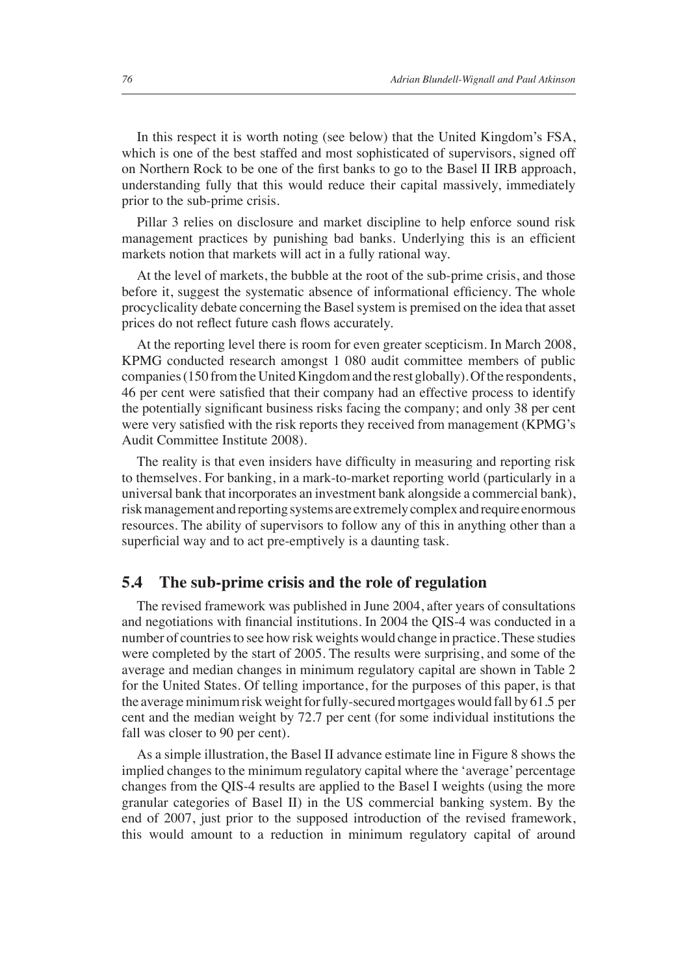In this respect it is worth noting (see below) that the United Kingdom's FSA, which is one of the best staffed and most sophisticated of supervisors, signed off on Northern Rock to be one of the first banks to go to the Basel II IRB approach, understanding fully that this would reduce their capital massively, immediately prior to the sub-prime crisis.

Pillar 3 relies on disclosure and market discipline to help enforce sound risk management practices by punishing bad banks. Underlying this is an efficient markets notion that markets will act in a fully rational way.

At the level of markets, the bubble at the root of the sub-prime crisis, and those before it, suggest the systematic absence of informational efficiency. The whole procyclicality debate concerning the Basel system is premised on the idea that asset prices do not reflect future cash flows accurately.

At the reporting level there is room for even greater scepticism. In March 2008, KPMG conducted research amongst 1 080 audit committee members of public companies (150 from the United Kingdom and the rest globally). Of the respondents, 46 per cent were satisfied that their company had an effective process to identify the potentially significant business risks facing the company; and only 38 per cent were very satisfied with the risk reports they received from management (KPMG's Audit Committee Institute 2008).

The reality is that even insiders have difficulty in measuring and reporting risk to themselves. For banking, in a mark-to-market reporting world (particularly in a universal bank that incorporates an investment bank alongside a commercial bank), risk management and reporting systems are extremely complex and require enormous resources. The ability of supervisors to follow any of this in anything other than a superficial way and to act pre-emptively is a daunting task.

#### **5.4 The sub-prime crisis and the role of regulation**

The revised framework was published in June 2004, after years of consultations and negotiations with financial institutions. In 2004 the QIS-4 was conducted in a number of countries to see how risk weights would change in practice. These studies were completed by the start of 2005. The results were surprising, and some of the average and median changes in minimum regulatory capital are shown in Table 2 for the United States. Of telling importance, for the purposes of this paper, is that the average minimum risk weight for fully-secured mortgages would fall by 61.5 per cent and the median weight by 72.7 per cent (for some individual institutions the fall was closer to 90 per cent).

As a simple illustration, the Basel II advance estimate line in Figure 8 shows the implied changes to the minimum regulatory capital where the 'average' percentage changes from the QIS-4 results are applied to the Basel I weights (using the more granular categories of Basel II) in the US commercial banking system. By the end of 2007, just prior to the supposed introduction of the revised framework, this would amount to a reduction in minimum regulatory capital of around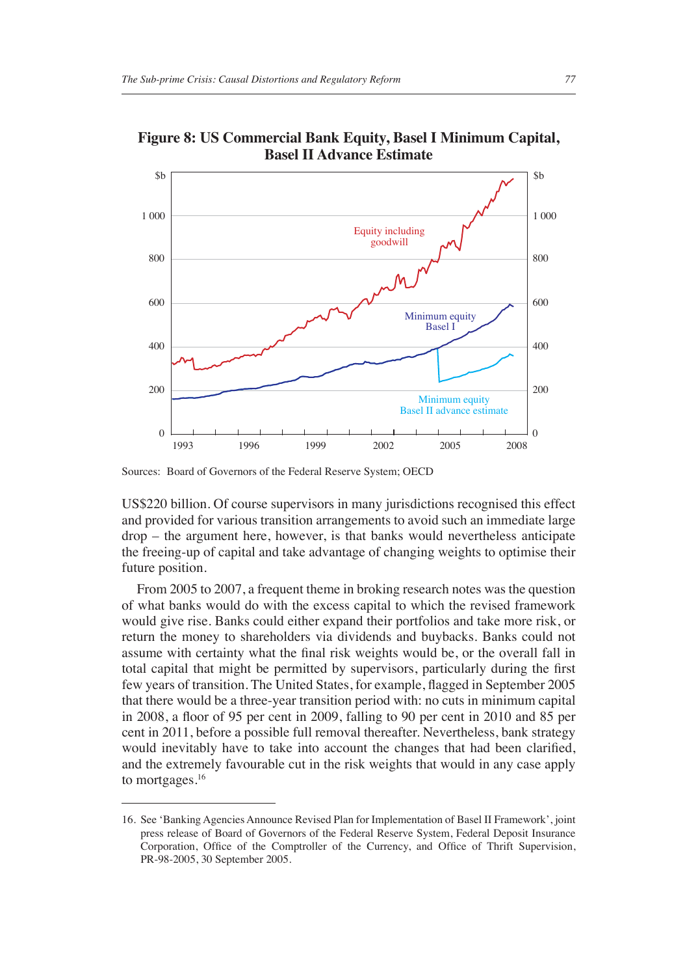

**Figure 8: US Commercial Bank Equity, Basel I Minimum Capital, Basel II Advance Estimate**

Sources: Board of Governors of the Federal Reserve System; OECD

US\$220 billion. Of course supervisors in many jurisdictions recognised this effect and provided for various transition arrangements to avoid such an immediate large drop – the argument here, however, is that banks would nevertheless anticipate the freeing-up of capital and take advantage of changing weights to optimise their future position.

From 2005 to 2007, a frequent theme in broking research notes was the question of what banks would do with the excess capital to which the revised framework would give rise. Banks could either expand their portfolios and take more risk, or return the money to shareholders via dividends and buybacks. Banks could not assume with certainty what the final risk weights would be, or the overall fall in total capital that might be permitted by supervisors, particularly during the first few years of transition. The United States, for example, flagged in September 2005 that there would be a three-year transition period with: no cuts in minimum capital in 2008, a floor of 95 per cent in 2009, falling to 90 per cent in 2010 and 85 per cent in 2011, before a possible full removal thereafter. Nevertheless, bank strategy would inevitably have to take into account the changes that had been clarified, and the extremely favourable cut in the risk weights that would in any case apply to mortgages.<sup>16</sup>

<sup>16.</sup> See 'Banking Agencies Announce Revised Plan for Implementation of Basel II Framework', joint press release of Board of Governors of the Federal Reserve System, Federal Deposit Insurance Corporation, Office of the Comptroller of the Currency, and Office of Thrift Supervision, PR-98-2005, 30 September 2005.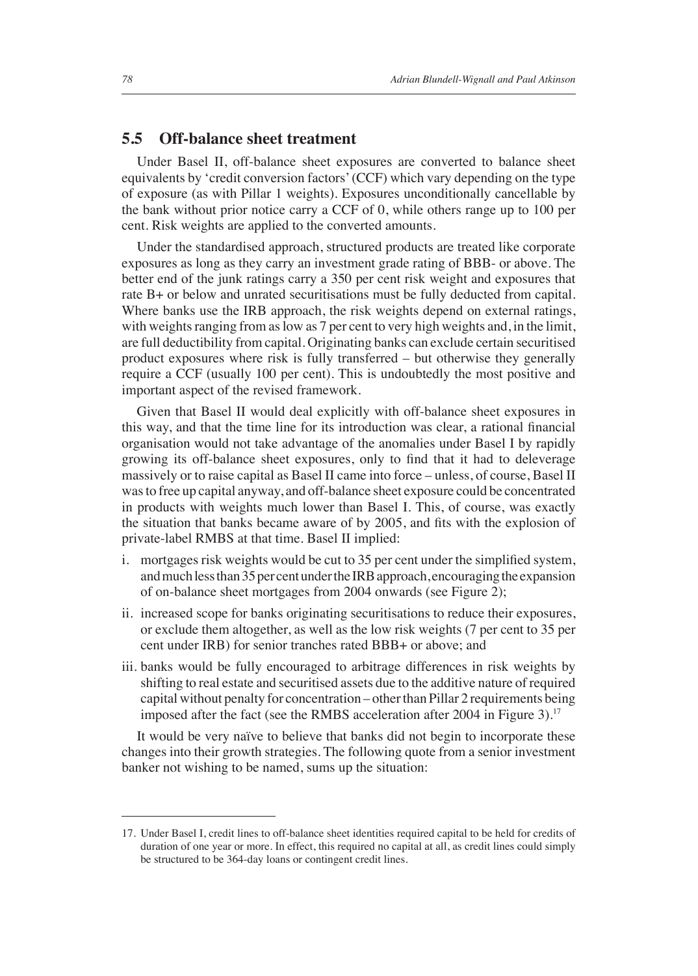#### **5.5 Off-balance sheet treatment**

Under Basel II, off-balance sheet exposures are converted to balance sheet equivalents by 'credit conversion factors' (CCF) which vary depending on the type of exposure (as with Pillar 1 weights). Exposures unconditionally cancellable by the bank without prior notice carry a CCF of 0, while others range up to 100 per cent. Risk weights are applied to the converted amounts.

Under the standardised approach, structured products are treated like corporate exposures as long as they carry an investment grade rating of BBB- or above. The better end of the junk ratings carry a 350 per cent risk weight and exposures that rate B+ or below and unrated securitisations must be fully deducted from capital. Where banks use the IRB approach, the risk weights depend on external ratings, with weights ranging from as low as 7 per cent to very high weights and, in the limit, are full deductibility from capital. Originating banks can exclude certain securitised product exposures where risk is fully transferred – but otherwise they generally require a CCF (usually 100 per cent). This is undoubtedly the most positive and important aspect of the revised framework.

Given that Basel II would deal explicitly with off-balance sheet exposures in this way, and that the time line for its introduction was clear, a rational financial organisation would not take advantage of the anomalies under Basel I by rapidly growing its off-balance sheet exposures, only to find that it had to deleverage massively or to raise capital as Basel II came into force – unless, of course, Basel II was to free up capital anyway, and off-balance sheet exposure could be concentrated in products with weights much lower than Basel I. This, of course, was exactly the situation that banks became aware of by 2005, and fits with the explosion of private-label RMBS at that time. Basel II implied:

- i. mortgages risk weights would be cut to 35 per cent under the simplified system, and much less than 35 per cent under the IRB approach, encouraging the expansion of on-balance sheet mortgages from 2004 onwards (see Figure 2);
- ii. increased scope for banks originating securitisations to reduce their exposures, or exclude them altogether, as well as the low risk weights (7 per cent to 35 per cent under IRB) for senior tranches rated BBB+ or above; and
- iii. banks would be fully encouraged to arbitrage differences in risk weights by shifting to real estate and securitised assets due to the additive nature of required capital without penalty for concentration – other than Pillar 2 requirements being imposed after the fact (see the RMBS acceleration after 2004 in Figure 3).<sup>17</sup>

It would be very naïve to believe that banks did not begin to incorporate these changes into their growth strategies. The following quote from a senior investment banker not wishing to be named, sums up the situation:

<sup>17.</sup> Under Basel I, credit lines to off-balance sheet identities required capital to be held for credits of duration of one year or more. In effect, this required no capital at all, as credit lines could simply be structured to be 364-day loans or contingent credit lines.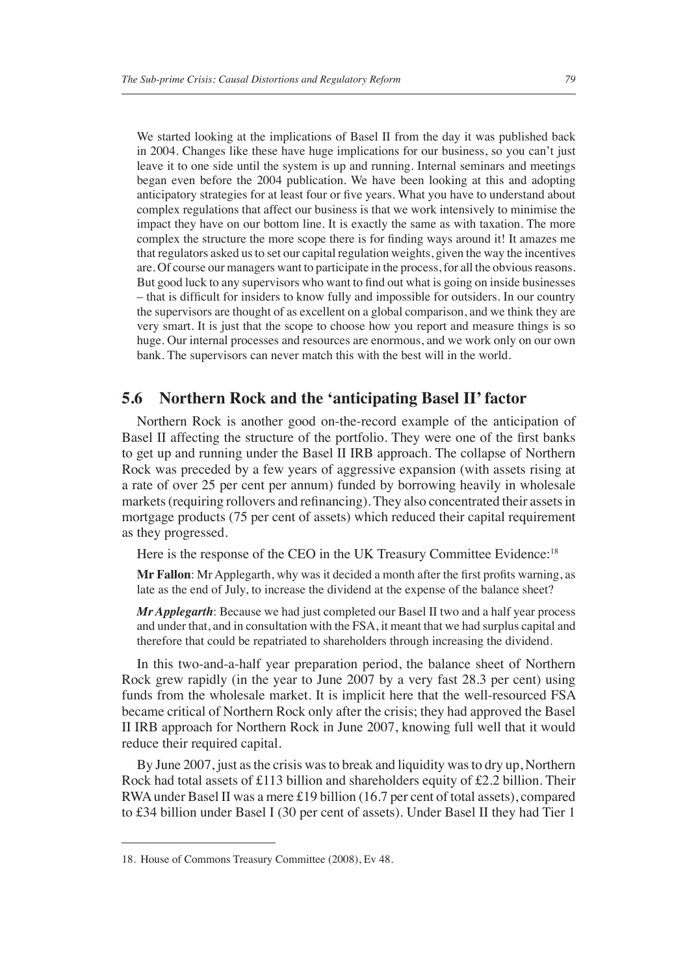We started looking at the implications of Basel II from the day it was published back in 2004. Changes like these have huge implications for our business, so you can't just leave it to one side until the system is up and running. Internal seminars and meetings began even before the 2004 publication. We have been looking at this and adopting anticipatory strategies for at least four or five years. What you have to understand about complex regulations that affect our business is that we work intensively to minimise the impact they have on our bottom line. It is exactly the same as with taxation. The more complex the structure the more scope there is for finding ways around it! It amazes me that regulators asked us to set our capital regulation weights, given the way the incentives are. Of course our managers want to participate in the process, for all the obvious reasons. But good luck to any supervisors who want to find out what is going on inside businesses – that is difficult for insiders to know fully and impossible for outsiders. In our country the supervisors are thought of as excellent on a global comparison, and we think they are very smart. It is just that the scope to choose how you report and measure things is so huge. Our internal processes and resources are enormous, and we work only on our own bank. The supervisors can never match this with the best will in the world.

#### **5.6 Northern Rock and the 'anticipating Basel II' factor**

Northern Rock is another good on-the-record example of the anticipation of Basel II affecting the structure of the portfolio. They were one of the first banks to get up and running under the Basel II IRB approach. The collapse of Northern Rock was preceded by a few years of aggressive expansion (with assets rising at a rate of over 25 per cent per annum) funded by borrowing heavily in wholesale markets (requiring rollovers and refinancing). They also concentrated their assets in mortgage products (75 per cent of assets) which reduced their capital requirement as they progressed.

Here is the response of the CEO in the UK Treasury Committee Evidence:<sup>18</sup>

**Mr Fallon:** Mr Applegarth, why was it decided a month after the first profits warning, as late as the end of July, to increase the dividend at the expense of the balance sheet?

*Mr Applegarth*: Because we had just completed our Basel II two and a half year process and under that, and in consultation with the FSA, it meant that we had surplus capital and therefore that could be repatriated to shareholders through increasing the dividend.

In this two-and-a-half year preparation period, the balance sheet of Northern Rock grew rapidly (in the year to June 2007 by a very fast 28.3 per cent) using funds from the wholesale market. It is implicit here that the well-resourced FSA became critical of Northern Rock only after the crisis; they had approved the Basel II IRB approach for Northern Rock in June 2007, knowing full well that it would reduce their required capital.

By June 2007, just as the crisis was to break and liquidity was to dry up, Northern Rock had total assets of £113 billion and shareholders equity of £2.2 billion. Their RWA under Basel II was a mere £19 billion (16.7 per cent of total assets), compared to £34 billion under Basel I (30 per cent of assets). Under Basel II they had Tier 1

<sup>18.</sup> House of Commons Treasury Committee (2008), Ev 48.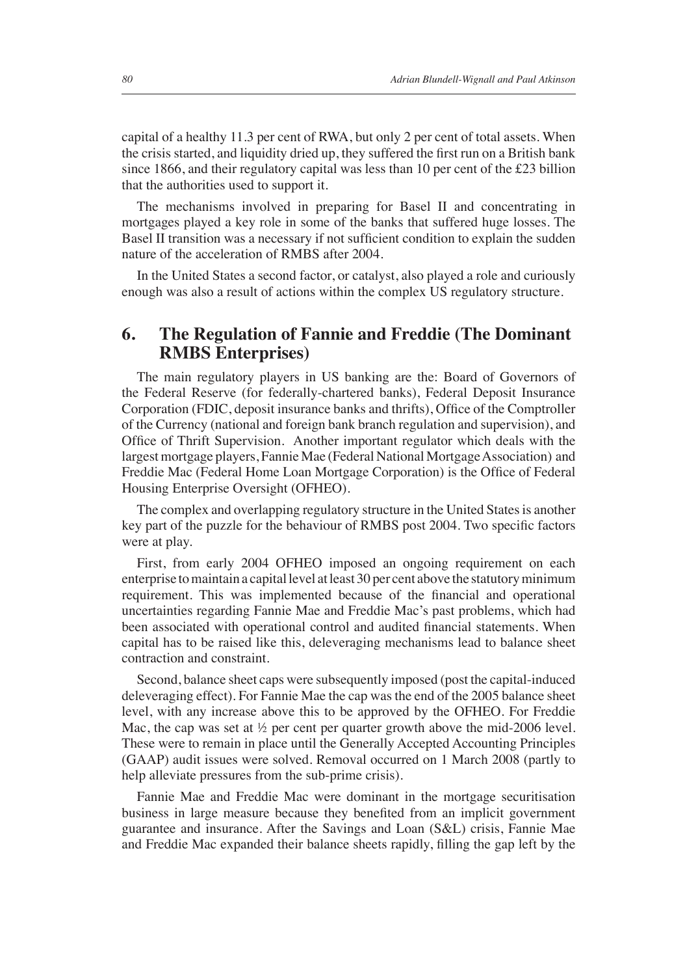capital of a healthy 11.3 per cent of RWA, but only 2 per cent of total assets. When the crisis started, and liquidity dried up, they suffered the first run on a British bank since 1866, and their regulatory capital was less than 10 per cent of the £23 billion that the authorities used to support it.

The mechanisms involved in preparing for Basel II and concentrating in mortgages played a key role in some of the banks that suffered huge losses. The Basel II transition was a necessary if not sufficient condition to explain the sudden nature of the acceleration of RMBS after 2004.

In the United States a second factor, or catalyst, also played a role and curiously enough was also a result of actions within the complex US regulatory structure.

### **6. The Regulation of Fannie and Freddie (The Dominant RMBS Enterprises)**

The main regulatory players in US banking are the: Board of Governors of the Federal Reserve (for federally-chartered banks), Federal Deposit Insurance Corporation (FDIC, deposit insurance banks and thrifts), Office of the Comptroller of the Currency (national and foreign bank branch regulation and supervision), and Office of Thrift Supervision. Another important regulator which deals with the largest mortgage players, Fannie Mae (Federal National Mortgage Association) and Freddie Mac (Federal Home Loan Mortgage Corporation) is the Office of Federal Housing Enterprise Oversight (OFHEO).

The complex and overlapping regulatory structure in the United States is another key part of the puzzle for the behaviour of RMBS post 2004. Two specific factors were at play.

First, from early 2004 OFHEO imposed an ongoing requirement on each enterprise to maintain a capital level at least 30 per cent above the statutory minimum requirement. This was implemented because of the financial and operational uncertainties regarding Fannie Mae and Freddie Mac's past problems, which had been associated with operational control and audited financial statements. When capital has to be raised like this, deleveraging mechanisms lead to balance sheet contraction and constraint.

Second, balance sheet caps were subsequently imposed (post the capital-induced deleveraging effect). For Fannie Mae the cap was the end of the 2005 balance sheet level, with any increase above this to be approved by the OFHEO. For Freddie Mac, the cap was set at  $\frac{1}{2}$  per cent per quarter growth above the mid-2006 level. These were to remain in place until the Generally Accepted Accounting Principles (GAAP) audit issues were solved. Removal occurred on 1 March 2008 (partly to help alleviate pressures from the sub-prime crisis).

Fannie Mae and Freddie Mac were dominant in the mortgage securitisation business in large measure because they benefited from an implicit government guarantee and insurance. After the Savings and Loan (S&L) crisis, Fannie Mae and Freddie Mac expanded their balance sheets rapidly, filling the gap left by the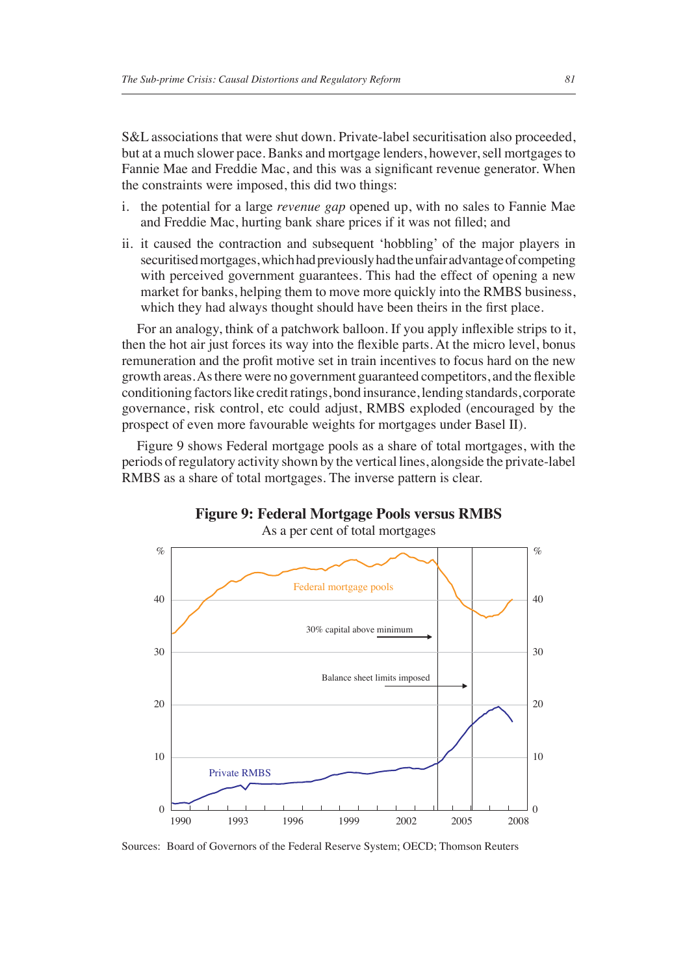S&L associations that were shut down. Private-label securitisation also proceeded, but at a much slower pace. Banks and mortgage lenders, however, sell mortgages to Fannie Mae and Freddie Mac, and this was a significant revenue generator. When the constraints were imposed, this did two things:

- i. the potential for a large *revenue gap* opened up, with no sales to Fannie Mae and Freddie Mac, hurting bank share prices if it was not filled; and
- ii. it caused the contraction and subsequent 'hobbling' of the major players in securitised mortgages, which had previously had the unfair advantage of competing with perceived government guarantees. This had the effect of opening a new market for banks, helping them to move more quickly into the RMBS business, which they had always thought should have been theirs in the first place.

For an analogy, think of a patchwork balloon. If you apply inflexible strips to it, then the hot air just forces its way into the flexible parts. At the micro level, bonus remuneration and the profit motive set in train incentives to focus hard on the new growth areas. As there were no government guaranteed competitors, and the flexible conditioning factors like credit ratings, bond insurance, lending standards, corporate governance, risk control, etc could adjust, RMBS exploded (encouraged by the prospect of even more favourable weights for mortgages under Basel II).

Figure 9 shows Federal mortgage pools as a share of total mortgages, with the periods of regulatory activity shown by the vertical lines, alongside the private-label RMBS as a share of total mortgages. The inverse pattern is clear.



**Figure 9: Federal Mortgage Pools versus RMBS**

Sources: Board of Governors of the Federal Reserve System; OECD; Thomson Reuters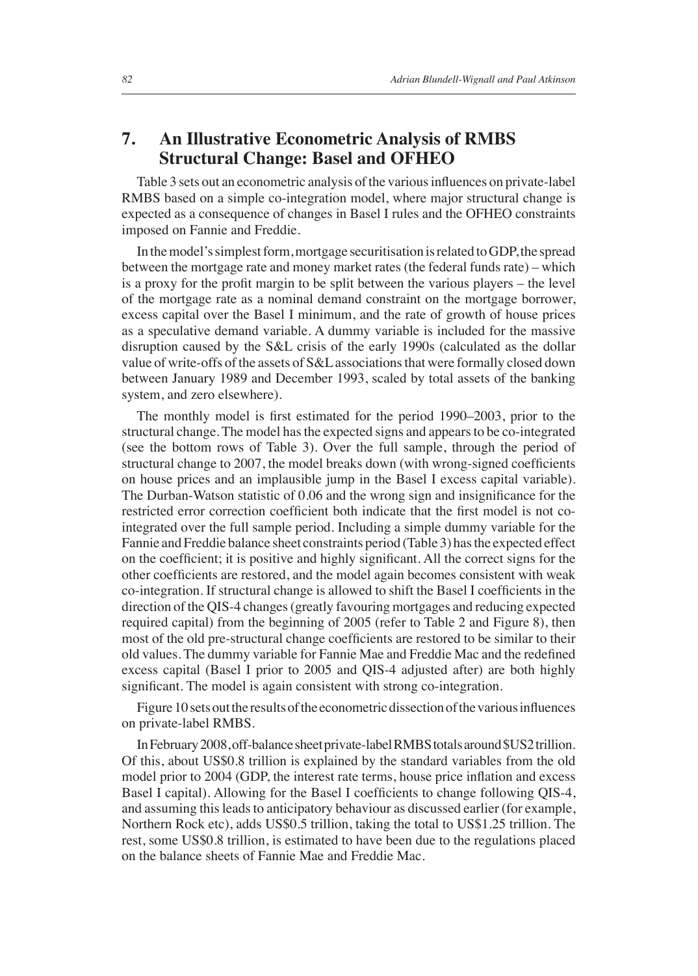#### **7. An Illustrative Econometric Analysis of RMBS Structural Change: Basel and OFHEO**

Table 3 sets out an econometric analysis of the various influences on private-label RMBS based on a simple co-integration model, where major structural change is expected as a consequence of changes in Basel I rules and the OFHEO constraints imposed on Fannie and Freddie.

In the model's simplest form, mortgage securitisation is related to GDP, the spread between the mortgage rate and money market rates (the federal funds rate) – which is a proxy for the profit margin to be split between the various players – the level of the mortgage rate as a nominal demand constraint on the mortgage borrower, excess capital over the Basel I minimum, and the rate of growth of house prices as a speculative demand variable. A dummy variable is included for the massive disruption caused by the S&L crisis of the early 1990s (calculated as the dollar value of write-offs of the assets of S&L associations that were formally closed down between January 1989 and December 1993, scaled by total assets of the banking system, and zero elsewhere).

The monthly model is first estimated for the period 1990–2003, prior to the structural change. The model has the expected signs and appears to be co-integrated (see the bottom rows of Table 3). Over the full sample, through the period of structural change to 2007, the model breaks down (with wrong-signed coefficients on house prices and an implausible jump in the Basel I excess capital variable). The Durban-Watson statistic of 0.06 and the wrong sign and insignificance for the restricted error correction coefficient both indicate that the first model is not cointegrated over the full sample period. Including a simple dummy variable for the Fannie and Freddie balance sheet constraints period (Table 3) has the expected effect on the coefficient; it is positive and highly significant. All the correct signs for the other coefficients are restored, and the model again becomes consistent with weak co-integration. If structural change is allowed to shift the Basel I coefficients in the direction of the QIS-4 changes (greatly favouring mortgages and reducing expected required capital) from the beginning of 2005 (refer to Table 2 and Figure 8), then most of the old pre-structural change coefficients are restored to be similar to their old values. The dummy variable for Fannie Mae and Freddie Mac and the redefined excess capital (Basel I prior to 2005 and QIS-4 adjusted after) are both highly significant. The model is again consistent with strong co-integration.

Figure 10 sets out the results of the econometric dissection of the various influences on private-label RMBS.

In February 2008, off-balance sheet private-label RMBS totals around \$US2 trillion. Of this, about US\$0.8 trillion is explained by the standard variables from the old model prior to 2004 (GDP, the interest rate terms, house price inflation and excess Basel I capital). Allowing for the Basel I coefficients to change following QIS-4, and assuming this leads to anticipatory behaviour as discussed earlier (for example, Northern Rock etc), adds US\$0.5 trillion, taking the total to US\$1.25 trillion. The rest, some US\$0.8 trillion, is estimated to have been due to the regulations placed on the balance sheets of Fannie Mae and Freddie Mac.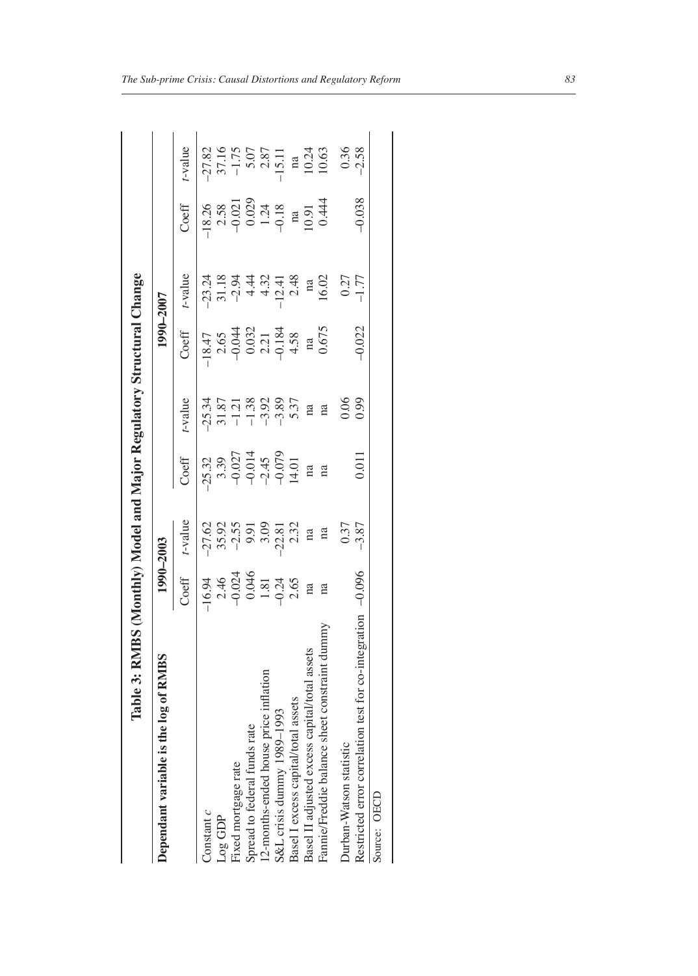| log of RMBS<br>Dependant variable is the             |                                                                              | 1990-2003                                                                         |                                                                                           |                                                                                                                                                                               | 1990-2007                                                                                           |            |                                                                                  |                                                                                           |
|------------------------------------------------------|------------------------------------------------------------------------------|-----------------------------------------------------------------------------------|-------------------------------------------------------------------------------------------|-------------------------------------------------------------------------------------------------------------------------------------------------------------------------------|-----------------------------------------------------------------------------------------------------|------------|----------------------------------------------------------------------------------|-------------------------------------------------------------------------------------------|
|                                                      | Coeff                                                                        | $t$ -value                                                                        | Coeff                                                                                     | t-value                                                                                                                                                                       | Coeff                                                                                               | $t$ -value | Coeff                                                                            | -value                                                                                    |
| Constant c                                           |                                                                              |                                                                                   |                                                                                           |                                                                                                                                                                               |                                                                                                     |            |                                                                                  |                                                                                           |
| JOE GDP                                              | $-1694$<br>$-2.46$<br>$-0.024$<br>$-0.034$<br>$-1.81$<br>$-0.34$<br>$-0.046$ | $77,62$<br>$75,95$<br>$75,95$<br>$75,95$<br>$75,75$<br>$75,75$<br>$75,75$<br>$18$ | $25.32$<br>$3.39$<br>$-0.027$<br>$-0.014$<br>$-0.079$<br>$-0.079$<br>$-0.079$<br>$-0.071$ | $-25.34$<br>$-1.38$<br>$-1.38$<br>$-1.38$<br>$-1.38$<br>$-1.38$<br>$-1.38$<br>$-1.38$<br>$-1.38$<br>$-1.38$<br>$-1.38$<br>$-1.38$<br>$-1.38$<br>$-1.38$<br>$-1.38$<br>$-1.38$ |                                                                                                     |            |                                                                                  |                                                                                           |
| ixed mortgage rate                                   |                                                                              |                                                                                   |                                                                                           |                                                                                                                                                                               |                                                                                                     |            |                                                                                  |                                                                                           |
| Spread to federal funds rate                         |                                                                              |                                                                                   |                                                                                           |                                                                                                                                                                               |                                                                                                     |            |                                                                                  |                                                                                           |
| 12-months-ended house price inflation                |                                                                              |                                                                                   |                                                                                           |                                                                                                                                                                               |                                                                                                     |            |                                                                                  |                                                                                           |
| S&L crisis dummy 1989-1993                           |                                                                              |                                                                                   |                                                                                           |                                                                                                                                                                               |                                                                                                     |            |                                                                                  |                                                                                           |
| Basel I excess capital/total assets                  |                                                                              |                                                                                   |                                                                                           |                                                                                                                                                                               |                                                                                                     |            |                                                                                  |                                                                                           |
| Basel II adjusted excess capital/total assets        | na                                                                           |                                                                                   | na                                                                                        |                                                                                                                                                                               | 18.47<br>$2.65$<br>$-0.044$<br>$-0.032$<br>$-0.184$<br>$-0.184$<br>$+58$<br>$+58$<br>$+58$<br>$+58$ |            | $18.26$<br>$2.58$<br>$2.58$<br>$0.021$<br>$0.029$<br>$1.24$<br>$0.91$<br>$0.444$ |                                                                                           |
| Fannie/Freddie balance sheet constraint dummy        | na                                                                           | n <sub>a</sub>                                                                    | na                                                                                        | na                                                                                                                                                                            |                                                                                                     |            |                                                                                  | $-27.82$<br>$37.16$<br>$-1.75$<br>$-1.75$<br>$-1.5.11$<br>$-1.5.11$<br>$-1.63$<br>$-1.63$ |
| Ourban-Watson statistic                              |                                                                              |                                                                                   |                                                                                           |                                                                                                                                                                               |                                                                                                     |            |                                                                                  |                                                                                           |
| Restricted error correlation test for co-integration | $-0.096$                                                                     | $0.37$<br>-3.87                                                                   | 0.011                                                                                     | 0.06                                                                                                                                                                          | 0.022                                                                                               |            | $-0.038$                                                                         | $0.36$<br>$-2.58$                                                                         |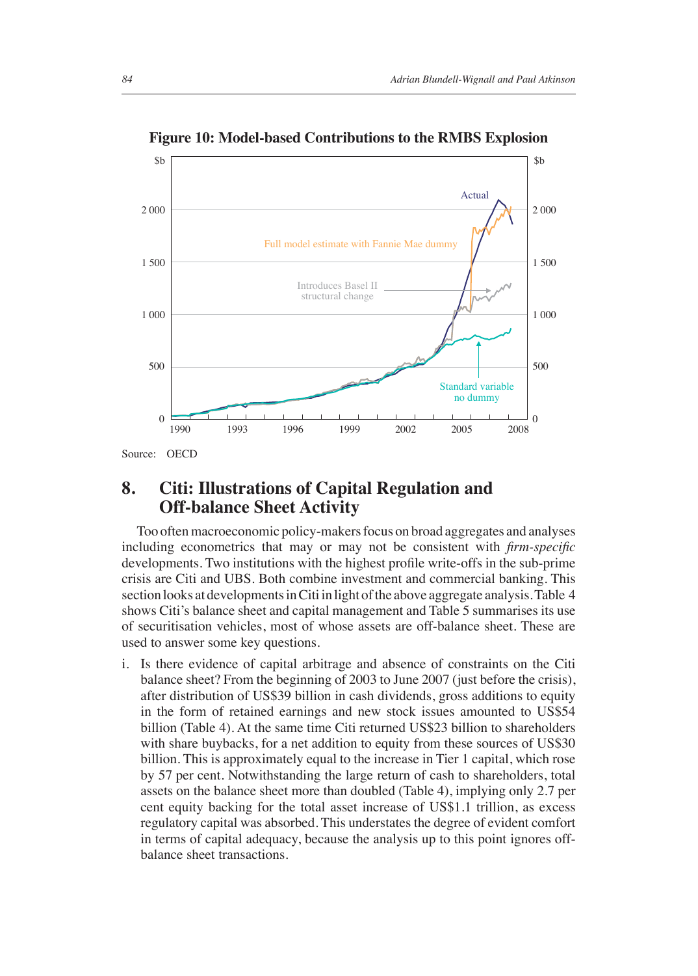

**Figure 10: Model-based Contributions to the RMBS Explosion**

#### **8. Citi: Illustrations of Capital Regulation and Off-balance Sheet Activity**

Too often macroeconomic policy-makers focus on broad aggregates and analyses including econometrics that may or may not be consistent with *firm-specific* developments. Two institutions with the highest profile write-offs in the sub-prime crisis are Citi and UBS. Both combine investment and commercial banking. This section looks at developments in Citi in light of the above aggregate analysis. Table 4 shows Citi's balance sheet and capital management and Table 5 summarises its use of securitisation vehicles, most of whose assets are off-balance sheet. These are used to answer some key questions.

i. Is there evidence of capital arbitrage and absence of constraints on the Citi balance sheet? From the beginning of 2003 to June 2007 (just before the crisis), after distribution of US\$39 billion in cash dividends, gross additions to equity in the form of retained earnings and new stock issues amounted to US\$54 billion (Table 4). At the same time Citi returned US\$23 billion to shareholders with share buybacks, for a net addition to equity from these sources of US\$30 billion. This is approximately equal to the increase in Tier 1 capital, which rose by 57 per cent. Notwithstanding the large return of cash to shareholders, total assets on the balance sheet more than doubled (Table 4), implying only 2.7 per cent equity backing for the total asset increase of US\$1.1 trillion, as excess regulatory capital was absorbed. This understates the degree of evident comfort in terms of capital adequacy, because the analysis up to this point ignores offbalance sheet transactions.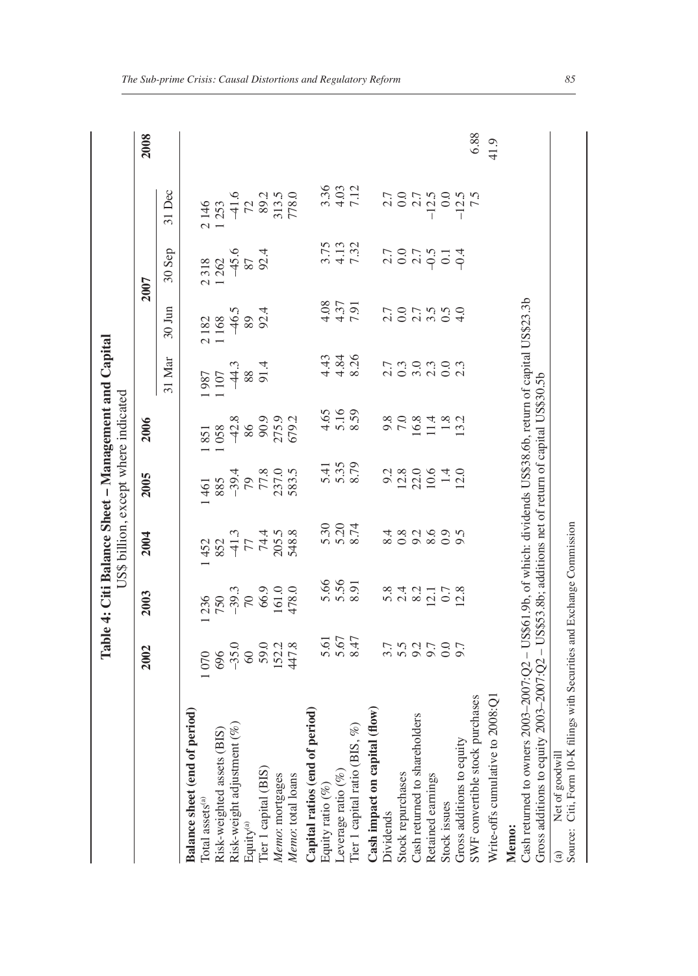|              |        |               | Table 4: Citi Balance Sheet - Management and Capital<br>US\$ billion, except where indicated |               |               |               |           |                                                                     |                    |    |
|--------------|--------|---------------|----------------------------------------------------------------------------------------------|---------------|---------------|---------------|-----------|---------------------------------------------------------------------|--------------------|----|
|              | 2002   | 2003          | 2004                                                                                         | 2005          | 2006          |               |           | 2007                                                                |                    | ິລ |
|              |        |               |                                                                                              |               |               |               |           | $31 \text{ Mar}$ $30 \text{ Jun}$ $30 \text{ Sep}$ $31 \text{ Dec}$ |                    |    |
| <b>iriod</b> |        |               |                                                                                              |               |               |               |           |                                                                     |                    |    |
|              | 070    | 1236          | 1452                                                                                         | 1461          | 1851          | 1987          | 2182      | 2318                                                                | 2146               |    |
| ί            | $\sim$ | $\frac{1}{2}$ | $\frac{1}{2}$                                                                                | $\frac{1}{2}$ | $\frac{1}{2}$ | $\frac{1}{2}$ | $-1$ $-1$ | $\sim$ $\sim$ $\sim$                                                | $\tilde{\epsilon}$ |    |

|                                                                                                                                                                                                                      | 2002                                                                                        | 2003                                                           | 2004                                                                | 2005                                                           | 2006                                                                                 |                                                                            |                                 | 2007                                   |                                                                                                                                                                                                                                                                                                                                                 | 2008 |
|----------------------------------------------------------------------------------------------------------------------------------------------------------------------------------------------------------------------|---------------------------------------------------------------------------------------------|----------------------------------------------------------------|---------------------------------------------------------------------|----------------------------------------------------------------|--------------------------------------------------------------------------------------|----------------------------------------------------------------------------|---------------------------------|----------------------------------------|-------------------------------------------------------------------------------------------------------------------------------------------------------------------------------------------------------------------------------------------------------------------------------------------------------------------------------------------------|------|
|                                                                                                                                                                                                                      |                                                                                             |                                                                |                                                                     |                                                                |                                                                                      | 31 Mar                                                                     | $30 \text{ Jun}$                | 30 Sep                                 | $31$ Dec                                                                                                                                                                                                                                                                                                                                        |      |
| Balance sheet (end of period)                                                                                                                                                                                        |                                                                                             |                                                                |                                                                     |                                                                |                                                                                      |                                                                            |                                 |                                        |                                                                                                                                                                                                                                                                                                                                                 |      |
| Total assets <sup>(a)</sup>                                                                                                                                                                                          |                                                                                             |                                                                |                                                                     |                                                                |                                                                                      | $\begin{array}{c}\n 1.987 \\  1.107 \\  +4.3 \\  88\n \end{array}$<br>91.4 | 2182<br>1168<br>146.5<br>99.4   | 2 318<br>1 262<br>1 45.6<br>87<br>92.4 |                                                                                                                                                                                                                                                                                                                                                 |      |
| Risk-weighted assets (BIS)                                                                                                                                                                                           |                                                                                             |                                                                |                                                                     |                                                                |                                                                                      |                                                                            |                                 |                                        |                                                                                                                                                                                                                                                                                                                                                 |      |
| Risk-weight adjustment (%)                                                                                                                                                                                           |                                                                                             |                                                                |                                                                     |                                                                |                                                                                      |                                                                            |                                 |                                        |                                                                                                                                                                                                                                                                                                                                                 |      |
|                                                                                                                                                                                                                      |                                                                                             |                                                                |                                                                     |                                                                |                                                                                      |                                                                            |                                 |                                        |                                                                                                                                                                                                                                                                                                                                                 |      |
| Equity®<br>Tier 1 capital (BIS)                                                                                                                                                                                      |                                                                                             |                                                                |                                                                     |                                                                |                                                                                      |                                                                            |                                 |                                        |                                                                                                                                                                                                                                                                                                                                                 |      |
|                                                                                                                                                                                                                      |                                                                                             |                                                                |                                                                     |                                                                |                                                                                      |                                                                            |                                 |                                        |                                                                                                                                                                                                                                                                                                                                                 |      |
| Memo: mortgages<br>Memo: total loans                                                                                                                                                                                 | $070$<br>$696$<br>$-35.0$<br>$-35.0$<br>$-35.0$<br>$-35.0$<br>$-35.2$<br>$-35.2$<br>$+47.8$ | $750$<br>$750$<br>$70$<br>$70$<br>$76.9$<br>$161.0$<br>$478.0$ | $452$<br>$857$<br>$77$<br>$745$<br>$763$<br>$763$<br>$763$<br>$763$ | $1461$<br>$885$<br>$-394$<br>$798$<br>$778$<br>$2335$<br>$583$ | $\begin{array}{r} 1851 \\ 1058 \\ -42.8 \\ 86 \\ 90.9 \\ 775.9 \\ 679.2 \end{array}$ |                                                                            |                                 |                                        | $2146$<br>$1253$<br>$-41.6$<br>$72.3$<br>$313.5$<br>$313.5$<br>$778.0$                                                                                                                                                                                                                                                                          |      |
| Capital ratios (end of period                                                                                                                                                                                        |                                                                                             |                                                                |                                                                     |                                                                |                                                                                      |                                                                            |                                 |                                        |                                                                                                                                                                                                                                                                                                                                                 |      |
| Equity ratio (%)                                                                                                                                                                                                     |                                                                                             |                                                                |                                                                     |                                                                |                                                                                      |                                                                            |                                 |                                        |                                                                                                                                                                                                                                                                                                                                                 |      |
| Leverage ratio $(\%)$                                                                                                                                                                                                |                                                                                             | 5.56<br>5.58                                                   | 5.30<br>5.20<br>8.74                                                | 5.35<br>5.35<br>8.79                                           | $4.65$<br>5.16<br>8.59                                                               | 4 3 4 5<br>4 3 5<br>4 7 6                                                  | $74.37$<br>$75$<br>$75$<br>$75$ | $3.75$<br>$7.32$                       | $3.36$<br>$4.03$<br>$7.12$                                                                                                                                                                                                                                                                                                                      |      |
| Tier 1 capital ratio (BIS, %)                                                                                                                                                                                        | 5.67<br>5.67                                                                                |                                                                |                                                                     |                                                                |                                                                                      |                                                                            |                                 |                                        |                                                                                                                                                                                                                                                                                                                                                 |      |
| Cash impact on capital (flow)                                                                                                                                                                                        |                                                                                             |                                                                |                                                                     |                                                                |                                                                                      |                                                                            |                                 |                                        |                                                                                                                                                                                                                                                                                                                                                 |      |
| Dividends                                                                                                                                                                                                            |                                                                                             |                                                                |                                                                     |                                                                |                                                                                      |                                                                            |                                 |                                        |                                                                                                                                                                                                                                                                                                                                                 |      |
| Stock repurchases                                                                                                                                                                                                    |                                                                                             |                                                                |                                                                     |                                                                |                                                                                      |                                                                            |                                 |                                        |                                                                                                                                                                                                                                                                                                                                                 |      |
| Cash returned to shareholders                                                                                                                                                                                        |                                                                                             |                                                                |                                                                     |                                                                |                                                                                      |                                                                            |                                 |                                        |                                                                                                                                                                                                                                                                                                                                                 |      |
| Retained earnings                                                                                                                                                                                                    | 5.5<br>5.50505<br>5.505                                                                     | s a a a 1<br>s a s 1<br>s 1<br>s 1<br>s 1                      | 800809<br>800809                                                    | 22064023202                                                    | $0.8$<br>$0.8$<br>$0.3$<br>$0.4$<br>$0.3$<br>$0.3$<br>$0.4$<br>$0.2$                 | 323333                                                                     | 1011309<br>1011309              | 70797777777                            | $\begin{array}{l} 7.07 \\ 0.07 \\ -1.09 \\ -1.09 \\ -1.09 \\ -1.09 \\ -1.09 \\ -1.09 \\ -1.09 \\ -1.09 \\ -1.09 \\ -1.09 \\ -1.09 \\ -1.09 \\ -1.09 \\ -1.09 \\ -1.09 \\ -1.09 \\ -1.09 \\ -1.09 \\ -1.09 \\ -1.09 \\ -1.09 \\ -1.09 \\ -1.09 \\ -1.09 \\ -1.09 \\ -1.09 \\ -1.09 \\ -1.09 \\ -1.09 \\ -1.09 \\ -1.09 \\ -1.09 \\ -1.09 \\ -1.$ |      |
| Stock issues                                                                                                                                                                                                         |                                                                                             |                                                                |                                                                     |                                                                |                                                                                      |                                                                            |                                 |                                        |                                                                                                                                                                                                                                                                                                                                                 |      |
| Gross additions to equity                                                                                                                                                                                            |                                                                                             |                                                                |                                                                     |                                                                |                                                                                      |                                                                            |                                 |                                        |                                                                                                                                                                                                                                                                                                                                                 |      |
| SWF convertible stock purchases                                                                                                                                                                                      |                                                                                             |                                                                |                                                                     |                                                                |                                                                                      |                                                                            |                                 |                                        |                                                                                                                                                                                                                                                                                                                                                 | 6.88 |
| Write-offs cumulative to 2008:Q1                                                                                                                                                                                     |                                                                                             |                                                                |                                                                     |                                                                |                                                                                      |                                                                            |                                 |                                        |                                                                                                                                                                                                                                                                                                                                                 | 41.9 |
| Memo:                                                                                                                                                                                                                |                                                                                             |                                                                |                                                                     |                                                                |                                                                                      |                                                                            |                                 |                                        |                                                                                                                                                                                                                                                                                                                                                 |      |
| Cash returned to owners 2003-2007:Q2 - US\$61.9b, of which: dividends US\$38.6b, return of capital US\$23.3b<br>Gross additions to equity $2003-2007$ : Q2 – US\$53.8b; additions net of return of capital US\$30.5b |                                                                                             |                                                                |                                                                     |                                                                |                                                                                      |                                                                            |                                 |                                        |                                                                                                                                                                                                                                                                                                                                                 |      |
| Net of goodwill<br>$\widehat{a}$                                                                                                                                                                                     |                                                                                             |                                                                |                                                                     |                                                                |                                                                                      |                                                                            |                                 |                                        |                                                                                                                                                                                                                                                                                                                                                 |      |
| Source: Citi, Form 10-K filings with Securities and Exchange Commission                                                                                                                                              |                                                                                             |                                                                |                                                                     |                                                                |                                                                                      |                                                                            |                                 |                                        |                                                                                                                                                                                                                                                                                                                                                 |      |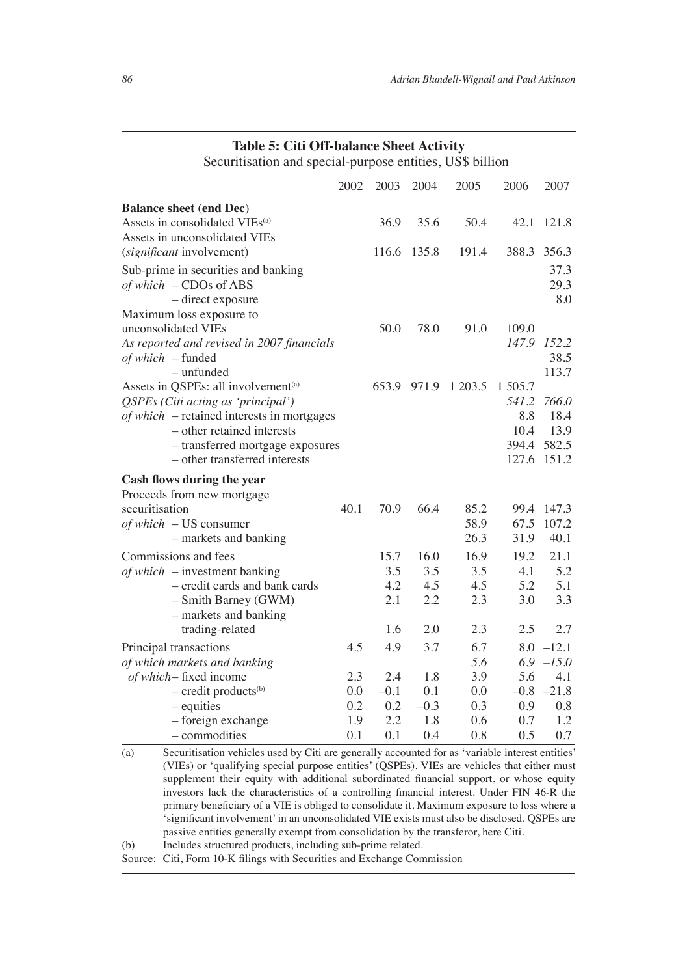| 2006<br>2002<br>2003<br>2004<br>2005<br>Assets in consolidated VIEs <sup>(a)</sup><br>36.9<br>35.6<br>50.4<br>42.1<br>Assets in unconsolidated VIEs<br>(significant involvement)<br>135.8<br>191.4<br>388.3<br>116.6<br>Sub-prime in securities and banking<br>of which - CDOs of ABS<br>- direct exposure<br>Maximum loss exposure to<br>unconsolidated VIEs<br>78.0<br>91.0<br>109.0<br>50.0<br>147.9<br>As reported and revised in 2007 financials<br>of which – funded<br>- unfunded<br>Assets in QSPEs: all involvement <sup>(a)</sup><br>653.9<br>971.9<br>1 203.5<br>1 505.7<br>QSPEs (Citi acting as 'principal')<br>541.2<br>$of which$ – retained interests in mortgages<br>8.8<br>- other retained interests<br>10.4<br>394.4<br>- transferred mortgage exposures<br>- other transferred interests<br>127.6<br>Cash flows during the year<br>Proceeds from new mortgage<br>70.9<br>securitisation<br>40.1<br>66.4<br>85.2<br>99.4<br>58.9<br>of which - US consumer<br>67.5<br>26.3<br>31.9<br>- markets and banking<br>16.9<br>15.7<br>16.0<br>19.2<br>Commissions and fees<br>3.5<br>$of which$ – investment banking<br>3.5<br>3.5<br>4.1<br>4.2<br>4.5<br>4.5<br>5.2<br>- credit cards and bank cards<br>2.1<br>2.2<br>2.3<br>- Smith Barney (GWM)<br>3.0<br>- markets and banking<br>2.0<br>2.3<br>2.5<br>trading-related<br>1.6<br>4.9<br>6.7<br>4.5<br>3.7<br>8.0<br>Principal transactions<br>5.6<br>6.9<br>of which markets and banking<br>3.9<br>1.8<br>5.6<br>of which – fixed income<br>2.3<br>2.4<br>0.0<br>$-0.1$<br>0.1<br>$-0.8$<br>$-$ credit products <sup>(b)</sup><br>0.0<br>0.2<br>0.2<br>$-0.3$<br>0.3<br>$-$ equities<br>0.9<br>2.2<br>0.6<br>0.7<br>- foreign exchange<br>1.9<br>1.8 | Table 5: Chi Oli-balance Sheet Activity<br>Securitisation and special-purpose entities, US\$ billion |  |  |      |
|------------------------------------------------------------------------------------------------------------------------------------------------------------------------------------------------------------------------------------------------------------------------------------------------------------------------------------------------------------------------------------------------------------------------------------------------------------------------------------------------------------------------------------------------------------------------------------------------------------------------------------------------------------------------------------------------------------------------------------------------------------------------------------------------------------------------------------------------------------------------------------------------------------------------------------------------------------------------------------------------------------------------------------------------------------------------------------------------------------------------------------------------------------------------------------------------------------------------------------------------------------------------------------------------------------------------------------------------------------------------------------------------------------------------------------------------------------------------------------------------------------------------------------------------------------------------------------------------------------------------------------------------------------------------------------------------------------------------|------------------------------------------------------------------------------------------------------|--|--|------|
| 121.8<br>356.3<br>37.3<br>29.3<br>8.0<br>152.2<br>38.5<br>113.7<br>766.0<br>18.4<br>13.9<br>582.5<br>151.2<br>147.3<br>107.2<br>40.1<br>21.1<br>5.2<br>5.1<br>3.3<br>2.7<br>$-12.1$<br>$-15.0$<br>4.1<br>$-21.8$<br>0.8<br>1.2                                                                                                                                                                                                                                                                                                                                                                                                                                                                                                                                                                                                                                                                                                                                                                                                                                                                                                                                                                                                                                                                                                                                                                                                                                                                                                                                                                                                                                                                                         |                                                                                                      |  |  | 2007 |
|                                                                                                                                                                                                                                                                                                                                                                                                                                                                                                                                                                                                                                                                                                                                                                                                                                                                                                                                                                                                                                                                                                                                                                                                                                                                                                                                                                                                                                                                                                                                                                                                                                                                                                                        | <b>Balance sheet (end Dec)</b>                                                                       |  |  |      |
|                                                                                                                                                                                                                                                                                                                                                                                                                                                                                                                                                                                                                                                                                                                                                                                                                                                                                                                                                                                                                                                                                                                                                                                                                                                                                                                                                                                                                                                                                                                                                                                                                                                                                                                        |                                                                                                      |  |  |      |
|                                                                                                                                                                                                                                                                                                                                                                                                                                                                                                                                                                                                                                                                                                                                                                                                                                                                                                                                                                                                                                                                                                                                                                                                                                                                                                                                                                                                                                                                                                                                                                                                                                                                                                                        |                                                                                                      |  |  |      |
|                                                                                                                                                                                                                                                                                                                                                                                                                                                                                                                                                                                                                                                                                                                                                                                                                                                                                                                                                                                                                                                                                                                                                                                                                                                                                                                                                                                                                                                                                                                                                                                                                                                                                                                        |                                                                                                      |  |  |      |
|                                                                                                                                                                                                                                                                                                                                                                                                                                                                                                                                                                                                                                                                                                                                                                                                                                                                                                                                                                                                                                                                                                                                                                                                                                                                                                                                                                                                                                                                                                                                                                                                                                                                                                                        |                                                                                                      |  |  |      |
|                                                                                                                                                                                                                                                                                                                                                                                                                                                                                                                                                                                                                                                                                                                                                                                                                                                                                                                                                                                                                                                                                                                                                                                                                                                                                                                                                                                                                                                                                                                                                                                                                                                                                                                        |                                                                                                      |  |  |      |
|                                                                                                                                                                                                                                                                                                                                                                                                                                                                                                                                                                                                                                                                                                                                                                                                                                                                                                                                                                                                                                                                                                                                                                                                                                                                                                                                                                                                                                                                                                                                                                                                                                                                                                                        |                                                                                                      |  |  |      |
|                                                                                                                                                                                                                                                                                                                                                                                                                                                                                                                                                                                                                                                                                                                                                                                                                                                                                                                                                                                                                                                                                                                                                                                                                                                                                                                                                                                                                                                                                                                                                                                                                                                                                                                        |                                                                                                      |  |  |      |
|                                                                                                                                                                                                                                                                                                                                                                                                                                                                                                                                                                                                                                                                                                                                                                                                                                                                                                                                                                                                                                                                                                                                                                                                                                                                                                                                                                                                                                                                                                                                                                                                                                                                                                                        |                                                                                                      |  |  |      |
|                                                                                                                                                                                                                                                                                                                                                                                                                                                                                                                                                                                                                                                                                                                                                                                                                                                                                                                                                                                                                                                                                                                                                                                                                                                                                                                                                                                                                                                                                                                                                                                                                                                                                                                        |                                                                                                      |  |  |      |
|                                                                                                                                                                                                                                                                                                                                                                                                                                                                                                                                                                                                                                                                                                                                                                                                                                                                                                                                                                                                                                                                                                                                                                                                                                                                                                                                                                                                                                                                                                                                                                                                                                                                                                                        |                                                                                                      |  |  |      |
|                                                                                                                                                                                                                                                                                                                                                                                                                                                                                                                                                                                                                                                                                                                                                                                                                                                                                                                                                                                                                                                                                                                                                                                                                                                                                                                                                                                                                                                                                                                                                                                                                                                                                                                        |                                                                                                      |  |  |      |
|                                                                                                                                                                                                                                                                                                                                                                                                                                                                                                                                                                                                                                                                                                                                                                                                                                                                                                                                                                                                                                                                                                                                                                                                                                                                                                                                                                                                                                                                                                                                                                                                                                                                                                                        |                                                                                                      |  |  |      |
|                                                                                                                                                                                                                                                                                                                                                                                                                                                                                                                                                                                                                                                                                                                                                                                                                                                                                                                                                                                                                                                                                                                                                                                                                                                                                                                                                                                                                                                                                                                                                                                                                                                                                                                        |                                                                                                      |  |  |      |
|                                                                                                                                                                                                                                                                                                                                                                                                                                                                                                                                                                                                                                                                                                                                                                                                                                                                                                                                                                                                                                                                                                                                                                                                                                                                                                                                                                                                                                                                                                                                                                                                                                                                                                                        |                                                                                                      |  |  |      |
|                                                                                                                                                                                                                                                                                                                                                                                                                                                                                                                                                                                                                                                                                                                                                                                                                                                                                                                                                                                                                                                                                                                                                                                                                                                                                                                                                                                                                                                                                                                                                                                                                                                                                                                        |                                                                                                      |  |  |      |
|                                                                                                                                                                                                                                                                                                                                                                                                                                                                                                                                                                                                                                                                                                                                                                                                                                                                                                                                                                                                                                                                                                                                                                                                                                                                                                                                                                                                                                                                                                                                                                                                                                                                                                                        |                                                                                                      |  |  |      |
|                                                                                                                                                                                                                                                                                                                                                                                                                                                                                                                                                                                                                                                                                                                                                                                                                                                                                                                                                                                                                                                                                                                                                                                                                                                                                                                                                                                                                                                                                                                                                                                                                                                                                                                        |                                                                                                      |  |  |      |
|                                                                                                                                                                                                                                                                                                                                                                                                                                                                                                                                                                                                                                                                                                                                                                                                                                                                                                                                                                                                                                                                                                                                                                                                                                                                                                                                                                                                                                                                                                                                                                                                                                                                                                                        |                                                                                                      |  |  |      |
|                                                                                                                                                                                                                                                                                                                                                                                                                                                                                                                                                                                                                                                                                                                                                                                                                                                                                                                                                                                                                                                                                                                                                                                                                                                                                                                                                                                                                                                                                                                                                                                                                                                                                                                        |                                                                                                      |  |  |      |
|                                                                                                                                                                                                                                                                                                                                                                                                                                                                                                                                                                                                                                                                                                                                                                                                                                                                                                                                                                                                                                                                                                                                                                                                                                                                                                                                                                                                                                                                                                                                                                                                                                                                                                                        |                                                                                                      |  |  |      |
|                                                                                                                                                                                                                                                                                                                                                                                                                                                                                                                                                                                                                                                                                                                                                                                                                                                                                                                                                                                                                                                                                                                                                                                                                                                                                                                                                                                                                                                                                                                                                                                                                                                                                                                        |                                                                                                      |  |  |      |
|                                                                                                                                                                                                                                                                                                                                                                                                                                                                                                                                                                                                                                                                                                                                                                                                                                                                                                                                                                                                                                                                                                                                                                                                                                                                                                                                                                                                                                                                                                                                                                                                                                                                                                                        |                                                                                                      |  |  |      |
|                                                                                                                                                                                                                                                                                                                                                                                                                                                                                                                                                                                                                                                                                                                                                                                                                                                                                                                                                                                                                                                                                                                                                                                                                                                                                                                                                                                                                                                                                                                                                                                                                                                                                                                        |                                                                                                      |  |  |      |
|                                                                                                                                                                                                                                                                                                                                                                                                                                                                                                                                                                                                                                                                                                                                                                                                                                                                                                                                                                                                                                                                                                                                                                                                                                                                                                                                                                                                                                                                                                                                                                                                                                                                                                                        |                                                                                                      |  |  |      |
|                                                                                                                                                                                                                                                                                                                                                                                                                                                                                                                                                                                                                                                                                                                                                                                                                                                                                                                                                                                                                                                                                                                                                                                                                                                                                                                                                                                                                                                                                                                                                                                                                                                                                                                        |                                                                                                      |  |  |      |
|                                                                                                                                                                                                                                                                                                                                                                                                                                                                                                                                                                                                                                                                                                                                                                                                                                                                                                                                                                                                                                                                                                                                                                                                                                                                                                                                                                                                                                                                                                                                                                                                                                                                                                                        |                                                                                                      |  |  |      |
|                                                                                                                                                                                                                                                                                                                                                                                                                                                                                                                                                                                                                                                                                                                                                                                                                                                                                                                                                                                                                                                                                                                                                                                                                                                                                                                                                                                                                                                                                                                                                                                                                                                                                                                        |                                                                                                      |  |  |      |
|                                                                                                                                                                                                                                                                                                                                                                                                                                                                                                                                                                                                                                                                                                                                                                                                                                                                                                                                                                                                                                                                                                                                                                                                                                                                                                                                                                                                                                                                                                                                                                                                                                                                                                                        |                                                                                                      |  |  |      |
|                                                                                                                                                                                                                                                                                                                                                                                                                                                                                                                                                                                                                                                                                                                                                                                                                                                                                                                                                                                                                                                                                                                                                                                                                                                                                                                                                                                                                                                                                                                                                                                                                                                                                                                        |                                                                                                      |  |  |      |
|                                                                                                                                                                                                                                                                                                                                                                                                                                                                                                                                                                                                                                                                                                                                                                                                                                                                                                                                                                                                                                                                                                                                                                                                                                                                                                                                                                                                                                                                                                                                                                                                                                                                                                                        |                                                                                                      |  |  |      |
|                                                                                                                                                                                                                                                                                                                                                                                                                                                                                                                                                                                                                                                                                                                                                                                                                                                                                                                                                                                                                                                                                                                                                                                                                                                                                                                                                                                                                                                                                                                                                                                                                                                                                                                        |                                                                                                      |  |  |      |
|                                                                                                                                                                                                                                                                                                                                                                                                                                                                                                                                                                                                                                                                                                                                                                                                                                                                                                                                                                                                                                                                                                                                                                                                                                                                                                                                                                                                                                                                                                                                                                                                                                                                                                                        |                                                                                                      |  |  |      |
| 0.8<br>0.5<br>0.7<br>0.1<br>0.1<br>0.4<br>– commodities                                                                                                                                                                                                                                                                                                                                                                                                                                                                                                                                                                                                                                                                                                                                                                                                                                                                                                                                                                                                                                                                                                                                                                                                                                                                                                                                                                                                                                                                                                                                                                                                                                                                |                                                                                                      |  |  |      |

## **Table 5: Citi Off-balance Sheet Activity**

(a) Securitisation vehicles used by Citi are generally accounted for as 'variable interest entities' (VIEs) or 'qualifying special purpose entities' (QSPEs). VIEs are vehicles that either must supplement their equity with additional subordinated financial support, or whose equity investors lack the characteristics of a controlling financial interest. Under FIN 46-R the primary beneficiary of a VIE is obliged to consolidate it. Maximum exposure to loss where a 'significant involvement' in an unconsolidated VIE exists must also be disclosed. QSPEs are passive entities generally exempt from consolidation by the transferor, here Citi.

(b) Includes structured products, including sub-prime related.

Source: Citi, Form 10-K filings with Securities and Exchange Commission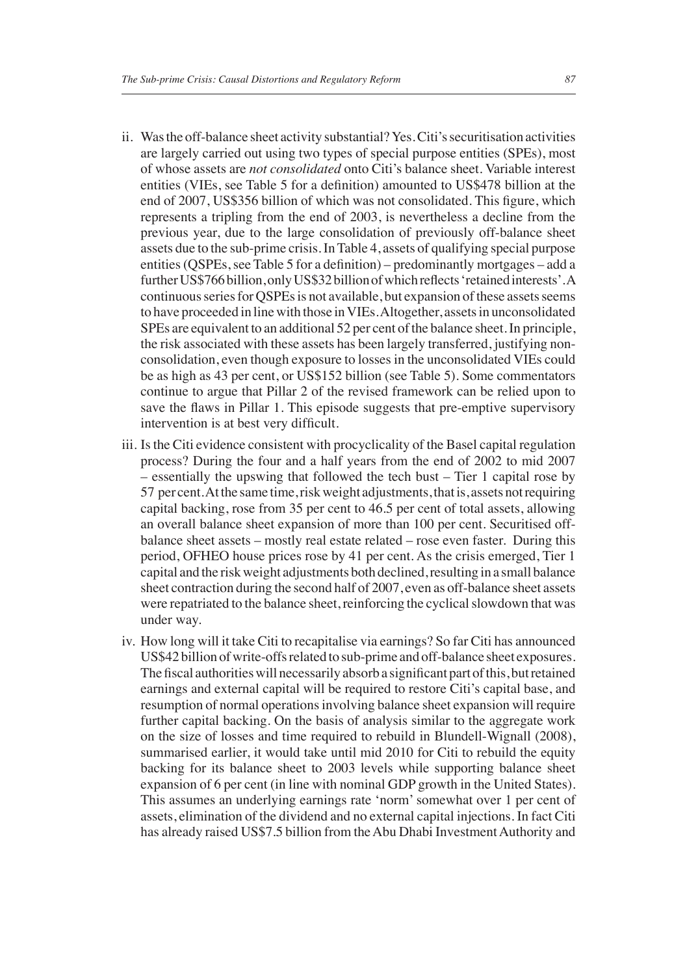- ii. Was the off-balance sheet activity substantial?Yes. Citi's securitisation activities are largely carried out using two types of special purpose entities (SPEs), most of whose assets are *not consolidated* onto Citi's balance sheet. Variable interest entities (VIEs, see Table 5 for a definition) amounted to US\$478 billion at the end of 2007, US\$356 billion of which was not consolidated. This figure, which represents a tripling from the end of 2003, is nevertheless a decline from the previous year, due to the large consolidation of previously off-balance sheet assets due to the sub-prime crisis. In Table 4, assets of qualifying special purpose entities (QSPEs, see Table 5 for a definition) – predominantly mortgages – add a further US\$766 billion, only US\$32 billion of which reflects 'retained interests'. A continuous series for QSPEs is not available, but expansion of these assets seems to have proceeded in line with those in VIEs. Altogether, assets in unconsolidated SPEs are equivalent to an additional 52 per cent of the balance sheet. In principle, the risk associated with these assets has been largely transferred, justifying nonconsolidation, even though exposure to losses in the unconsolidated VIEs could be as high as 43 per cent, or US\$152 billion (see Table 5). Some commentators continue to argue that Pillar 2 of the revised framework can be relied upon to save the flaws in Pillar 1. This episode suggests that pre-emptive supervisory intervention is at best very difficult.
- iii. Is the Citi evidence consistent with procyclicality of the Basel capital regulation process? During the four and a half years from the end of 2002 to mid 2007 – essentially the upswing that followed the tech bust – Tier 1 capital rose by 57 per cent. At the same time, risk weight adjustments, that is, assets not requiring capital backing, rose from 35 per cent to 46.5 per cent of total assets, allowing an overall balance sheet expansion of more than 100 per cent. Securitised offbalance sheet assets – mostly real estate related – rose even faster. During this period, OFHEO house prices rose by 41 per cent. As the crisis emerged, Tier 1 capital and the risk weight adjustments both declined, resulting in a small balance sheet contraction during the second half of 2007, even as off-balance sheet assets were repatriated to the balance sheet, reinforcing the cyclical slowdown that was under way.
- iv. How long will it take Citi to recapitalise via earnings? So far Citi has announced US\$42 billion of write-offs related to sub-prime and off-balance sheet exposures. The fiscal authorities will necessarily absorb a significant part of this, but retained earnings and external capital will be required to restore Citi's capital base, and resumption of normal operations involving balance sheet expansion will require further capital backing. On the basis of analysis similar to the aggregate work on the size of losses and time required to rebuild in Blundell-Wignall (2008), summarised earlier, it would take until mid 2010 for Citi to rebuild the equity backing for its balance sheet to 2003 levels while supporting balance sheet expansion of 6 per cent (in line with nominal GDP growth in the United States). This assumes an underlying earnings rate 'norm' somewhat over 1 per cent of assets, elimination of the dividend and no external capital injections. In fact Citi has already raised US\$7.5 billion from the Abu Dhabi Investment Authority and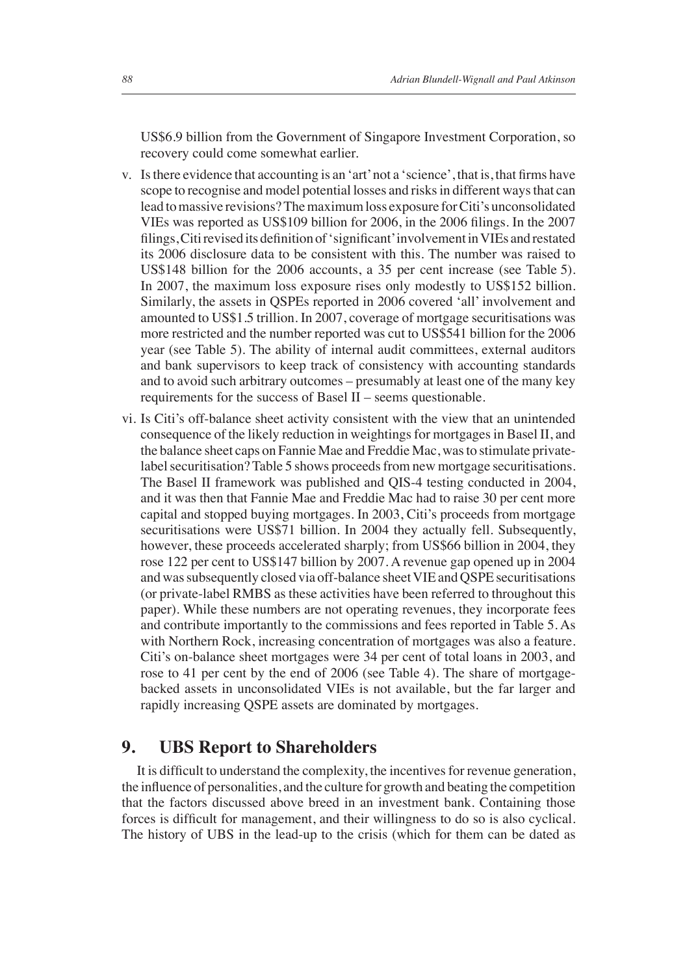US\$6.9 billion from the Government of Singapore Investment Corporation, so recovery could come somewhat earlier.

- v. Is there evidence that accounting is an 'art' not a 'science', that is, that firms have scope to recognise and model potential losses and risks in different ways that can lead to massive revisions?The maximum loss exposure for Citi's unconsolidated VIEs was reported as US\$109 billion for  $2006$ , in the  $2006$  filings. In the  $2007$ filings, Citi revised its definition of 'significant' involvement in VIEs and restated its 2006 disclosure data to be consistent with this. The number was raised to US\$148 billion for the 2006 accounts, a 35 per cent increase (see Table 5). In 2007, the maximum loss exposure rises only modestly to US\$152 billion. Similarly, the assets in QSPEs reported in 2006 covered 'all' involvement and amounted to US\$1.5 trillion. In 2007, coverage of mortgage securitisations was more restricted and the number reported was cut to US\$541 billion for the 2006 year (see Table 5). The ability of internal audit committees, external auditors and bank supervisors to keep track of consistency with accounting standards and to avoid such arbitrary outcomes – presumably at least one of the many key requirements for the success of Basel II – seems questionable.
- vi. Is Citi's off-balance sheet activity consistent with the view that an unintended consequence of the likely reduction in weightings for mortgages in Basel II, and the balance sheet caps on Fannie Mae and Freddie Mac, was to stimulate privatelabel securitisation? Table 5 shows proceeds from new mortgage securitisations. The Basel II framework was published and QIS-4 testing conducted in 2004, and it was then that Fannie Mae and Freddie Mac had to raise 30 per cent more capital and stopped buying mortgages. In 2003, Citi's proceeds from mortgage securitisations were US\$71 billion. In 2004 they actually fell. Subsequently, however, these proceeds accelerated sharply; from US\$66 billion in 2004, they rose 122 per cent to US\$147 billion by 2007. A revenue gap opened up in 2004 and was subsequently closed via off-balance sheet VIE and QSPE securitisations (or private-label RMBS as these activities have been referred to throughout this paper). While these numbers are not operating revenues, they incorporate fees and contribute importantly to the commissions and fees reported in Table 5. As with Northern Rock, increasing concentration of mortgages was also a feature. Citi's on-balance sheet mortgages were 34 per cent of total loans in 2003, and rose to 41 per cent by the end of 2006 (see Table 4). The share of mortgagebacked assets in unconsolidated VIEs is not available, but the far larger and rapidly increasing QSPE assets are dominated by mortgages.

#### **9. UBS Report to Shareholders**

It is difficult to understand the complexity, the incentives for revenue generation, the influence of personalities, and the culture for growth and beating the competition that the factors discussed above breed in an investment bank. Containing those forces is difficult for management, and their willingness to do so is also cyclical. The history of UBS in the lead-up to the crisis (which for them can be dated as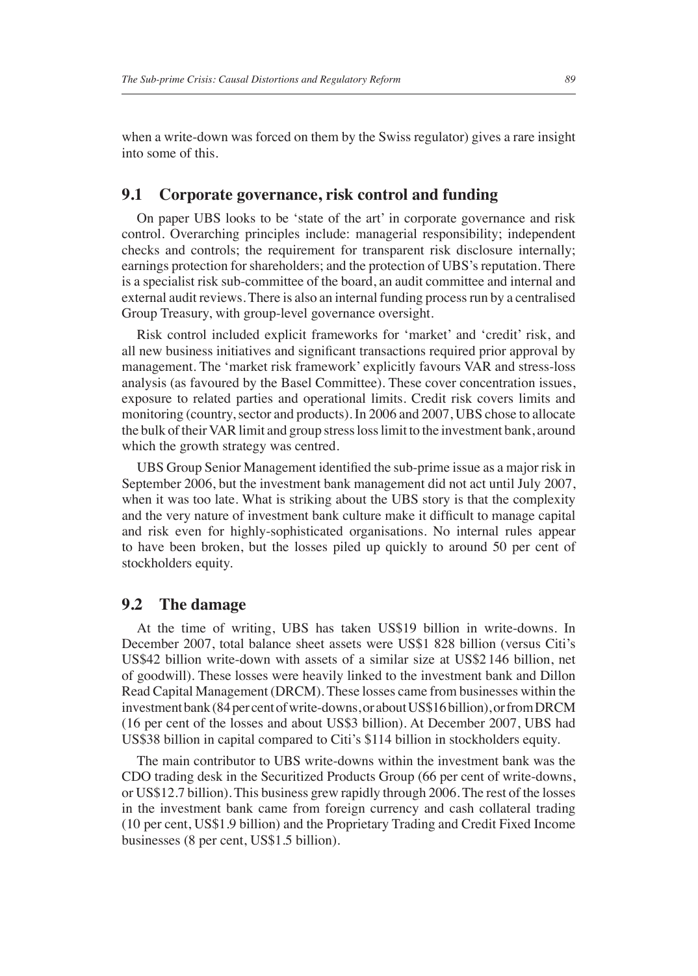when a write-down was forced on them by the Swiss regulator) gives a rare insight into some of this.

#### **9.1 Corporate governance, risk control and funding**

On paper UBS looks to be 'state of the art' in corporate governance and risk control. Overarching principles include: managerial responsibility; independent checks and controls; the requirement for transparent risk disclosure internally; earnings protection for shareholders; and the protection of UBS's reputation. There is a specialist risk sub-committee of the board, an audit committee and internal and external audit reviews. There is also an internal funding process run by a centralised Group Treasury, with group-level governance oversight.

Risk control included explicit frameworks for 'market' and 'credit' risk, and all new business initiatives and significant transactions required prior approval by management. The 'market risk framework' explicitly favours VAR and stress-loss analysis (as favoured by the Basel Committee). These cover concentration issues, exposure to related parties and operational limits. Credit risk covers limits and monitoring (country, sector and products). In 2006 and 2007, UBS chose to allocate the bulk of their VAR limit and group stress loss limit to the investment bank, around which the growth strategy was centred.

UBS Group Senior Management identified the sub-prime issue as a major risk in September 2006, but the investment bank management did not act until July 2007, when it was too late. What is striking about the UBS story is that the complexity and the very nature of investment bank culture make it difficult to manage capital and risk even for highly-sophisticated organisations. No internal rules appear to have been broken, but the losses piled up quickly to around 50 per cent of stockholders equity.

#### **9.2 The damage**

At the time of writing, UBS has taken US\$19 billion in write-downs. In December 2007, total balance sheet assets were US\$1 828 billion (versus Citi's US\$42 billion write-down with assets of a similar size at US\$2 146 billion, net of goodwill). These losses were heavily linked to the investment bank and Dillon Read Capital Management (DRCM). These losses came from businesses within the investment bank (84 per cent of write-downs, or about US\$16 billion), or from DRCM (16 per cent of the losses and about US\$3 billion). At December 2007, UBS had US\$38 billion in capital compared to Citi's \$114 billion in stockholders equity.

The main contributor to UBS write-downs within the investment bank was the CDO trading desk in the Securitized Products Group (66 per cent of write-downs, or US\$12.7 billion). This business grew rapidly through 2006. The rest of the losses in the investment bank came from foreign currency and cash collateral trading (10 per cent, US\$1.9 billion) and the Proprietary Trading and Credit Fixed Income businesses (8 per cent, US\$1.5 billion).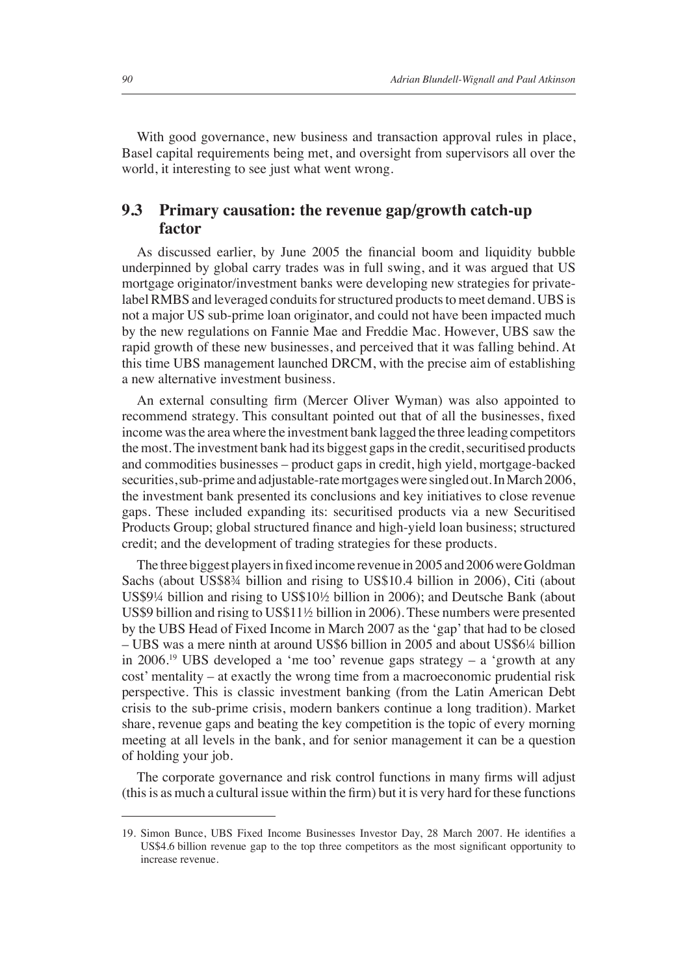With good governance, new business and transaction approval rules in place, Basel capital requirements being met, and oversight from supervisors all over the world, it interesting to see just what went wrong.

#### **9.3 Primary causation: the revenue gap/growth catch-up factor**

As discussed earlier, by June 2005 the financial boom and liquidity bubble underpinned by global carry trades was in full swing, and it was argued that US mortgage originator/investment banks were developing new strategies for privatelabel RMBS and leveraged conduits for structured products to meet demand. UBS is not a major US sub-prime loan originator, and could not have been impacted much by the new regulations on Fannie Mae and Freddie Mac. However, UBS saw the rapid growth of these new businesses, and perceived that it was falling behind. At this time UBS management launched DRCM, with the precise aim of establishing a new alternative investment business.

An external consulting firm (Mercer Oliver Wyman) was also appointed to recommend strategy. This consultant pointed out that of all the businesses, fixed income was the area where the investment bank lagged the three leading competitors the most. The investment bank had its biggest gaps in the credit, securitised products and commodities businesses – product gaps in credit, high yield, mortgage-backed securities, sub-prime and adjustable-rate mortgages were singled out. In March 2006, the investment bank presented its conclusions and key initiatives to close revenue gaps. These included expanding its: securitised products via a new Securitised Products Group; global structured finance and high-yield loan business; structured credit; and the development of trading strategies for these products.

The three biggest players in fixed income revenue in 2005 and 2006 were Goldman Sachs (about US\$8¾ billion and rising to US\$10.4 billion in 2006), Citi (about US\$9¼ billion and rising to US\$10½ billion in 2006); and Deutsche Bank (about US\$9 billion and rising to US\$11½ billion in 2006). These numbers were presented by the UBS Head of Fixed Income in March 2007 as the 'gap' that had to be closed – UBS was a mere ninth at around US\$6 billion in 2005 and about US\$6¼ billion in 2006.19 UBS developed a 'me too' revenue gaps strategy – a 'growth at any cost' mentality – at exactly the wrong time from a macroeconomic prudential risk perspective. This is classic investment banking (from the Latin American Debt crisis to the sub-prime crisis, modern bankers continue a long tradition). Market share, revenue gaps and beating the key competition is the topic of every morning meeting at all levels in the bank, and for senior management it can be a question of holding your job.

The corporate governance and risk control functions in many firms will adjust  $(his is a small and a cultural issue within the firm) but it is very hard for these functions.$ 

<sup>19.</sup> Simon Bunce, UBS Fixed Income Businesses Investor Day, 28 March 2007. He identifies a US\$4.6 billion revenue gap to the top three competitors as the most significant opportunity to increase revenue.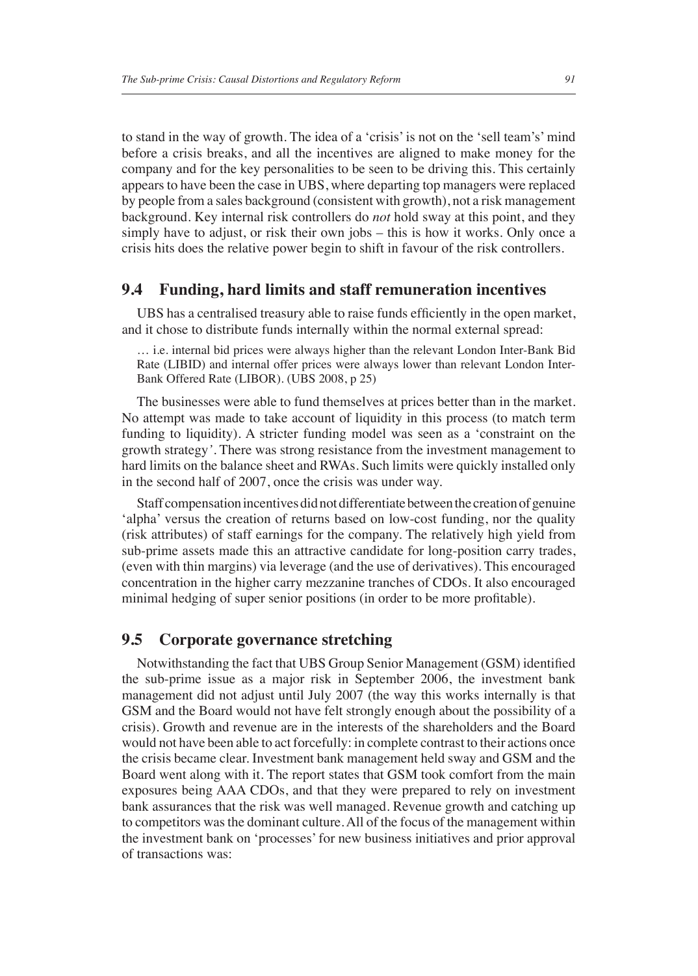to stand in the way of growth. The idea of a 'crisis' is not on the 'sell team's' mind before a crisis breaks, and all the incentives are aligned to make money for the company and for the key personalities to be seen to be driving this. This certainly appears to have been the case in UBS, where departing top managers were replaced by people from a sales background (consistent with growth), not a risk management background. Key internal risk controllers do *not* hold sway at this point, and they simply have to adjust, or risk their own jobs – this is how it works. Only once a crisis hits does the relative power begin to shift in favour of the risk controllers.

#### **9.4 Funding, hard limits and staff remuneration incentives**

UBS has a centralised treasury able to raise funds efficiently in the open market, and it chose to distribute funds internally within the normal external spread:

… i.e. internal bid prices were always higher than the relevant London Inter-Bank Bid Rate (LIBID) and internal offer prices were always lower than relevant London Inter-Bank Offered Rate (LIBOR). (UBS 2008, p 25)

The businesses were able to fund themselves at prices better than in the market. No attempt was made to take account of liquidity in this process (to match term funding to liquidity). A stricter funding model was seen as a 'constraint on the growth strategy*'*. There was strong resistance from the investment management to hard limits on the balance sheet and RWAs. Such limits were quickly installed only in the second half of 2007, once the crisis was under way.

Staff compensation incentives did not differentiate between the creation of genuine 'alpha' versus the creation of returns based on low-cost funding, nor the quality (risk attributes) of staff earnings for the company. The relatively high yield from sub-prime assets made this an attractive candidate for long-position carry trades, (even with thin margins) via leverage (and the use of derivatives). This encouraged concentration in the higher carry mezzanine tranches of CDOs. It also encouraged minimal hedging of super senior positions (in order to be more profitable).

#### **9.5 Corporate governance stretching**

Notwithstanding the fact that UBS Group Senior Management (GSM) identified the sub-prime issue as a major risk in September 2006, the investment bank management did not adjust until July 2007 (the way this works internally is that GSM and the Board would not have felt strongly enough about the possibility of a crisis). Growth and revenue are in the interests of the shareholders and the Board would not have been able to act forcefully: in complete contrast to their actions once the crisis became clear. Investment bank management held sway and GSM and the Board went along with it. The report states that GSM took comfort from the main exposures being AAA CDOs, and that they were prepared to rely on investment bank assurances that the risk was well managed. Revenue growth and catching up to competitors was the dominant culture. All of the focus of the management within the investment bank on 'processes' for new business initiatives and prior approval of transactions was: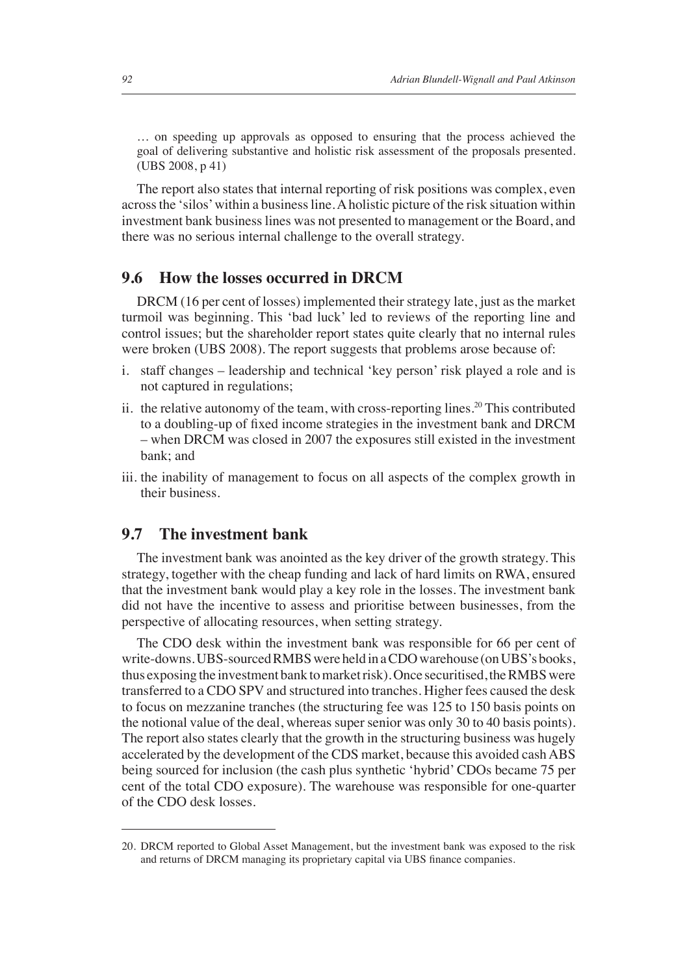… on speeding up approvals as opposed to ensuring that the process achieved the goal of delivering substantive and holistic risk assessment of the proposals presented. (UBS 2008, p 41)

The report also states that internal reporting of risk positions was complex, even across the 'silos' within a business line. A holistic picture of the risk situation within investment bank business lines was not presented to management or the Board, and there was no serious internal challenge to the overall strategy.

#### **9.6 How the losses occurred in DRCM**

DRCM (16 per cent of losses) implemented their strategy late, just as the market turmoil was beginning. This 'bad luck' led to reviews of the reporting line and control issues; but the shareholder report states quite clearly that no internal rules were broken (UBS 2008). The report suggests that problems arose because of:

- i. staff changes leadership and technical 'key person' risk played a role and is not captured in regulations;
- ii. the relative autonomy of the team, with cross-reporting lines.<sup>20</sup> This contributed to a doubling-up of fixed income strategies in the investment bank and DRCM – when DRCM was closed in 2007 the exposures still existed in the investment bank; and
- iii. the inability of management to focus on all aspects of the complex growth in their business.

#### **9.7 The investment bank**

The investment bank was anointed as the key driver of the growth strategy. This strategy, together with the cheap funding and lack of hard limits on RWA, ensured that the investment bank would play a key role in the losses. The investment bank did not have the incentive to assess and prioritise between businesses, from the perspective of allocating resources, when setting strategy.

The CDO desk within the investment bank was responsible for 66 per cent of write-downs. UBS-sourced RMBS were held in a CDO warehouse (on UBS's books, thus exposing the investment bank to market risk). Once securitised, the RMBS were transferred to a CDO SPV and structured into tranches. Higher fees caused the desk to focus on mezzanine tranches (the structuring fee was 125 to 150 basis points on the notional value of the deal, whereas super senior was only 30 to 40 basis points). The report also states clearly that the growth in the structuring business was hugely accelerated by the development of the CDS market, because this avoided cash ABS being sourced for inclusion (the cash plus synthetic 'hybrid' CDOs became 75 per cent of the total CDO exposure). The warehouse was responsible for one-quarter of the CDO desk losses.

<sup>20.</sup> DRCM reported to Global Asset Management, but the investment bank was exposed to the risk and returns of DRCM managing its proprietary capital via UBS finance companies.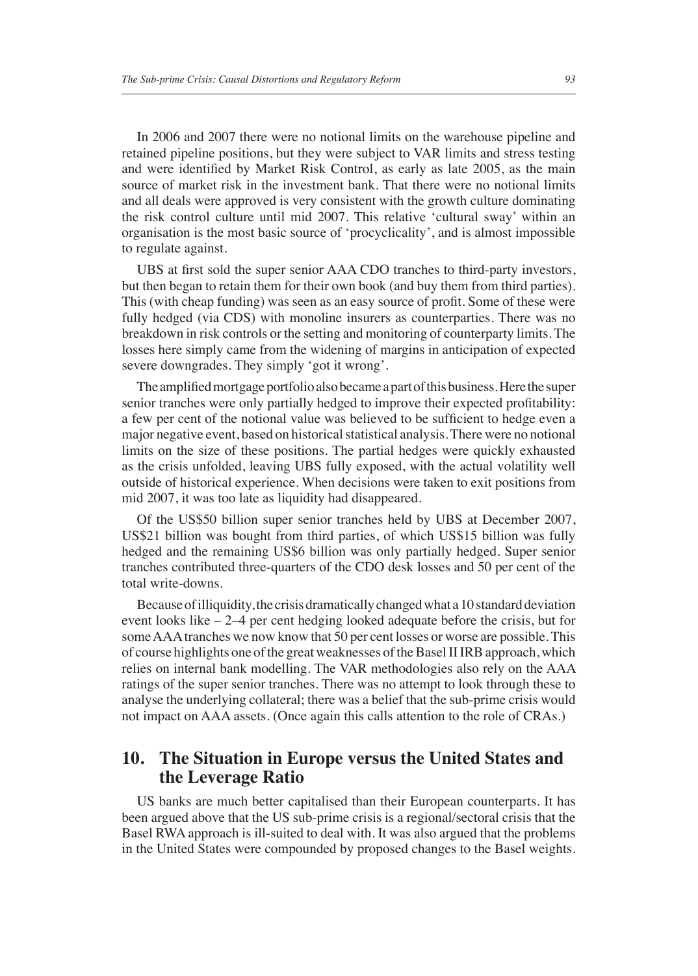In 2006 and 2007 there were no notional limits on the warehouse pipeline and retained pipeline positions, but they were subject to VAR limits and stress testing and were identified by Market Risk Control, as early as late 2005, as the main source of market risk in the investment bank. That there were no notional limits and all deals were approved is very consistent with the growth culture dominating the risk control culture until mid 2007. This relative 'cultural sway' within an organisation is the most basic source of 'procyclicality', and is almost impossible to regulate against.

UBS at first sold the super senior AAA CDO tranches to third-party investors, but then began to retain them for their own book (and buy them from third parties). This (with cheap funding) was seen as an easy source of profit. Some of these were fully hedged (via CDS) with monoline insurers as counterparties. There was no breakdown in risk controls or the setting and monitoring of counterparty limits. The losses here simply came from the widening of margins in anticipation of expected severe downgrades. They simply 'got it wrong'.

The amplified mortgage portfolio also became a part of this business. Here the super senior tranches were only partially hedged to improve their expected profitability: a few per cent of the notional value was believed to be sufficient to hedge even a major negative event, based on historical statistical analysis. There were no notional limits on the size of these positions. The partial hedges were quickly exhausted as the crisis unfolded, leaving UBS fully exposed, with the actual volatility well outside of historical experience. When decisions were taken to exit positions from mid 2007, it was too late as liquidity had disappeared.

Of the US\$50 billion super senior tranches held by UBS at December 2007, US\$21 billion was bought from third parties, of which US\$15 billion was fully hedged and the remaining US\$6 billion was only partially hedged. Super senior tranches contributed three-quarters of the CDO desk losses and 50 per cent of the total write-downs.

Because of illiquidity, the crisis dramatically changed what a 10 standard deviation event looks like – 2–4 per cent hedging looked adequate before the crisis, but for some AAA tranches we now know that 50 per cent losses or worse are possible. This of course highlights one of the great weaknesses of the Basel II IRB approach, which relies on internal bank modelling. The VAR methodologies also rely on the AAA ratings of the super senior tranches. There was no attempt to look through these to analyse the underlying collateral; there was a belief that the sub-prime crisis would not impact on AAA assets. (Once again this calls attention to the role of CRAs.)

#### **10. The Situation in Europe versus the United States and the Leverage Ratio**

US banks are much better capitalised than their European counterparts. It has been argued above that the US sub-prime crisis is a regional/sectoral crisis that the Basel RWA approach is ill-suited to deal with. It was also argued that the problems in the United States were compounded by proposed changes to the Basel weights.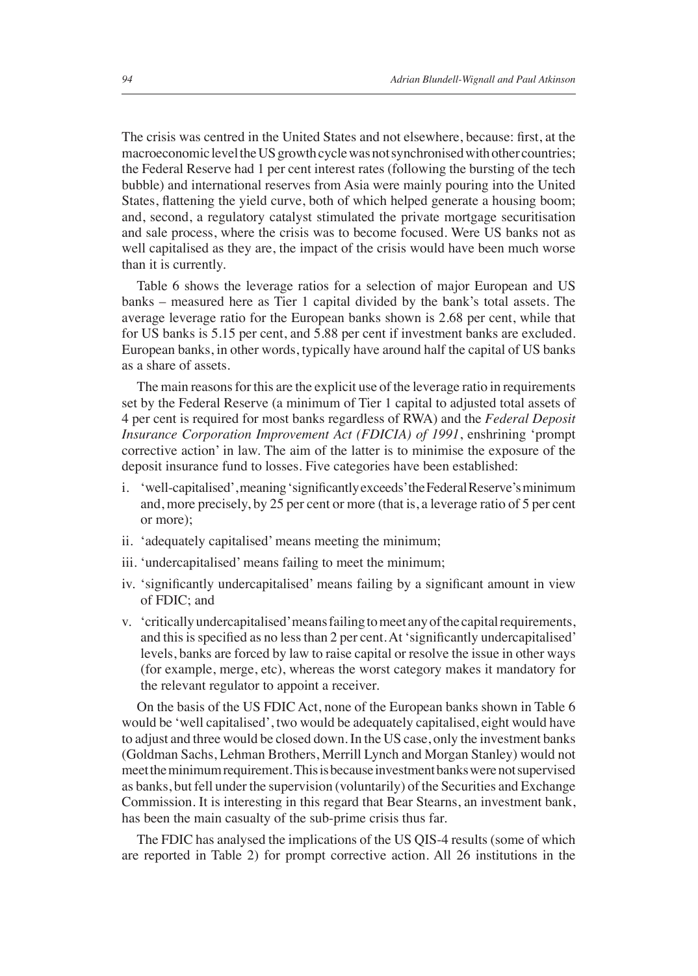The crisis was centred in the United States and not elsewhere, because: first, at the macroeconomic level the US growth cycle was not synchronised with other countries; the Federal Reserve had 1 per cent interest rates (following the bursting of the tech bubble) and international reserves from Asia were mainly pouring into the United States, flattening the yield curve, both of which helped generate a housing boom; and, second, a regulatory catalyst stimulated the private mortgage securitisation and sale process, where the crisis was to become focused. Were US banks not as well capitalised as they are, the impact of the crisis would have been much worse than it is currently.

Table 6 shows the leverage ratios for a selection of major European and US banks – measured here as Tier 1 capital divided by the bank's total assets. The average leverage ratio for the European banks shown is 2.68 per cent, while that for US banks is 5.15 per cent, and 5.88 per cent if investment banks are excluded. European banks, in other words, typically have around half the capital of US banks as a share of assets.

The main reasons for this are the explicit use of the leverage ratio in requirements set by the Federal Reserve (a minimum of Tier 1 capital to adjusted total assets of 4 per cent is required for most banks regardless of RWA) and the *Federal Deposit Insurance Corporation Improvement Act (FDICIA) of 1991*, enshrining 'prompt corrective action' in law. The aim of the latter is to minimise the exposure of the deposit insurance fund to losses. Five categories have been established:

- i. 'well-capitalised', meaning 'significantly exceeds' the Federal Reserve's minimum and, more precisely, by 25 per cent or more (that is, a leverage ratio of 5 per cent or more);
- ii. 'adequately capitalised' means meeting the minimum;
- iii. 'undercapitalised' means failing to meet the minimum;
- iv. 'significantly undercapitalised' means failing by a significant amount in view of FDIC; and
- v. 'critically undercapitalised' means failing to meet any of the capital requirements, and this is specified as no less than 2 per cent. At 'significantly undercapitalised' levels, banks are forced by law to raise capital or resolve the issue in other ways (for example, merge, etc), whereas the worst category makes it mandatory for the relevant regulator to appoint a receiver.

On the basis of the US FDIC Act, none of the European banks shown in Table 6 would be 'well capitalised', two would be adequately capitalised, eight would have to adjust and three would be closed down. In the US case, only the investment banks (Goldman Sachs, Lehman Brothers, Merrill Lynch and Morgan Stanley) would not meet the minimum requirement. This is because investment banks were not supervised as banks, but fell under the supervision (voluntarily) of the Securities and Exchange Commission. It is interesting in this regard that Bear Stearns, an investment bank, has been the main casualty of the sub-prime crisis thus far.

The FDIC has analysed the implications of the US QIS-4 results (some of which are reported in Table 2) for prompt corrective action. All 26 institutions in the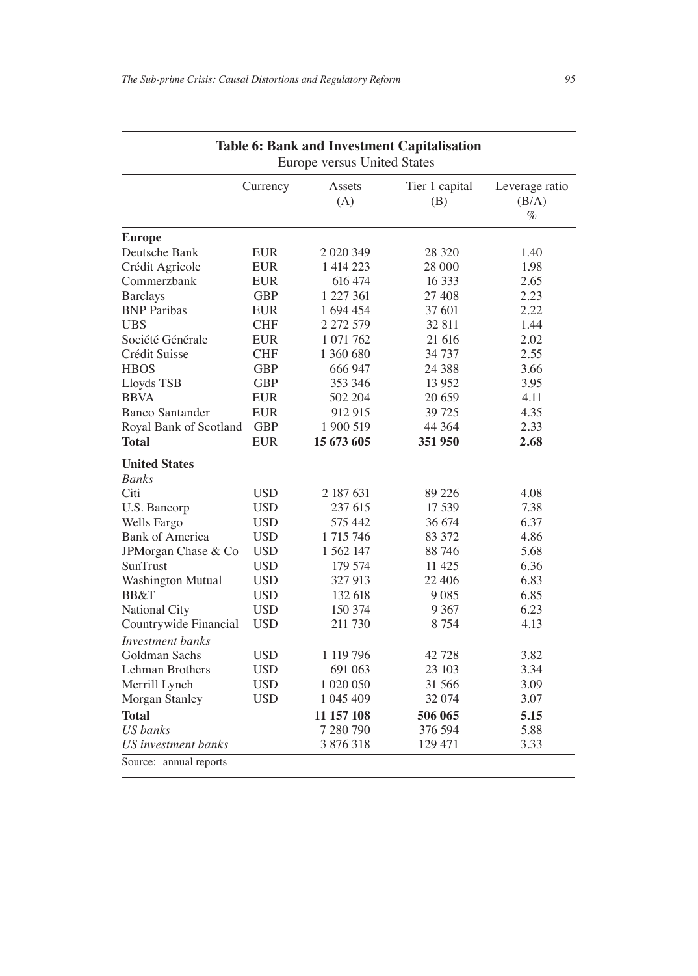|                                 | Currency   | Assets<br>(A)        | Tier 1 capital<br>(B) | Leverage ratio<br>(B/A)<br>$\%$ |
|---------------------------------|------------|----------------------|-----------------------|---------------------------------|
| <b>Europe</b>                   |            |                      |                       |                                 |
| Deutsche Bank                   | <b>EUR</b> | 2 0 2 0 3 4 9        | 28 3 20               | 1.40                            |
| Crédit Agricole                 | EUR        | 1 414 223            | 28 000                | 1.98                            |
| Commerzbank                     | EUR        | 616 474              | 16 3 33               | 2.65                            |
| <b>Barclays</b>                 | GBP        | 1 227 361            | 27 408                | 2.23                            |
| <b>BNP</b> Paribas              | <b>EUR</b> | 1 694 454            | 37 601                | 2.22                            |
| <b>UBS</b>                      | <b>CHF</b> | 2 272 579            | 32 811                | 1.44                            |
| Société Générale                | <b>EUR</b> | 1 071 762            | 21 616                | 2.02                            |
| Crédit Suisse                   | <b>CHF</b> | 1 360 680            | 34 737                | 2.55                            |
| <b>HBOS</b>                     | <b>GBP</b> | 666 947              | 24 3 88               | 3.66                            |
| Lloyds TSB                      | GBP        | 353 346              | 13 9 52               | 3.95                            |
| <b>BBVA</b>                     | EUR        | 502 204              | 20 659                | 4.11                            |
| <b>Banco Santander</b>          | <b>EUR</b> | 912 915              | 39 725                | 4.35                            |
| Royal Bank of Scotland          | <b>GBP</b> | 1 900 519            | 44 3 64               | 2.33                            |
| Total                           | <b>EUR</b> | 15 673 605           | 351 950               | 2.68                            |
| <b>United States</b>            |            |                      |                       |                                 |
| <b>Banks</b>                    |            |                      |                       |                                 |
| Citi                            | <b>USD</b> | 2 187 631            | 89 226                | 4.08                            |
| U.S. Bancorp                    | USD        | 237 615              | 17 539                | 7.38                            |
| Wells Fargo                     | <b>USD</b> | 575 442              | 36 674                | 6.37                            |
| <b>Bank of America</b>          | <b>USD</b> | 1 715 746            | 83 372                | 4.86                            |
| JPMorgan Chase & Co             | <b>USD</b> | 1 562 147            | 88746                 | 5.68                            |
| SunTrust                        | <b>USD</b> | 179 574              | 11 425                | 6.36                            |
| <b>Washington Mutual</b>        | <b>USD</b> | 327 913              | 22 406                | 6.83                            |
| BB&T                            | <b>USD</b> | 132 618              | 9 0 8 5               | 6.85                            |
| National City                   | <b>USD</b> | 150 374              | 9 3 6 7               | 6.23                            |
| Countrywide Financial           | <b>USD</b> | 211 730              | 8 7 5 4               | 4.13                            |
| Investment banks                |            |                      |                       |                                 |
| Goldman Sachs                   | <b>USD</b> | 1 119 796            | 42 728                | 3.82                            |
| Lehman Brothers                 | <b>USD</b> | 691 063              | 23 103                | 3.34                            |
| Merrill Lynch                   | <b>USD</b> | 1 020 050            | 31 566                | 3.09                            |
| Morgan Stanley                  | USD        | 1 045 409            | 32 074                | 3.07                            |
| <b>Total</b>                    |            |                      |                       | 5.15                            |
|                                 |            | 11 157 108           | 506 065               |                                 |
| US banks<br>US investment banks |            | 7 280 790<br>3876318 | 376 594<br>129 471    | 5.88<br>3.33                    |

|  |                             | <b>Table 6: Bank and Investment Capitalisation</b> |
|--|-----------------------------|----------------------------------------------------|
|  | Europe versus United States |                                                    |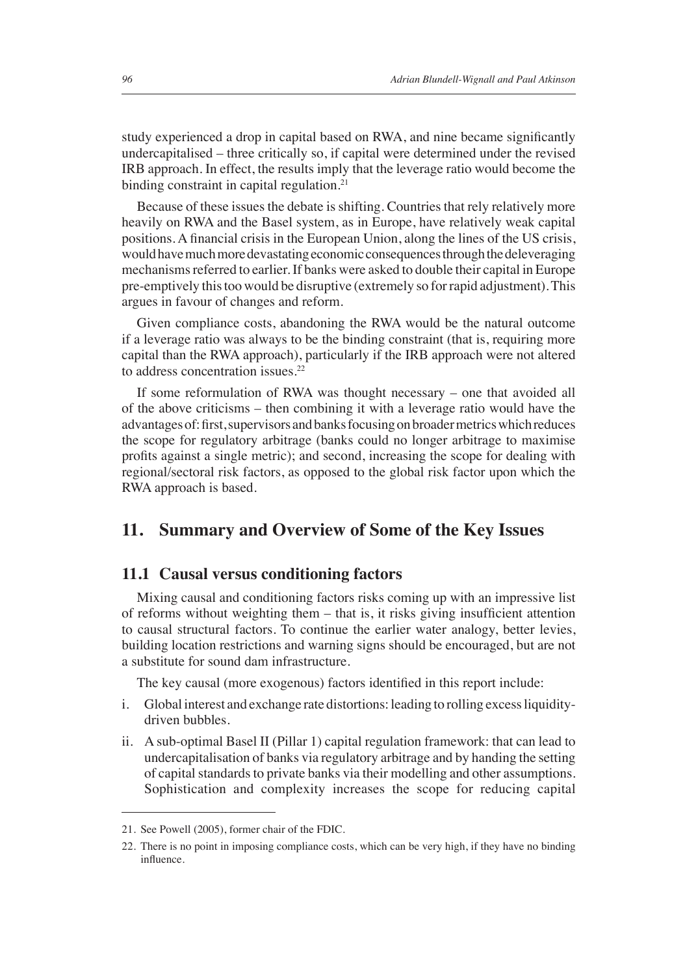study experienced a drop in capital based on RWA, and nine became significantly undercapitalised – three critically so, if capital were determined under the revised IRB approach. In effect, the results imply that the leverage ratio would become the binding constraint in capital regulation.<sup>21</sup>

Because of these issues the debate is shifting. Countries that rely relatively more heavily on RWA and the Basel system, as in Europe, have relatively weak capital positions. A financial crisis in the European Union, along the lines of the US crisis, would have much more devastating economic consequences through the deleveraging mechanisms referred to earlier. If banks were asked to double their capital in Europe pre-emptively this too would be disruptive (extremely so for rapid adjustment). This argues in favour of changes and reform.

Given compliance costs, abandoning the RWA would be the natural outcome if a leverage ratio was always to be the binding constraint (that is, requiring more capital than the RWA approach), particularly if the IRB approach were not altered to address concentration issues.<sup>22</sup>

If some reformulation of RWA was thought necessary – one that avoided all of the above criticisms – then combining it with a leverage ratio would have the advantages of: first, supervisors and banks focusing on broader metrics which reduces the scope for regulatory arbitrage (banks could no longer arbitrage to maximise profits against a single metric); and second, increasing the scope for dealing with regional/sectoral risk factors, as opposed to the global risk factor upon which the RWA approach is based.

#### **11. Summary and Overview of Some of the Key Issues**

#### **11.1 Causal versus conditioning factors**

Mixing causal and conditioning factors risks coming up with an impressive list of reforms without weighting them – that is, it risks giving insufficient attention to causal structural factors. To continue the earlier water analogy, better levies, building location restrictions and warning signs should be encouraged, but are not a substitute for sound dam infrastructure.

The key causal (more exogenous) factors identified in this report include:

- i. Global interest and exchange rate distortions: leading to rolling excess liquiditydriven bubbles.
- ii. A sub-optimal Basel II (Pillar 1) capital regulation framework: that can lead to undercapitalisation of banks via regulatory arbitrage and by handing the setting of capital standards to private banks via their modelling and other assumptions. Sophistication and complexity increases the scope for reducing capital

<sup>21.</sup> See Powell (2005), former chair of the FDIC.

<sup>22.</sup> There is no point in imposing compliance costs, which can be very high, if they have no binding influence.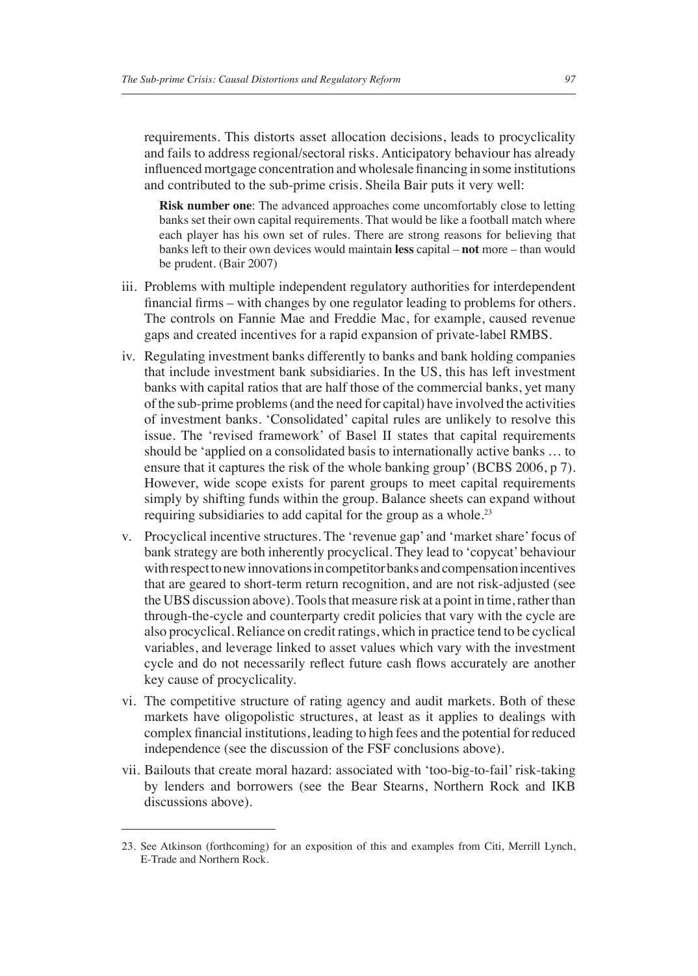requirements. This distorts asset allocation decisions, leads to procyclicality and fails to address regional/sectoral risks. Anticipatory behaviour has already influenced mortgage concentration and wholesale financing in some institutions and contributed to the sub-prime crisis. Sheila Bair puts it very well:

**Risk number one**: The advanced approaches come uncomfortably close to letting banks set their own capital requirements. That would be like a football match where each player has his own set of rules. There are strong reasons for believing that banks left to their own devices would maintain **less** capital – **not** more – than would be prudent. (Bair 2007)

- iii. Problems with multiple independent regulatory authorities for interdependent financial firms – with changes by one regulator leading to problems for others. The controls on Fannie Mae and Freddie Mac, for example, caused revenue gaps and created incentives for a rapid expansion of private-label RMBS.
- iv. Regulating investment banks differently to banks and bank holding companies that include investment bank subsidiaries. In the US, this has left investment banks with capital ratios that are half those of the commercial banks, yet many of the sub-prime problems (and the need for capital) have involved the activities of investment banks. 'Consolidated' capital rules are unlikely to resolve this issue. The 'revised framework' of Basel II states that capital requirements should be 'applied on a consolidated basis to internationally active banks … to ensure that it captures the risk of the whole banking group' (BCBS 2006, p 7). However, wide scope exists for parent groups to meet capital requirements simply by shifting funds within the group. Balance sheets can expand without requiring subsidiaries to add capital for the group as a whole.<sup>23</sup>
- v. Procyclical incentive structures. The 'revenue gap' and 'market share' focus of bank strategy are both inherently procyclical. They lead to 'copycat' behaviour with respect to new innovations in competitor banks and compensation incentives that are geared to short-term return recognition, and are not risk-adjusted (see the UBS discussion above). Tools that measure risk at a point in time, rather than through-the-cycle and counterparty credit policies that vary with the cycle are also procyclical. Reliance on credit ratings, which in practice tend to be cyclical variables, and leverage linked to asset values which vary with the investment cycle and do not necessarily reflect future cash flows accurately are another key cause of procyclicality.
- vi. The competitive structure of rating agency and audit markets. Both of these markets have oligopolistic structures, at least as it applies to dealings with complex financial institutions, leading to high fees and the potential for reduced independence (see the discussion of the FSF conclusions above).
- vii. Bailouts that create moral hazard: associated with 'too-big-to-fail' risk-taking by lenders and borrowers (see the Bear Stearns, Northern Rock and IKB discussions above).

<sup>23.</sup> See Atkinson (forthcoming) for an exposition of this and examples from Citi, Merrill Lynch, E-Trade and Northern Rock.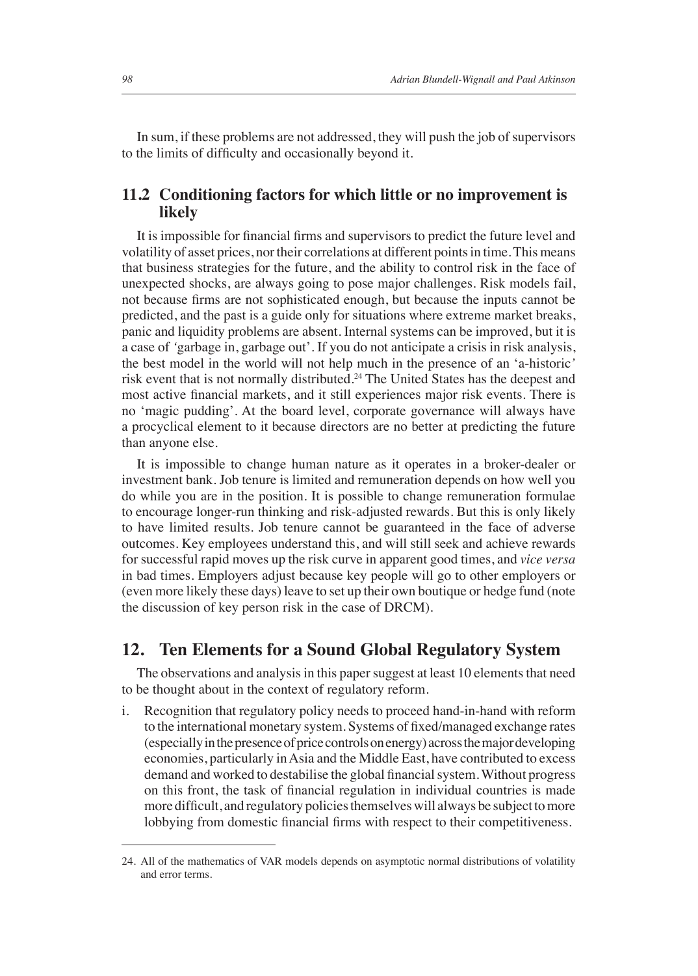In sum, if these problems are not addressed, they will push the job of supervisors to the limits of difficulty and occasionally beyond it.

#### **11.2 Conditioning factors for which little or no improvement is likely**

It is impossible for financial firms and supervisors to predict the future level and volatility of asset prices, nor their correlations at different points in time. This means that business strategies for the future, and the ability to control risk in the face of unexpected shocks, are always going to pose major challenges. Risk models fail, not because firms are not sophisticated enough, but because the inputs cannot be predicted, and the past is a guide only for situations where extreme market breaks, panic and liquidity problems are absent. Internal systems can be improved, but it is a case of *'*garbage in, garbage out'. If you do not anticipate a crisis in risk analysis, the best model in the world will not help much in the presence of an 'a-historic*'* risk event that is not normally distributed.<sup>24</sup> The United States has the deepest and most active financial markets, and it still experiences major risk events. There is no 'magic pudding'. At the board level, corporate governance will always have a procyclical element to it because directors are no better at predicting the future than anyone else.

It is impossible to change human nature as it operates in a broker-dealer or investment bank. Job tenure is limited and remuneration depends on how well you do while you are in the position. It is possible to change remuneration formulae to encourage longer-run thinking and risk-adjusted rewards. But this is only likely to have limited results. Job tenure cannot be guaranteed in the face of adverse outcomes. Key employees understand this, and will still seek and achieve rewards for successful rapid moves up the risk curve in apparent good times, and *vice versa* in bad times. Employers adjust because key people will go to other employers or (even more likely these days) leave to set up their own boutique or hedge fund (note the discussion of key person risk in the case of DRCM).

#### **12. Ten Elements for a Sound Global Regulatory System**

The observations and analysis in this paper suggest at least 10 elements that need to be thought about in the context of regulatory reform.

i. Recognition that regulatory policy needs to proceed hand-in-hand with reform to the international monetary system. Systems of fixed/managed exchange rates (especially in the presence of price controls on energy) across the major developing economies, particularly in Asia and the Middle East, have contributed to excess demand and worked to destabilise the global financial system. Without progress on this front, the task of financial regulation in individual countries is made more difficult, and regulatory policies themselves will always be subject to more lobbying from domestic financial firms with respect to their competitiveness.

<sup>24.</sup> All of the mathematics of VAR models depends on asymptotic normal distributions of volatility and error terms.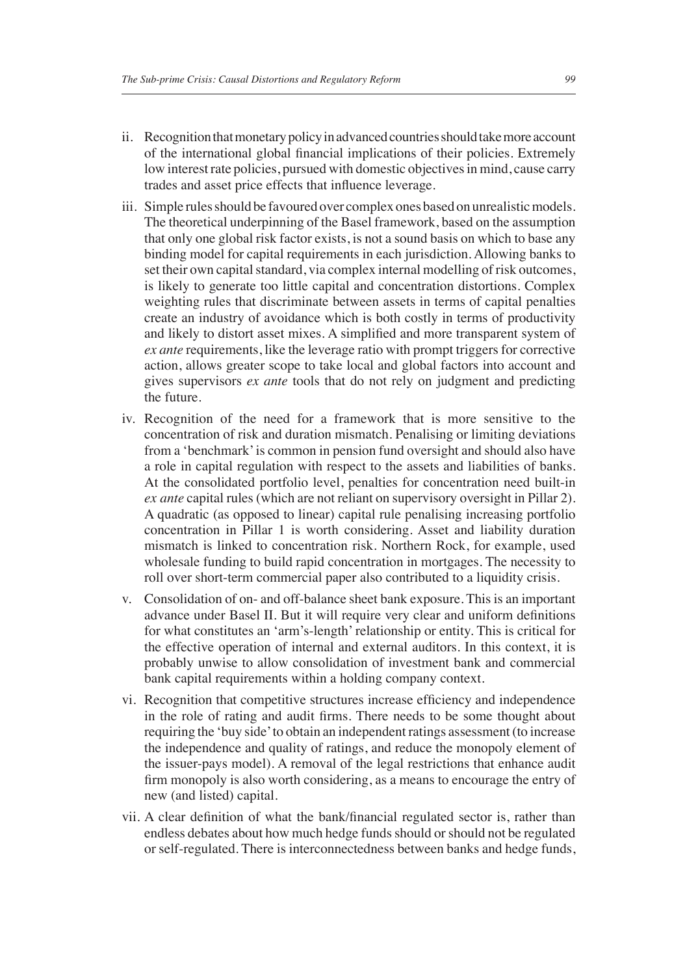- ii. Recognition that monetary policy in advanced countries should take more account of the international global financial implications of their policies. Extremely low interest rate policies, pursued with domestic objectives in mind, cause carry trades and asset price effects that influence leverage.
- iii. Simple rules should be favoured over complex ones based on unrealistic models. The theoretical underpinning of the Basel framework, based on the assumption that only one global risk factor exists, is not a sound basis on which to base any binding model for capital requirements in each jurisdiction. Allowing banks to set their own capital standard, via complex internal modelling of risk outcomes, is likely to generate too little capital and concentration distortions. Complex weighting rules that discriminate between assets in terms of capital penalties create an industry of avoidance which is both costly in terms of productivity and likely to distort asset mixes. A simplified and more transparent system of *ex ante* requirements, like the leverage ratio with prompt triggers for corrective action, allows greater scope to take local and global factors into account and gives supervisors *ex ante* tools that do not rely on judgment and predicting the future.
- iv. Recognition of the need for a framework that is more sensitive to the concentration of risk and duration mismatch. Penalising or limiting deviations from a 'benchmark' is common in pension fund oversight and should also have a role in capital regulation with respect to the assets and liabilities of banks. At the consolidated portfolio level, penalties for concentration need built-in *ex ante* capital rules (which are not reliant on supervisory oversight in Pillar 2). A quadratic (as opposed to linear) capital rule penalising increasing portfolio concentration in Pillar 1 is worth considering. Asset and liability duration mismatch is linked to concentration risk. Northern Rock, for example, used wholesale funding to build rapid concentration in mortgages. The necessity to roll over short-term commercial paper also contributed to a liquidity crisis.
- v. Consolidation of on- and off-balance sheet bank exposure. This is an important advance under Basel II. But it will require very clear and uniform definitions for what constitutes an 'arm's-length' relationship or entity. This is critical for the effective operation of internal and external auditors. In this context, it is probably unwise to allow consolidation of investment bank and commercial bank capital requirements within a holding company context.
- vi. Recognition that competitive structures increase efficiency and independence in the role of rating and audit firms. There needs to be some thought about requiring the 'buy side' to obtain an independent ratings assessment (to increase the independence and quality of ratings, and reduce the monopoly element of the issuer-pays model). A removal of the legal restrictions that enhance audit firm monopoly is also worth considering, as a means to encourage the entry of new (and listed) capital.
- vii. A clear definition of what the bank/financial regulated sector is, rather than endless debates about how much hedge funds should or should not be regulated or self-regulated. There is interconnectedness between banks and hedge funds,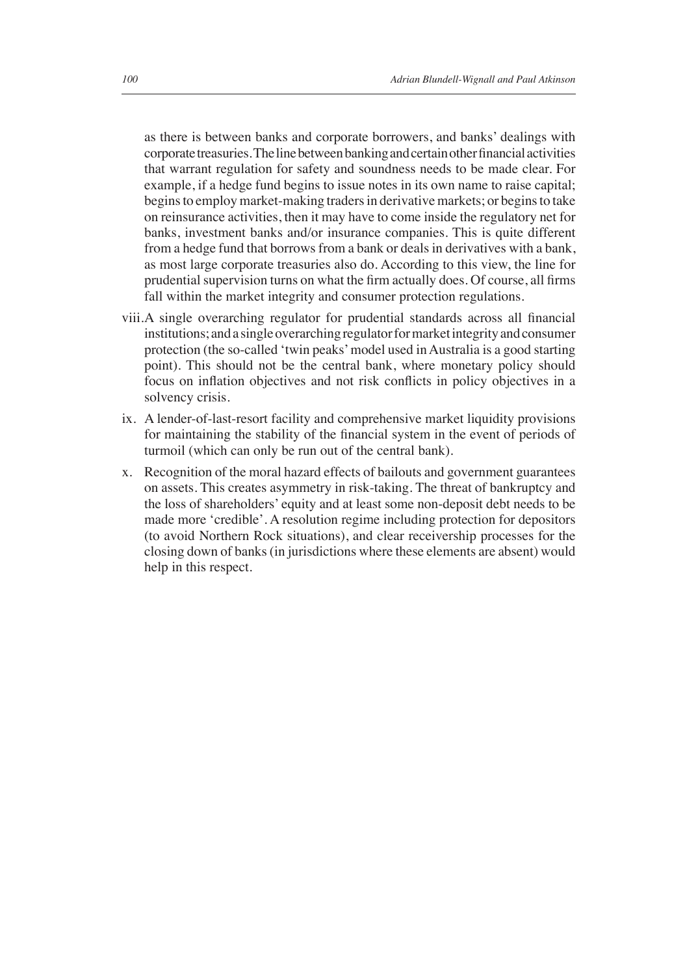as there is between banks and corporate borrowers, and banks' dealings with corporate treasuries. The line between banking and certain other financial activities that warrant regulation for safety and soundness needs to be made clear. For example, if a hedge fund begins to issue notes in its own name to raise capital; begins to employ market-making traders in derivative markets; or begins to take on reinsurance activities, then it may have to come inside the regulatory net for banks, investment banks and/or insurance companies. This is quite different from a hedge fund that borrows from a bank or deals in derivatives with a bank, as most large corporate treasuries also do. According to this view, the line for prudential supervision turns on what the firm actually does. Of course, all firms fall within the market integrity and consumer protection regulations.

- viii. A single overarching regulator for prudential standards across all financial institutions; and a single overarching regulator for market integrity and consumer protection (the so-called 'twin peaks' model used in Australia is a good starting point). This should not be the central bank, where monetary policy should focus on inflation objectives and not risk conflicts in policy objectives in a solvency crisis.
- ix. A lender-of-last-resort facility and comprehensive market liquidity provisions for maintaining the stability of the financial system in the event of periods of turmoil (which can only be run out of the central bank).
- x. Recognition of the moral hazard effects of bailouts and government guarantees on assets. This creates asymmetry in risk-taking. The threat of bankruptcy and the loss of shareholders' equity and at least some non-deposit debt needs to be made more 'credible'. A resolution regime including protection for depositors (to avoid Northern Rock situations), and clear receivership processes for the closing down of banks (in jurisdictions where these elements are absent) would help in this respect.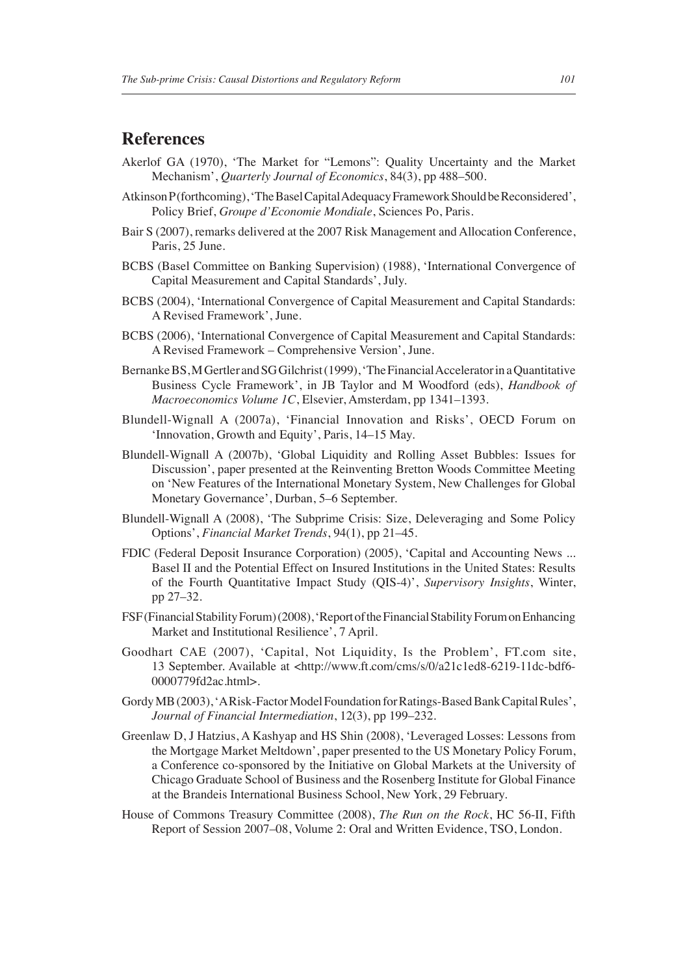#### **References**

- Akerlof GA (1970), 'The Market for "Lemons": Quality Uncertainty and the Market Mechanism', *Quarterly Journal of Economics*, 84(3), pp 488–500.
- Atkinson P (forthcoming), 'The Basel Capital Adequacy Framework Should be Reconsidered', Policy Brief, *Groupe d'Economie Mondiale*, Sciences Po, Paris.
- Bair S (2007), remarks delivered at the 2007 Risk Management and Allocation Conference, Paris, 25 June.
- BCBS (Basel Committee on Banking Supervision) (1988), 'International Convergence of Capital Measurement and Capital Standards', July.
- BCBS (2004), 'International Convergence of Capital Measurement and Capital Standards: A Revised Framework', June.
- BCBS (2006), 'International Convergence of Capital Measurement and Capital Standards: A Revised Framework – Comprehensive Version', June.
- Bernanke BS, M Gertler and SG Gilchrist (1999), 'The Financial Accelerator in a Quantitative Business Cycle Framework', in JB Taylor and M Woodford (eds), *Handbook of Macroeconomics Volume 1C*, Elsevier, Amsterdam, pp 1341–1393.
- Blundell-Wignall A (2007a), 'Financial Innovation and Risks', OECD Forum on 'Innovation, Growth and Equity', Paris, 14–15 May.
- Blundell-Wignall A (2007b), 'Global Liquidity and Rolling Asset Bubbles: Issues for Discussion', paper presented at the Reinventing Bretton Woods Committee Meeting on 'New Features of the International Monetary System, New Challenges for Global Monetary Governance', Durban, 5–6 September.
- Blundell-Wignall A (2008), 'The Subprime Crisis: Size, Deleveraging and Some Policy Options', *Financial Market Trends*, 94(1), pp 21–45.
- FDIC (Federal Deposit Insurance Corporation) (2005), 'Capital and Accounting News ... Basel II and the Potential Effect on Insured Institutions in the United States: Results of the Fourth Quantitative Impact Study (QIS-4)', *Supervisory Insights*, Winter, pp 27–32.
- FSF (Financial Stability Forum) (2008), 'Report of the Financial Stability Forum on Enhancing Market and Institutional Resilience', 7 April.
- Goodhart CAE (2007), 'Capital, Not Liquidity, Is the Problem', FT.com site, 13 September. Available at <http://www.ft.com/cms/s/0/a21c1ed8-6219-11dc-bdf6- 0000779fd2ac.html>.
- Gordy MB (2003), 'A Risk-Factor Model Foundation for Ratings-Based Bank Capital Rules', *Journal of Financial Intermediation*, 12(3), pp 199–232.
- Greenlaw D, J Hatzius, A Kashyap and HS Shin (2008), 'Leveraged Losses: Lessons from the Mortgage Market Meltdown', paper presented to the US Monetary Policy Forum, a Conference co-sponsored by the Initiative on Global Markets at the University of Chicago Graduate School of Business and the Rosenberg Institute for Global Finance at the Brandeis International Business School, New York, 29 February.
- House of Commons Treasury Committee (2008), *The Run on the Rock*, HC 56-II, Fifth Report of Session 2007–08, Volume 2: Oral and Written Evidence, TSO, London.